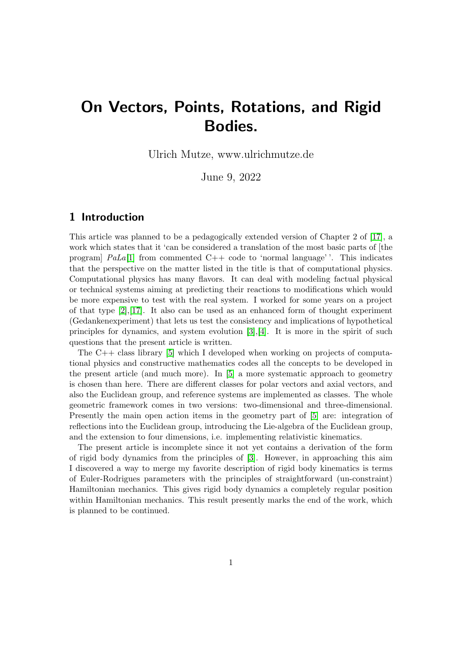# On Vectors, Points, Rotations, and Rigid Bodies.

Ulrich Mutze, www.ulrichmutze.de

June 9, 2022

# 1 Introduction

This article was planned to be a pedagogically extended version of Chapter 2 of [\[17\]](#page-48-0), a work which states that it 'can be considered a translation of the most basic parts of [the program]  $Pala[1]$  $Pala[1]$  from commented  $C++$  code to 'normal language''. This indicates that the perspective on the matter listed in the title is that of computational physics. Computational physics has many flavors. It can deal with modeling factual physical or technical systems aiming at predicting their reactions to modifications which would be more expensive to test with the real system. I worked for some years on a project of that type [\[2\]](#page-47-1),[\[17\]](#page-48-0). It also can be used as an enhanced form of thought experiment (Gedankenexperiment) that lets us test the consistency and implications of hypothetical principles for dynamics, and system evolution  $[3], [4]$  $[3], [4]$  $[3], [4]$ . It is more in the spirit of such questions that the present article is written.

The C++ class library [\[5\]](#page-47-4) which I developed when working on projects of computational physics and constructive mathematics codes all the concepts to be developed in the present article (and much more). In [\[5\]](#page-47-4) a more systematic approach to geometry is chosen than here. There are different classes for polar vectors and axial vectors, and also the Euclidean group, and reference systems are implemented as classes. The whole geometric framework comes in two versions: two-dimensional and three-dimensional. Presently the main open action items in the geometry part of [\[5\]](#page-47-4) are: integration of reflections into the Euclidean group, introducing the Lie-algebra of the Euclidean group, and the extension to four dimensions, i.e. implementing relativistic kinematics.

The present article is incomplete since it not yet contains a derivation of the form of rigid body dynamics from the principles of [\[3\]](#page-47-2). However, in approaching this aim I discovered a way to merge my favorite description of rigid body kinematics is terms of Euler-Rodrigues parameters with the principles of straightforward (un-constraint) Hamiltonian mechanics. This gives rigid body dynamics a completely regular position within Hamiltonian mechanics. This result presently marks the end of the work, which is planned to be continued.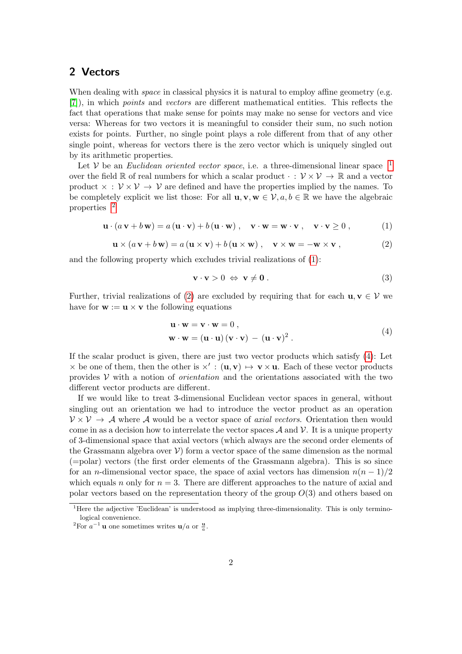# 2 Vectors

When dealing with *space* in classical physics it is natural to employ affine geometry (e.g. [\[7\]](#page-47-5)), in which points and vectors are different mathematical entities. This reflects the fact that operations that make sense for points may make no sense for vectors and vice versa: Whereas for two vectors it is meaningful to consider their sum, no such notion exists for points. Further, no single point plays a role different from that of any other single point, whereas for vectors there is the zero vector which is uniquely singled out by its arithmetic properties.

Let V be an *Euclidean oriented vector space*, i.e. a three-dimensional linear space  $1$ over the field R of real numbers for which a scalar product  $\cdot : \mathcal{V} \times \mathcal{V} \to \mathbb{R}$  and a vector product  $\times : \mathcal{V} \times \mathcal{V} \rightarrow \mathcal{V}$  are defined and have the properties implied by the names. To be completely explicit we list those: For all  $\mathbf{u}, \mathbf{v}, \mathbf{w} \in \mathcal{V}, a, b \in \mathbb{R}$  we have the algebraic properties [2](#page-1-1)

<span id="page-1-2"></span>
$$
\mathbf{u} \cdot (a \mathbf{v} + b \mathbf{w}) = a(\mathbf{u} \cdot \mathbf{v}) + b(\mathbf{u} \cdot \mathbf{w}), \quad \mathbf{v} \cdot \mathbf{w} = \mathbf{w} \cdot \mathbf{v}, \quad \mathbf{v} \cdot \mathbf{v} \ge 0,
$$
 (1)

<span id="page-1-3"></span>
$$
\mathbf{u} \times (a \mathbf{v} + b \mathbf{w}) = a (\mathbf{u} \times \mathbf{v}) + b (\mathbf{u} \times \mathbf{w}), \quad \mathbf{v} \times \mathbf{w} = -\mathbf{w} \times \mathbf{v}, \tag{2}
$$

and the following property which excludes trivial realizations of [\(1\)](#page-1-2):

$$
\mathbf{v} \cdot \mathbf{v} > 0 \iff \mathbf{v} \neq \mathbf{0} \tag{3}
$$

Further, trivial realizations of [\(2\)](#page-1-3) are excluded by requiring that for each  $\mathbf{u}, \mathbf{v} \in \mathcal{V}$  we have for  $\mathbf{w} := \mathbf{u} \times \mathbf{v}$  the following equations

$$
\mathbf{u} \cdot \mathbf{w} = \mathbf{v} \cdot \mathbf{w} = 0 ,
$$
  
\n
$$
\mathbf{w} \cdot \mathbf{w} = (\mathbf{u} \cdot \mathbf{u}) (\mathbf{v} \cdot \mathbf{v}) - (\mathbf{u} \cdot \mathbf{v})^2 .
$$
 (4)

<span id="page-1-4"></span>If the scalar product is given, there are just two vector products which satisfy [\(4\)](#page-1-4): Let  $\times$  be one of them, then the other is  $\times' : (\mathbf{u}, \mathbf{v}) \mapsto \mathbf{v} \times \mathbf{u}$ . Each of these vector products provides  $V$  with a notion of *orientation* and the orientations associated with the two different vector products are different.

If we would like to treat 3-dimensional Euclidean vector spaces in general, without singling out an orientation we had to introduce the vector product as an operation  $V \times V \rightarrow A$  where A would be a vector space of *axial vectors*. Orientation then would come in as a decision how to interrelate the vector spaces  $\mathcal A$  and  $\mathcal V$ . It is a unique property of 3-dimensional space that axial vectors (which always are the second order elements of the Grassmann algebra over  $V$ ) form a vector space of the same dimension as the normal (=polar) vectors (the first order elements of the Grassmann algebra). This is so since for an n-dimensional vector space, the space of axial vectors has dimension  $n(n-1)/2$ which equals n only for  $n = 3$ . There are different approaches to the nature of axial and polar vectors based on the representation theory of the group  $O(3)$  and others based on

<span id="page-1-0"></span><sup>&</sup>lt;sup>1</sup>Here the adjective 'Euclidean' is understood as implying three-dimensionality. This is only terminological convenience.

<span id="page-1-1"></span><sup>&</sup>lt;sup>2</sup>For  $a^{-1}$ **u** one sometimes writes **u**/a or  $\frac{u}{a}$ .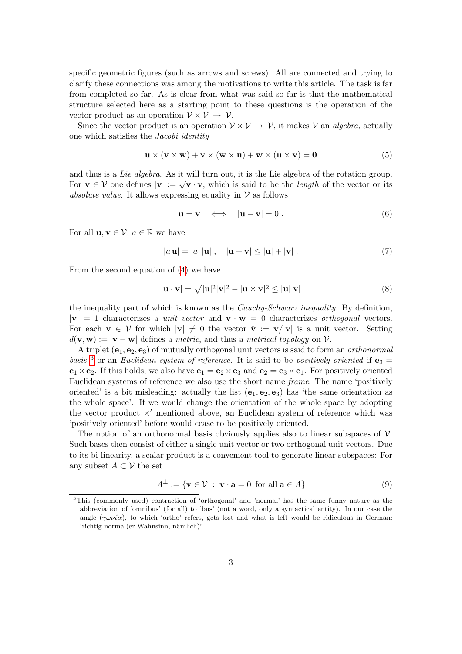specific geometric figures (such as arrows and screws). All are connected and trying to clarify these connections was among the motivations to write this article. The task is far from completed so far. As is clear from what was said so far is that the mathematical structure selected here as a starting point to these questions is the operation of the vector product as an operation  $V \times V \rightarrow V$ .

Since the vector product is an operation  $V \times V \rightarrow V$ , it makes V an *algebra*, actually one which satisfies the Jacobi identity

<span id="page-2-1"></span>
$$
\mathbf{u} \times (\mathbf{v} \times \mathbf{w}) + \mathbf{v} \times (\mathbf{w} \times \mathbf{u}) + \mathbf{w} \times (\mathbf{u} \times \mathbf{v}) = \mathbf{0}
$$
 (5)

and thus is a Lie algebra. As it will turn out, it is the Lie algebra of the rotation group. For  $\mathbf{v} \in \mathcal{V}$  one defines  $|\mathbf{v}| := \sqrt{\mathbf{v} \cdot \mathbf{v}}$ , which is said to be the *length* of the vector or its absolute value. It allows expressing equality in  $\mathcal V$  as follows

$$
\mathbf{u} = \mathbf{v} \iff |\mathbf{u} - \mathbf{v}| = 0. \tag{6}
$$

For all  $\mathbf{u}, \mathbf{v} \in \mathcal{V}$ ,  $a \in \mathbb{R}$  we have

$$
|a\mathbf{u}| = |a| |\mathbf{u}|, \quad |\mathbf{u} + \mathbf{v}| \le |\mathbf{u}| + |\mathbf{v}|.
$$
 (7)

From the second equation of [\(4\)](#page-1-4) we have

$$
|\mathbf{u} \cdot \mathbf{v}| = \sqrt{|\mathbf{u}|^2 |\mathbf{v}|^2 - |\mathbf{u} \times \mathbf{v}|^2} \le |\mathbf{u}| |\mathbf{v}| \tag{8}
$$

the inequality part of which is known as the Cauchy-Schwarz inequality. By definition,  $|v| = 1$  characterizes a unit vector and  $v \cdot w = 0$  characterizes orthogonal vectors. For each  $\mathbf{v} \in \mathcal{V}$  for which  $|\mathbf{v}| \neq 0$  the vector  $\hat{\mathbf{v}} := \mathbf{v}/|\mathbf{v}|$  is a unit vector. Setting  $d(\mathbf{v}, \mathbf{w}) := |\mathbf{v} - \mathbf{w}|$  defines a metric, and thus a metrical topology on V.

A triplet  $(e_1, e_2, e_3)$  of mutually orthogonal unit vectors is said to form an *orthonormal* basis <sup>[3](#page-2-0)</sup> or an Euclidean system of reference. It is said to be positively oriented if  $\mathbf{e}_3 =$  $\mathbf{e}_1 \times \mathbf{e}_2$ . If this holds, we also have  $\mathbf{e}_1 = \mathbf{e}_2 \times \mathbf{e}_3$  and  $\mathbf{e}_2 = \mathbf{e}_3 \times \mathbf{e}_1$ . For positively oriented Euclidean systems of reference we also use the short name frame. The name 'positively oriented' is a bit misleading: actually the list  $(e_1, e_2, e_3)$  has 'the same orientation as the whole space'. If we would change the orientation of the whole space by adopting the vector product  $\times'$  mentioned above, an Euclidean system of reference which was 'positively oriented' before would cease to be positively oriented.

The notion of an orthonormal basis obviously applies also to linear subspaces of  $\mathcal V$ . Such bases then consist of either a single unit vector or two orthogonal unit vectors. Due to its bi-linearity, a scalar product is a convenient tool to generate linear subspaces: For any subset  $A \subset \mathcal{V}$  the set

$$
A^{\perp} := \{ \mathbf{v} \in \mathcal{V} \; : \; \mathbf{v} \cdot \mathbf{a} = 0 \; \text{ for all } \mathbf{a} \in A \}
$$
 (9)

<span id="page-2-0"></span><sup>3</sup>This (commonly used) contraction of 'orthogonal' and 'normal' has the same funny nature as the abbreviation of 'omnibus' (for all) to 'bus' (not a word, only a syntactical entity). In our case the angle  $(\gamma \omega \nu \hat{\alpha})$ , to which 'ortho' refers, gets lost and what is left would be ridiculous in German: 'richtig normal(er Wahnsinn, nämlich)'.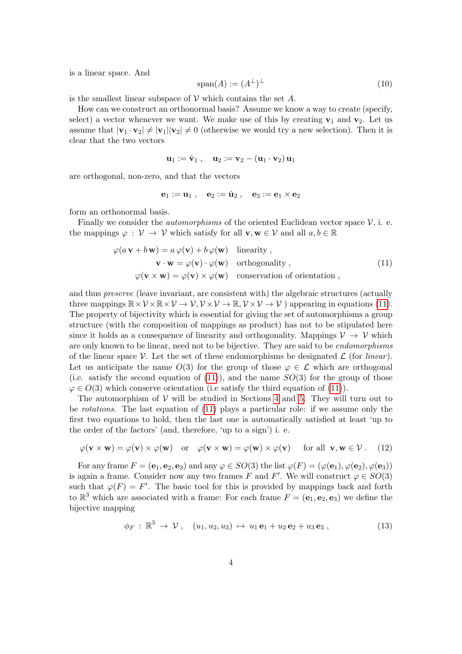is a linear space. And

$$
\text{span}(A) := (A^\perp)^\perp \tag{10}
$$

is the smallest linear subspace of  $V$  which contains the set  $A$ .

How can we construct an orthonormal basis? Assume we know a way to create (specify, select) a vector whenever we want. We make use of this by creating  $v_1$  and  $v_2$ . Let us assume that  $|v_1 \cdot v_2| \neq |v_1||v_2| \neq 0$  (otherwise we would try a new selection). Then it is clear that the two vectors

$$
\mathbf{u}_1 := \hat{\mathbf{v}}_1 \;,\quad \mathbf{u}_2 := \mathbf{v}_2 - (\mathbf{u}_1\cdot\mathbf{v}_2)\,\mathbf{u}_1
$$

are orthogonal, non-zero, and that the vectors

$$
{\bf e}_1:={\bf u}_1\;,\quad {\bf e}_2:={\hat {\bf u}}_2\;,\quad {\bf e}_3:={\bf e}_1\times {\bf e}_2
$$

form an orthonormal basis.

Finally we consider the *automorphisms* of the oriented Euclidean vector space  $\mathcal{V}$ , i. e. the mappings  $\varphi : \mathcal{V} \to \mathcal{V}$  which satisfy for all  $\mathbf{v}, \mathbf{w} \in \mathcal{V}$  and all  $a, b \in \mathbb{R}$ 

$$
\varphi(a \mathbf{v} + b \mathbf{w}) = a \varphi(\mathbf{v}) + b \varphi(\mathbf{w}) \quad \text{linearity} ,
$$
  
\n
$$
\mathbf{v} \cdot \mathbf{w} = \varphi(\mathbf{v}) \cdot \varphi(\mathbf{w}) \quad \text{orthogonality} ,
$$
  
\n
$$
\varphi(\mathbf{v} \times \mathbf{w}) = \varphi(\mathbf{v}) \times \varphi(\mathbf{w}) \quad \text{conservation of orientation} ,
$$
\n(11)

<span id="page-3-0"></span>and thus preserve (leave invariant, are consistent with) the algebraic structures (actually three mappings  $\mathbb{R} \times \mathcal{V} \times \mathbb{R} \times \mathcal{V} \to \mathcal{V}, \mathcal{V} \times \mathcal{V} \to \mathbb{R}, \mathcal{V} \times \mathcal{V} \to \mathcal{V}$  appearing in equations [\(11\)](#page-3-0). The property of bijectivity which is essential for giving the set of automorphisms a group structure (with the composition of mappings as product) has not to be stipulated here since it holds as a consequence of linearity and orthogonality. Mappings  $\mathcal{V} \to \mathcal{V}$  which are only known to be linear, need not to be bijective. They are said to be *endomorphisms* of the linear space V. Let the set of these endomorphisms be designated  $\mathcal L$  (for *linear*). Let us anticipate the name  $O(3)$  for the group of those  $\varphi \in \mathcal{L}$  which are orthogonal (i.e. satisfy the second equation of  $(11)$ ), and the name  $SO(3)$  for the group of those  $\varphi \in O(3)$  which conserve orientation (i.e satisfy the third equation of [\(11\)](#page-3-0)).

The automorphism of  $V$  will be studied in Sections [4](#page-15-0) and [5.](#page-24-0) They will turn out to be rotations. The last equation of [\(11\)](#page-3-0) plays a particular role: if we assume only the first two equations to hold, then the last one is automatically satisfied at least 'up to the order of the factors' (and, therefore, 'up to a sign') i. e.

$$
\varphi(\mathbf{v} \times \mathbf{w}) = \varphi(\mathbf{v}) \times \varphi(\mathbf{w}) \quad \text{or} \quad \varphi(\mathbf{v} \times \mathbf{w}) = \varphi(\mathbf{w}) \times \varphi(\mathbf{v}) \quad \text{for all } \mathbf{v}, \mathbf{w} \in \mathcal{V}. \tag{12}
$$

For any frame  $F = (e_1, e_2, e_3)$  and any  $\varphi \in SO(3)$  the list  $\varphi(F) = (\varphi(e_1), \varphi(e_2), \varphi(e_3))$ is again a frame. Consider now any two frames F and F'. We will construct  $\varphi \in SO(3)$ such that  $\varphi(F) = F'$ . The basic tool for this is provided by mappings back and forth to  $\mathbb{R}^3$  which are associated with a frame: For each frame  $F = (\mathbf{e}_1, \mathbf{e}_2, \mathbf{e}_3)$  we define the bijective mapping

$$
\phi_F: \mathbb{R}^3 \to \mathcal{V}, \quad (u_1, u_2, u_3) \mapsto u_1 \mathbf{e}_1 + u_2 \mathbf{e}_2 + u_3 \mathbf{e}_3, \tag{13}
$$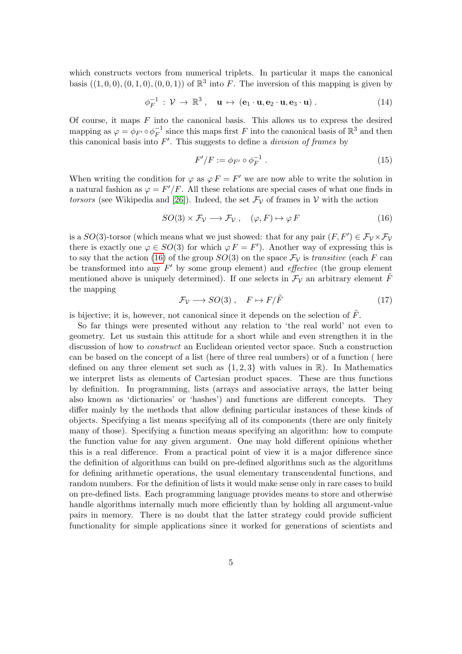which constructs vectors from numerical triplets. In particular it maps the canonical basis  $((1,0,0), (0,1,0), (0,0,1))$  of  $\mathbb{R}^3$  into F. The inversion of this mapping is given by

$$
\phi_F^{-1} : \mathcal{V} \to \mathbb{R}^3 \,, \quad \mathbf{u} \mapsto (\mathbf{e}_1 \cdot \mathbf{u}, \mathbf{e}_2 \cdot \mathbf{u}, \mathbf{e}_3 \cdot \mathbf{u}) \,. \tag{14}
$$

Of course, it maps  $F$  into the canonical basis. This allows us to express the desired mapping as  $\varphi = \phi_{F'} \circ \phi_F^{-1}$  $_{F}^{-1}$  since this maps first F into the canonical basis of  $\mathbb{R}^{3}$  and then this canonical basis into  $F'$ . This suggests to define a *division of frames* by

<span id="page-4-2"></span>
$$
F'/F := \phi_{F'} \circ \phi_F^{-1} \tag{15}
$$

When writing the condition for  $\varphi$  as  $\varphi F = F'$  we are now able to write the solution in a natural fashion as  $\varphi = F'/F$ . All these relations are special cases of what one finds in torsors (see Wikipedia and [\[26\]](#page-48-1)). Indeed, the set  $\mathcal{F}_{\mathcal{V}}$  of frames in V with the action

<span id="page-4-0"></span>
$$
SO(3) \times \mathcal{F}_\mathcal{V} \longrightarrow \mathcal{F}_\mathcal{V} \,, \quad (\varphi, F) \mapsto \varphi \, F \tag{16}
$$

is a  $SO(3)$ -torsor (which means what we just showed: that for any pair  $(F, F') \in \mathcal{F}_{\mathcal{V}} \times \mathcal{F}_{\mathcal{V}}$ there is exactly one  $\varphi \in SO(3)$  for which  $\varphi F = F'$ ). Another way of expressing this is to say that the action [\(16\)](#page-4-0) of the group  $SO(3)$  on the space  $\mathcal{F}_{\mathcal{V}}$  is transitive (each F can be transformed into any  $F'$  by some group element) and *effective* (the group element mentioned above is uniquely determined). If one selects in  $\mathcal{F}_{\mathcal{V}}$  an arbitrary element  $\tilde{F}$ the mapping

<span id="page-4-1"></span>
$$
\mathcal{F}_{\mathcal{V}} \longrightarrow SO(3) \ , \quad F \mapsto F/\tilde{F} \tag{17}
$$

is bijective; it is, however, not canonical since it depends on the selection of  $F$ .

So far things were presented without any relation to 'the real world' not even to geometry. Let us sustain this attitude for a short while and even strengthen it in the discussion of how to construct an Euclidean oriented vector space. Such a construction can be based on the concept of a list (here of three real numbers) or of a function ( here defined on any three element set such as  $\{1, 2, 3\}$  with values in  $\mathbb{R}$ ). In Mathematics we interpret lists as elements of Cartesian product spaces. These are thus functions by definition. In programming, lists (arrays and associative arrays, the latter being also known as 'dictionaries' or 'hashes') and functions are different concepts. They differ mainly by the methods that allow defining particular instances of these kinds of objects. Specifying a list means specifying all of its components (there are only finitely many of those). Specifying a function means specifying an algorithm: how to compute the function value for any given argument. One may hold different opinions whether this is a real difference. From a practical point of view it is a major difference since the definition of algorithms can build on pre-defined algorithms such as the algorithms for defining arithmetic operations, the usual elementary transcendental functions, and random numbers. For the definition of lists it would make sense only in rare cases to build on pre-defined lists. Each programming language provides means to store and otherwise handle algorithms internally much more efficiently than by holding all argument-value pairs in memory. There is no doubt that the latter strategy could provide sufficient functionality for simple applications since it worked for generations of scientists and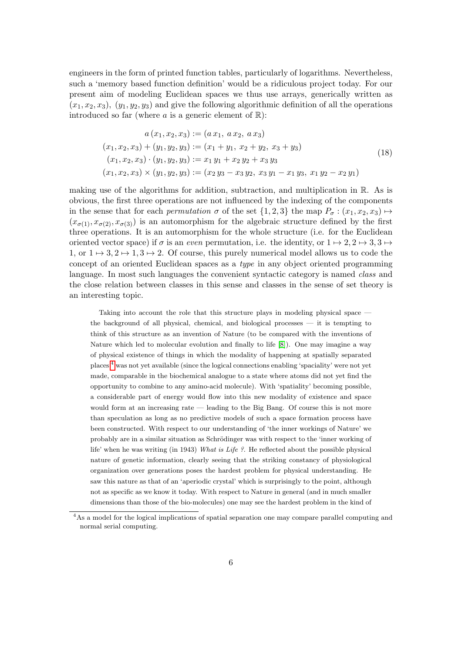engineers in the form of printed function tables, particularly of logarithms. Nevertheless, such a 'memory based function definition' would be a ridiculous project today. For our present aim of modeling Euclidean spaces we thus use arrays, generically written as  $(x_1, x_2, x_3), (y_1, y_2, y_3)$  and give the following algorithmic definition of all the operations introduced so far (where a is a generic element of  $\mathbb{R}$ ):

<span id="page-5-1"></span>
$$
a(x_1, x_2, x_3) := (a x_1, a x_2, a x_3)
$$
  
\n
$$
(x_1, x_2, x_3) + (y_1, y_2, y_3) := (x_1 + y_1, x_2 + y_2, x_3 + y_3)
$$
  
\n
$$
(x_1, x_2, x_3) \cdot (y_1, y_2, y_3) := x_1 y_1 + x_2 y_2 + x_3 y_3
$$
  
\n
$$
(x_1, x_2, x_3) \times (y_1, y_2, y_3) := (x_2 y_3 - x_3 y_2, x_3 y_1 - x_1 y_3, x_1 y_2 - x_2 y_1)
$$
\n(18)

making use of the algorithms for addition, subtraction, and multiplication in  $\mathbb{R}$ . As is obvious, the first three operations are not influenced by the indexing of the components in the sense that for each *permutation*  $\sigma$  of the set  $\{1,2,3\}$  the map  $P_{\sigma}$  :  $(x_1, x_2, x_3) \mapsto$  $(x_{\sigma(1)}, x_{\sigma(2)}, x_{\sigma(3)})$  is an automorphism for the algebraic structure defined by the first three operations. It is an automorphism for the whole structure (i.e. for the Euclidean oriented vector space) if  $\sigma$  is an even permutation, i.e. the identity, or  $1 \mapsto 2, 2 \mapsto 3, 3 \mapsto$ 1, or  $1 \mapsto 3, 2 \mapsto 1, 3 \mapsto 2$ . Of course, this purely numerical model allows us to code the concept of an oriented Euclidean spaces as a type in any object oriented programming language. In most such languages the convenient syntactic category is named *class* and the close relation between classes in this sense and classes in the sense of set theory is an interesting topic.

Taking into account the role that this structure plays in modeling physical space the background of all physical, chemical, and biological processes — it is tempting to think of this structure as an invention of Nature (to be compared with the inventions of Nature which led to molecular evolution and finally to life [\[8\]](#page-47-6)). One may imagine a way of physical existence of things in which the modality of happening at spatially separated places [4](#page-5-0) was not yet available (since the logical connections enabling 'spaciality' were not yet made, comparable in the biochemical analogue to a state where atoms did not yet find the opportunity to combine to any amino-acid molecule). With 'spatiality' becoming possible, a considerable part of energy would flow into this new modality of existence and space would form at an increasing rate — leading to the Big Bang. Of course this is not more than speculation as long as no predictive models of such a space formation process have been constructed. With respect to our understanding of 'the inner workings of Nature' we probably are in a similar situation as Schrödinger was with respect to the 'inner working of life' when he was writing (in 1943) What is Life ?. He reflected about the possible physical nature of genetic information, clearly seeing that the striking constancy of physiological organization over generations poses the hardest problem for physical understanding. He saw this nature as that of an 'aperiodic crystal' which is surprisingly to the point, although not as specific as we know it today. With respect to Nature in general (and in much smaller dimensions than those of the bio-molecules) one may see the hardest problem in the kind of

<span id="page-5-0"></span><sup>&</sup>lt;sup>4</sup>As a model for the logical implications of spatial separation one may compare parallel computing and normal serial computing.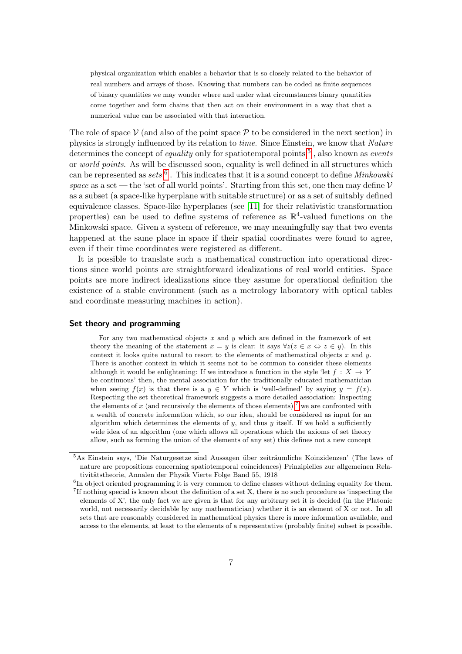physical organization which enables a behavior that is so closely related to the behavior of real numbers and arrays of those. Knowing that numbers can be coded as finite sequences of binary quantities we may wonder where and under what circumstances binary quantities come together and form chains that then act on their environment in a way that that a numerical value can be associated with that interaction.

The role of space  $\mathcal V$  (and also of the point space  $\mathcal P$  to be considered in the next section) in physics is strongly influenced by its relation to time. Since Einstein, we know that Nature determines the concept of *equality* only for spatiotemporal points  $5$ , also known as *events* or world points. As will be discussed soon, equality is well defined in all structures which can be represented as sets  $6$ . This indicates that it is a sound concept to define *Minkowski* space as a set — the 'set of all world points'. Starting from this set, one then may define  $\mathcal V$ as a subset (a space-like hyperplane with suitable structure) or as a set of suitably defined equivalence classes. Space-like hyperplanes (see [\[11\]](#page-47-7) for their relativistic transformation properties) can be used to define systems of reference as  $\mathbb{R}^4$ -valued functions on the Minkowski space. Given a system of reference, we may meaningfully say that two events happened at the same place in space if their spatial coordinates were found to agree, even if their time coordinates were registered as different.

It is possible to translate such a mathematical construction into operational directions since world points are straightforward idealizations of real world entities. Space points are more indirect idealizations since they assume for operational definition the existence of a stable environment (such as a metrology laboratory with optical tables and coordinate measuring machines in action).

#### Set theory and programming

For any two mathematical objects x and y which are defined in the framework of set theory the meaning of the statement  $x = y$  is clear: it says  $\forall z(z \in x \Leftrightarrow z \in y)$ . In this context it looks quite natural to resort to the elements of mathematical objects  $x$  and  $y$ . There is another context in which it seems not to be common to consider these elements although it would be enlightening: If we introduce a function in the style 'let  $f: X \to Y$ be continuous' then, the mental association for the traditionally educated mathematician when seeing  $f(x)$  is that there is a  $y \in Y$  which is 'well-defined' by saying  $y = f(x)$ . Respecting the set theoretical framework suggests a more detailed association: Inspecting the elements of  $x$  (and recursively the elements of those elements)<sup>[7](#page-6-2)</sup> we are confronted with a wealth of concrete information which, so our idea, should be considered as input for an algorithm which determines the elements of  $y$ , and thus  $y$  itself. If we hold a sufficiently wide idea of an algorithm (one which allows all operations which the axioms of set theory allow, such as forming the union of the elements of any set) this defines not a new concept

<span id="page-6-0"></span><sup>&</sup>lt;sup>5</sup>As Einstein says, 'Die Naturgesetze sind Aussagen über zeiträumliche Koinzidenzen' (The laws of nature are propositions concerning spatiotemporal coincidences) Prinzipielles zur allgemeinen Relativitätstheorie, Annalen der Physik Vierte Folge Band 55, 1918

<span id="page-6-1"></span><sup>&</sup>lt;sup>6</sup>In object oriented programming it is very common to define classes without defining equality for them. 7 If nothing special is known about the definition of a set X, there is no such procedure as 'inspecting the

<span id="page-6-2"></span>elements of X', the only fact we are given is that for any arbitrary set it is decided (in the Platonic world, not necessarily decidable by any mathematician) whether it is an element of X or not. In all sets that are reasonably considered in mathematical physics there is more information available, and access to the elements, at least to the elements of a representative (probably finite) subset is possible.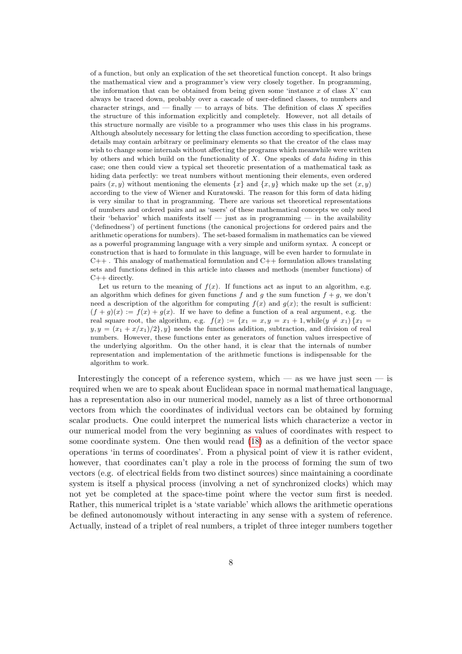of a function, but only an explication of the set theoretical function concept. It also brings the mathematical view and a programmer's view very closely together. In programming, the information that can be obtained from being given some 'instance  $x$  of class  $X'$  can always be traced down, probably over a cascade of user-defined classes, to numbers and character strings, and  $-$  finally  $-$  to arrays of bits. The definition of class X specifies the structure of this information explicitly and completely. However, not all details of this structure normally are visible to a programmer who uses this class in his programs. Although absolutely necessary for letting the class function according to specification, these details may contain arbitrary or preliminary elements so that the creator of the class may wish to change some internals without affecting the programs which meanwhile were written by others and which build on the functionality of  $X$ . One speaks of data hiding in this case; one then could view a typical set theoretic presentation of a mathematical task as hiding data perfectly: we treat numbers without mentioning their elements, even ordered pairs  $(x, y)$  without mentioning the elements  $\{x\}$  and  $\{x, y\}$  which make up the set  $(x, y)$ according to the view of Wiener and Kuratowski. The reason for this form of data hiding is very similar to that in programming. There are various set theoretical representations of numbers and ordered pairs and as 'users' of these mathematical concepts we only need their 'behavior' which manifests itself  $-$  just as in programming  $-$  in the availability ('definedness') of pertinent functions (the canonical projections for ordered pairs and the arithmetic operations for numbers). The set-based formalism in mathematics can be viewed as a powerful programming language with a very simple and uniform syntax. A concept or construction that is hard to formulate in this language, will be even harder to formulate in  $C_{++}$ . This analogy of mathematical formulation and  $C_{++}$  formulation allows translating sets and functions defined in this article into classes and methods (member functions) of  $C++$  directly.

Let us return to the meaning of  $f(x)$ . If functions act as input to an algorithm, e.g. an algorithm which defines for given functions f and q the sum function  $f + q$ , we don't need a description of the algorithm for computing  $f(x)$  and  $g(x)$ ; the result is sufficient:  $(f+q)(x) := f(x) + q(x)$ . If we have to define a function of a real argument, e.g. the real square root, the algorithm, e.g.  $f(x) := \{x_1 = x, y = x_1 + 1, \text{while}(y \neq x_1) \}$  $y, y = (x_1 + x/x_1)/2$ , y needs the functions addition, subtraction, and division of real numbers. However, these functions enter as generators of function values irrespective of the underlying algorithm. On the other hand, it is clear that the internals of number representation and implementation of the arithmetic functions is indispensable for the algorithm to work.

Interestingly the concept of a reference system, which — as we have just seen — is required when we are to speak about Euclidean space in normal mathematical language, has a representation also in our numerical model, namely as a list of three orthonormal vectors from which the coordinates of individual vectors can be obtained by forming scalar products. One could interpret the numerical lists which characterize a vector in our numerical model from the very beginning as values of coordinates with respect to some coordinate system. One then would read [\(18\)](#page-5-1) as a definition of the vector space operations 'in terms of coordinates'. From a physical point of view it is rather evident, however, that coordinates can't play a role in the process of forming the sum of two vectors (e.g. of electrical fields from two distinct sources) since maintaining a coordinate system is itself a physical process (involving a net of synchronized clocks) which may not yet be completed at the space-time point where the vector sum first is needed. Rather, this numerical triplet is a 'state variable' which allows the arithmetic operations be defined autonomously without interacting in any sense with a system of reference. Actually, instead of a triplet of real numbers, a triplet of three integer numbers together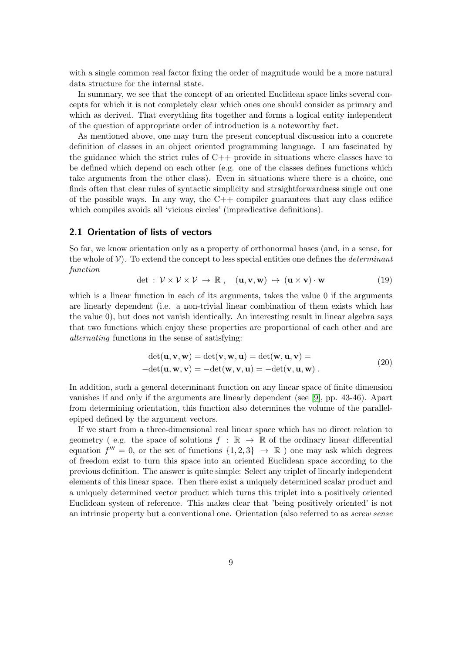with a single common real factor fixing the order of magnitude would be a more natural data structure for the internal state.

In summary, we see that the concept of an oriented Euclidean space links several concepts for which it is not completely clear which ones one should consider as primary and which as derived. That everything fits together and forms a logical entity independent of the question of appropriate order of introduction is a noteworthy fact.

As mentioned above, one may turn the present conceptual discussion into a concrete definition of classes in an object oriented programming language. I am fascinated by the guidance which the strict rules of  $C++$  provide in situations where classes have to be defined which depend on each other (e.g. one of the classes defines functions which take arguments from the other class). Even in situations where there is a choice, one finds often that clear rules of syntactic simplicity and straightforwardness single out one of the possible ways. In any way, the  $C++$  compiler guarantees that any class edifice which compiles avoids all 'vicious circles' (impredicative definitions).

#### 2.1 Orientation of lists of vectors

So far, we know orientation only as a property of orthonormal bases (and, in a sense, for the whole of  $V$ ). To extend the concept to less special entities one defines the *determinant* function

$$
\det : \mathcal{V} \times \mathcal{V} \times \mathcal{V} \to \mathbb{R} \,, \quad (\mathbf{u}, \mathbf{v}, \mathbf{w}) \mapsto (\mathbf{u} \times \mathbf{v}) \cdot \mathbf{w} \tag{19}
$$

which is a linear function in each of its arguments, takes the value 0 if the arguments are linearly dependent (i.e. a non-trivial linear combination of them exists which has the value 0), but does not vanish identically. An interesting result in linear algebra says that two functions which enjoy these properties are proportional of each other and are alternating functions in the sense of satisfying:

$$
\begin{aligned} \det(\mathbf{u}, \mathbf{v}, \mathbf{w}) &= \det(\mathbf{v}, \mathbf{w}, \mathbf{u}) = \det(\mathbf{w}, \mathbf{u}, \mathbf{v}) = \\ -\det(\mathbf{u}, \mathbf{w}, \mathbf{v}) &= -\det(\mathbf{w}, \mathbf{v}, \mathbf{u}) = -\det(\mathbf{v}, \mathbf{u}, \mathbf{w}) \,. \end{aligned} \tag{20}
$$

In addition, such a general determinant function on any linear space of finite dimension vanishes if and only if the arguments are linearly dependent (see [\[9\]](#page-47-8), pp. 43-46). Apart from determining orientation, this function also determines the volume of the parallelepiped defined by the argument vectors.

If we start from a three-dimensional real linear space which has no direct relation to geometry (e.g. the space of solutions  $f : \mathbb{R} \to \mathbb{R}$  of the ordinary linear differential equation  $f''' = 0$ , or the set of functions  $\{1,2,3\} \rightarrow \mathbb{R}$ ) one may ask which degrees of freedom exist to turn this space into an oriented Euclidean space according to the previous definition. The answer is quite simple: Select any triplet of linearly independent elements of this linear space. Then there exist a uniquely determined scalar product and a uniquely determined vector product which turns this triplet into a positively oriented Euclidean system of reference. This makes clear that 'being positively oriented' is not an intrinsic property but a conventional one. Orientation (also referred to as screw sense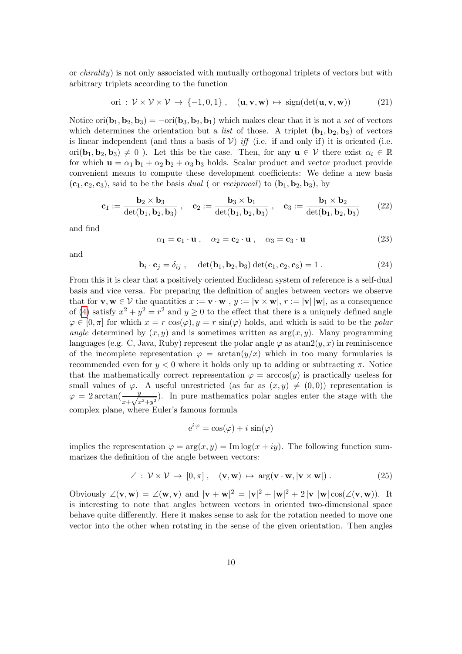or chirality) is not only associated with mutually orthogonal triplets of vectors but with arbitrary triplets according to the function

<span id="page-9-0"></span>
$$
\text{ori}: \mathcal{V} \times \mathcal{V} \times \mathcal{V} \to \{-1, 0, 1\} \,, \quad (\mathbf{u}, \mathbf{v}, \mathbf{w}) \mapsto \text{sign}(\det(\mathbf{u}, \mathbf{v}, \mathbf{w})) \tag{21}
$$

Notice ori $(b_1, b_2, b_3) = -\text{ori}(b_3, b_2, b_1)$  which makes clear that it is not a set of vectors which determines the orientation but a *list* of those. A triplet  $(b_1, b_2, b_3)$  of vectors is linear independent (and thus a basis of  $V$ ) iff (i.e. if and only if) it is oriented (i.e. ori( $\mathbf{b}_1, \mathbf{b}_2, \mathbf{b}_3$ )  $\neq 0$ ). Let this be the case. Then, for any  $\mathbf{u} \in \mathcal{V}$  there exist  $\alpha_i \in \mathbb{R}$ for which  $\mathbf{u} = \alpha_1 \mathbf{b}_1 + \alpha_2 \mathbf{b}_2 + \alpha_3 \mathbf{b}_3$  holds. Scalar product and vector product provide convenient means to compute these development coefficients: We define a new basis  $(c_1, c_2, c_3)$ , said to be the basis dual ( or *reciprocal*) to  $(b_1, b_2, b_3)$ , by

$$
\mathbf{c}_1 := \frac{\mathbf{b}_2 \times \mathbf{b}_3}{\det(\mathbf{b}_1, \mathbf{b}_2, \mathbf{b}_3)}, \quad \mathbf{c}_2 := \frac{\mathbf{b}_3 \times \mathbf{b}_1}{\det(\mathbf{b}_1, \mathbf{b}_2, \mathbf{b}_3)}, \quad \mathbf{c}_3 := \frac{\mathbf{b}_1 \times \mathbf{b}_2}{\det(\mathbf{b}_1, \mathbf{b}_2, \mathbf{b}_3)}\tag{22}
$$

and find

$$
\alpha_1 = \mathbf{c}_1 \cdot \mathbf{u} \,, \quad \alpha_2 = \mathbf{c}_2 \cdot \mathbf{u} \,, \quad \alpha_3 = \mathbf{c}_3 \cdot \mathbf{u} \tag{23}
$$

and

$$
\mathbf{b}_i \cdot \mathbf{c}_j = \delta_{ij}, \quad \det(\mathbf{b}_1, \mathbf{b}_2, \mathbf{b}_3) \det(\mathbf{c}_1, \mathbf{c}_2, \mathbf{c}_3) = 1.
$$
 (24)

From this it is clear that a positively oriented Euclidean system of reference is a self-dual basis and vice versa. For preparing the definition of angles between vectors we observe that for  $\mathbf{v}, \mathbf{w} \in \mathcal{V}$  the quantities  $x := \mathbf{v} \cdot \mathbf{w}$ ,  $y := |\mathbf{v} \times \mathbf{w}|$ ,  $r := |\mathbf{v}| |\mathbf{w}|$ , as a consequence of [\(4\)](#page-1-4) satisfy  $x^2 + y^2 = r^2$  and  $y \ge 0$  to the effect that there is a uniquely defined angle  $\varphi \in [0, \pi]$  for which  $x = r \cos(\varphi), y = r \sin(\varphi)$  holds, and which is said to be the *polar* angle determined by  $(x, y)$  and is sometimes written as  $arg(x, y)$ . Many programming languages (e.g. C, Java, Ruby) represent the polar angle  $\varphi$  as  $\text{atan2}(y, x)$  in reminiscence of the incomplete representation  $\varphi = \arctan(\psi/x)$  which in too many formularies is recommended even for  $y < 0$  where it holds only up to adding or subtracting  $\pi$ . Notice that the mathematically correct representation  $\varphi = \arccos(y)$  is practically useless for small values of  $\varphi$ . A useful unrestricted (as far as  $(x, y) \neq (0, 0)$ ) representation is  $\varphi = 2 \arctan(\frac{y}{x + \sqrt{x^2 + y^2}})$ . In pure mathematics polar angles enter the stage with the complex plane, where Euler's famous formula

$$
e^{i\varphi} = \cos(\varphi) + i\sin(\varphi)
$$

implies the representation  $\varphi = \arg(x, y) = \text{Im} \log(x + iy)$ . The following function summarizes the definition of the angle between vectors:

$$
\angle : \mathcal{V} \times \mathcal{V} \to [0, \pi], \quad (\mathbf{v}, \mathbf{w}) \mapsto \arg(\mathbf{v} \cdot \mathbf{w}, |\mathbf{v} \times \mathbf{w}|) . \tag{25}
$$

Obviously  $\angle(\mathbf{v}, \mathbf{w}) = \angle(\mathbf{w}, \mathbf{v})$  and  $|\mathbf{v} + \mathbf{w}|^2 = |\mathbf{v}|^2 + |\mathbf{w}|^2 + 2 |\mathbf{v}| |\mathbf{w}| \cos(\angle(\mathbf{v}, \mathbf{w}))$ . It is interesting to note that angles between vectors in oriented two-dimensional space behave quite differently. Here it makes sense to ask for the rotation needed to move one vector into the other when rotating in the sense of the given orientation. Then angles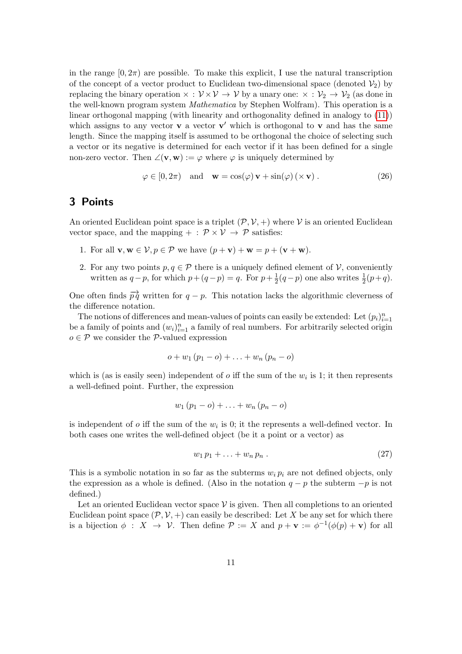in the range  $[0, 2\pi)$  are possible. To make this explicit, I use the natural transcription of the concept of a vector product to Euclidean two-dimensional space (denoted  $V_2$ ) by replacing the binary operation  $\times : \mathcal{V} \times \mathcal{V} \to \mathcal{V}$  by a unary one:  $\times : \mathcal{V}_2 \to \mathcal{V}_2$  (as done in the well-known program system Mathematica by Stephen Wolfram). This operation is a linear orthogonal mapping (with linearity and orthogonality defined in analogy to [\(11\)](#page-3-0)) which assigns to any vector  $\mathbf{v}$  a vector  $\mathbf{v}'$  which is orthogonal to  $\mathbf{v}$  and has the same length. Since the mapping itself is assumed to be orthogonal the choice of selecting such a vector or its negative is determined for each vector if it has been defined for a single non-zero vector. Then  $\angle(\mathbf{v}, \mathbf{w}) := \varphi$  where  $\varphi$  is uniquely determined by

$$
\varphi \in [0, 2\pi) \quad \text{and} \quad \mathbf{w} = \cos(\varphi) \mathbf{v} + \sin(\varphi) (\times \mathbf{v}). \tag{26}
$$

## 3 Points

An oriented Euclidean point space is a triplet  $(\mathcal{P}, \mathcal{V}, +)$  where V is an oriented Euclidean vector space, and the mapping  $+ : \mathcal{P} \times \mathcal{V} \rightarrow \mathcal{P}$  satisfies:

- 1. For all  $\mathbf{v}, \mathbf{w} \in \mathcal{V}, p \in \mathcal{P}$  we have  $(p + \mathbf{v}) + \mathbf{w} = p + (\mathbf{v} + \mathbf{w})$ .
- 2. For any two points  $p, q \in \mathcal{P}$  there is a uniquely defined element of  $\mathcal{V}$ , conveniently written as  $q-p$ , for which  $p+(q-p)=q$ . For  $p+\frac{1}{2}$  $\frac{1}{2}(q-p)$  one also writes  $\frac{1}{2}(p+q)$ .

One often finds  $\overrightarrow{pq}$  written for  $q - p$ . This notation lacks the algorithmic cleverness of the difference notation.

The notions of differences and mean-values of points can easily be extended: Let  $(p_i)_{i=1}^n$ be a family of points and  $(w_i)_{i=1}^n$  a family of real numbers. For arbitrarily selected origin  $o \in \mathcal{P}$  we consider the  $\mathcal{P}$ -valued expression

$$
o + w_1 (p_1 - o) + \ldots + w_n (p_n - o)
$$

which is (as is easily seen) independent of  $o$  iff the sum of the  $w_i$  is 1; it then represents a well-defined point. Further, the expression

$$
w_1 (p_1-o)+\ldots+w_n (p_n-o)
$$

is independent of  $o$  iff the sum of the  $w_i$  is 0; it the represents a well-defined vector. In both cases one writes the well-defined object (be it a point or a vector) as

<span id="page-10-0"></span>
$$
w_1 p_1 + \ldots + w_n p_n . \tag{27}
$$

This is a symbolic notation in so far as the subterms  $w_i p_i$  are not defined objects, only the expression as a whole is defined. (Also in the notation  $q - p$  the subterm  $-p$  is not defined.)

Let an oriented Euclidean vector space  $\mathcal V$  is given. Then all completions to an oriented Euclidean point space  $(\mathcal{P}, \mathcal{V}, +)$  can easily be described: Let X be any set for which there is a bijection  $\phi : X \to V$ . Then define  $\mathcal{P} := X$  and  $p + \mathbf{v} := \phi^{-1}(\phi(p) + \mathbf{v})$  for all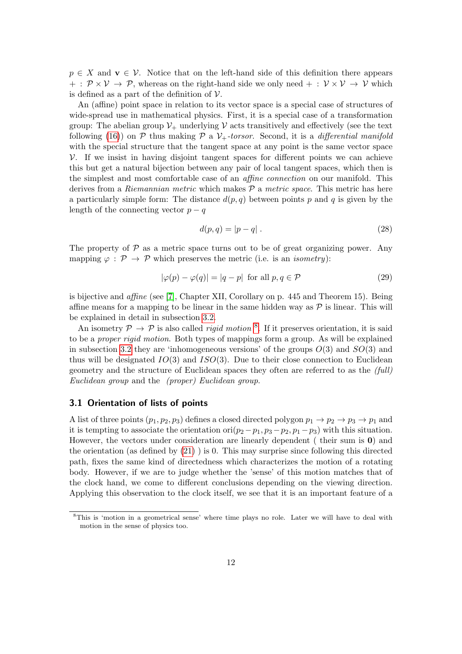$p \in X$  and  $\mathbf{v} \in \mathcal{V}$ . Notice that on the left-hand side of this definition there appears  $+ : \mathcal{P} \times \mathcal{V} \rightarrow \mathcal{P}$ , whereas on the right-hand side we only need  $+ : \mathcal{V} \times \mathcal{V} \rightarrow \mathcal{V}$  which is defined as a part of the definition of  $\mathcal V$ .

An (affine) point space in relation to its vector space is a special case of structures of wide-spread use in mathematical physics. First, it is a special case of a transformation group: The abelian group  $\mathcal{V}_+$  underlying  $\mathcal V$  acts transitively and effectively (see the text following [\(16\)](#page-4-0)) on P thus making P a  $V_+$ -torsor. Second, it is a differential manifold with the special structure that the tangent space at any point is the same vector space  $V$ . If we insist in having disjoint tangent spaces for different points we can achieve this but get a natural bijection between any pair of local tangent spaces, which then is the simplest and most comfortable case of an affine connection on our manifold. This derives from a *Riemannian metric* which makes  $P$  a *metric space*. This metric has here a particularly simple form: The distance  $d(p, q)$  between points p and q is given by the length of the connecting vector  $p - q$ 

$$
d(p,q) = |p - q| \tag{28}
$$

The property of  $P$  as a metric space turns out to be of great organizing power. Any mapping  $\varphi : \mathcal{P} \to \mathcal{P}$  which preserves the metric (i.e. is an *isometry*):

$$
|\varphi(p) - \varphi(q)| = |q - p| \text{ for all } p, q \in \mathcal{P}
$$
\n(29)

is bijective and affine (see [\[7\]](#page-47-5), Chapter XII, Corollary on p. 445 and Theorem 15). Being affine means for a mapping to be linear in the same hidden way as  $\mathcal P$  is linear. This will be explained in detail in subsection [3.2.](#page-12-0)

An isometry  $P \to P$  is also called *rigid motion*<sup>[8](#page-11-0)</sup>. If it preserves orientation, it is said to be a proper rigid motion. Both types of mappings form a group. As will be explained in subsection [3.2](#page-12-0) they are 'inhomogeneous versions' of the groups  $O(3)$  and  $SO(3)$  and thus will be designated  $IO(3)$  and  $ISO(3)$ . Due to their close connection to Euclidean geometry and the structure of Euclidean spaces they often are referred to as the (full) Euclidean group and the (proper) Euclidean group.

#### 3.1 Orientation of lists of points

A list of three points  $(p_1, p_2, p_3)$  defines a closed directed polygon  $p_1 \to p_2 \to p_3 \to p_1$  and it is tempting to associate the orientation ori $(p_2 - p_1, p_3 - p_2, p_1 - p_3)$  with this situation. However, the vectors under consideration are linearly dependent ( their sum is 0) and the orientation (as defined by  $(21)$ ) is 0. This may surprise since following this directed path, fixes the same kind of directedness which characterizes the motion of a rotating body. However, if we are to judge whether the 'sense' of this motion matches that of the clock hand, we come to different conclusions depending on the viewing direction. Applying this observation to the clock itself, we see that it is an important feature of a

<span id="page-11-0"></span><sup>8</sup>This is 'motion in a geometrical sense' where time plays no role. Later we will have to deal with motion in the sense of physics too.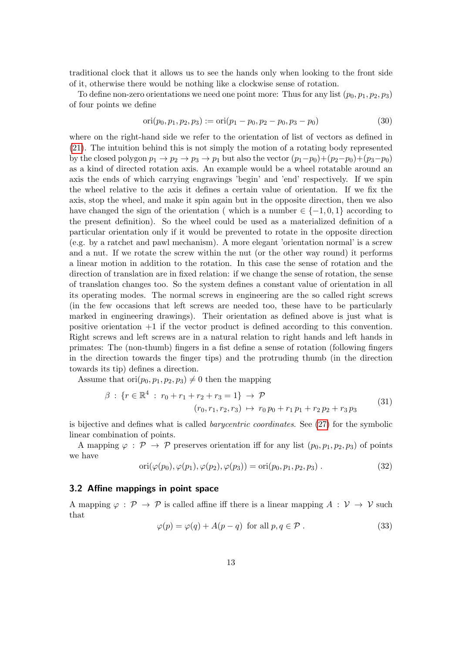traditional clock that it allows us to see the hands only when looking to the front side of it, otherwise there would be nothing like a clockwise sense of rotation.

To define non-zero orientations we need one point more: Thus for any list  $(p_0, p_1, p_2, p_3)$ of four points we define

$$
ori(p_0, p_1, p_2, p_3) := ori(p_1 - p_0, p_2 - p_0, p_3 - p_0)
$$
\n(30)

where on the right-hand side we refer to the orientation of list of vectors as defined in [\(21\)](#page-9-0). The intuition behind this is not simply the motion of a rotating body represented by the closed polygon  $p_1 \rightarrow p_2 \rightarrow p_3 \rightarrow p_1$  but also the vector  $(p_1-p_0)+(p_2-p_0)+(p_3-p_0)$ as a kind of directed rotation axis. An example would be a wheel rotatable around an axis the ends of which carrying engravings 'begin' and 'end' respectively. If we spin the wheel relative to the axis it defines a certain value of orientation. If we fix the axis, stop the wheel, and make it spin again but in the opposite direction, then we also have changed the sign of the orientation ( which is a number  $\in \{-1,0,1\}$  according to the present definition). So the wheel could be used as a materialized definition of a particular orientation only if it would be prevented to rotate in the opposite direction (e.g. by a ratchet and pawl mechanism). A more elegant 'orientation normal' is a screw and a nut. If we rotate the screw within the nut (or the other way round) it performs a linear motion in addition to the rotation. In this case the sense of rotation and the direction of translation are in fixed relation: if we change the sense of rotation, the sense of translation changes too. So the system defines a constant value of orientation in all its operating modes. The normal screws in engineering are the so called right screws (in the few occasions that left screws are needed too, these have to be particularly marked in engineering drawings). Their orientation as defined above is just what is positive orientation +1 if the vector product is defined according to this convention. Right screws and left screws are in a natural relation to right hands and left hands in primates: The (non-thumb) fingers in a fist define a sense of rotation (following fingers in the direction towards the finger tips) and the protruding thumb (in the direction towards its tip) defines a direction.

Assume that  $\text{ori}(p_0, p_1, p_2, p_3) \neq 0$  then the mapping

$$
\beta : \{ r \in \mathbb{R}^4 : r_0 + r_1 + r_2 + r_3 = 1 \} \to \mathcal{P}
$$
  

$$
(r_0, r_1, r_2, r_3) \mapsto r_0 p_0 + r_1 p_1 + r_2 p_2 + r_3 p_3
$$
 (31)

is bijective and defines what is called barycentric coordinates. See [\(27\)](#page-10-0) for the symbolic linear combination of points.

A mapping  $\varphi : \mathcal{P} \to \mathcal{P}$  preserves orientation iff for any list  $(p_0, p_1, p_2, p_3)$  of points we have

$$
ori(\varphi(p_0), \varphi(p_1), \varphi(p_2), \varphi(p_3)) = ori(p_0, p_1, p_2, p_3).
$$
\n(32)

#### <span id="page-12-0"></span>3.2 Affine mappings in point space

A mapping  $\varphi : \mathcal{P} \to \mathcal{P}$  is called affine iff there is a linear mapping  $A : \mathcal{V} \to \mathcal{V}$  such that

$$
\varphi(p) = \varphi(q) + A(p - q) \text{ for all } p, q \in \mathcal{P}. \tag{33}
$$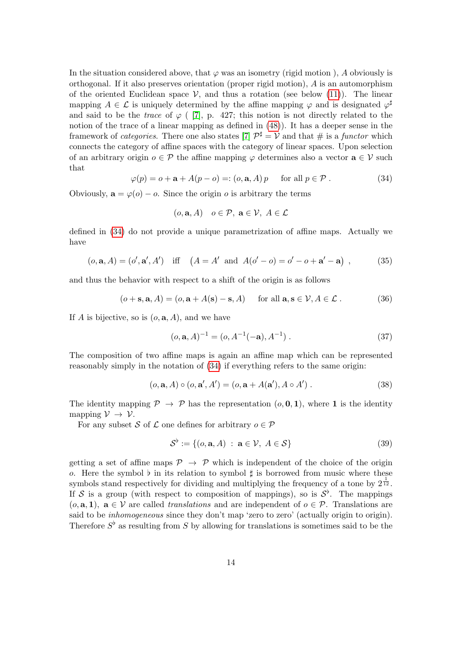In the situation considered above, that  $\varphi$  was an isometry (rigid motion), A obviously is orthogonal. If it also preserves orientation (proper rigid motion),  $A$  is an automorphism of the oriented Euclidean space  $V$ , and thus a rotation (see below [\(11\)](#page-3-0)). The linear mapping  $A \in \mathcal{L}$  is uniquely determined by the affine mapping  $\varphi$  and is designated  $\varphi^{\sharp}$ and said to be the trace of  $\varphi$  ([\[7\]](#page-47-5), p. 427; this notion is not directly related to the notion of the trace of a linear mapping as defined in [\(48\)](#page-16-0)). It has a deeper sense in the framework of *categories*. There one also states [\[7\]](#page-47-5)  $\mathcal{P}^{\sharp} = \mathcal{V}$  and that # is a *functor* which connects the category of affine spaces with the category of linear spaces. Upon selection of an arbitrary origin  $o \in \mathcal{P}$  the affine mapping  $\varphi$  determines also a vector  $\mathbf{a} \in \mathcal{V}$  such that

<span id="page-13-0"></span>
$$
\varphi(p) = o + \mathbf{a} + A(p - o) =: (o, \mathbf{a}, A) p \quad \text{for all } p \in \mathcal{P} . \tag{34}
$$

Obviously,  $\mathbf{a} = \varphi(o) - o$ . Since the origin *o* is arbitrary the terms

$$
(o, \mathbf{a}, A)
$$
  $o \in \mathcal{P}, \mathbf{a} \in \mathcal{V}, A \in \mathcal{L}$ 

defined in [\(34\)](#page-13-0) do not provide a unique parametrization of affine maps. Actually we have

$$
(o, \mathbf{a}, A) = (o', \mathbf{a}', A')
$$
 iff  $(A = A' \text{ and } A(o' - o) = o' - o + \mathbf{a}' - \mathbf{a})$ , (35)

and thus the behavior with respect to a shift of the origin is as follows

<span id="page-13-1"></span>
$$
(o + s, a, A) = (o, a + A(s) - s, A) \quad \text{for all } a, s \in V, A \in \mathcal{L}.
$$
 (36)

If A is bijective, so is  $(o, \mathbf{a}, A)$ , and we have

$$
(o, \mathbf{a}, A)^{-1} = (o, A^{-1}(-\mathbf{a}), A^{-1}).
$$
\n(37)

The composition of two affine maps is again an affine map which can be represented reasonably simply in the notation of [\(34\)](#page-13-0) if everything refers to the same origin:

$$
(o, a, A) \circ (o, a', A') = (o, a + A(a', A \circ A')).
$$
\n(38)

The identity mapping  $\mathcal{P} \to \mathcal{P}$  has the representation  $(o, \mathbf{0}, \mathbf{1})$ , where **1** is the identity mapping  $\mathcal{V} \rightarrow \mathcal{V}$ .

For any subset S of L one defines for arbitrary  $o \in \mathcal{P}$ 

$$
\mathcal{S}^{\flat} := \{ (o, \mathbf{a}, A) : \mathbf{a} \in \mathcal{V}, A \in \mathcal{S} \}
$$
 (39)

getting a set of affine maps  $\mathcal{P} \rightarrow \mathcal{P}$  which is independent of the choice of the origin o. Here the symbol  $\flat$  in its relation to symbol  $\sharp$  is borrowed from music where these symbols stand respectively for dividing and multiplying the frequency of a tone by  $2^{\frac{1}{12}}$ . If S is a group (with respect to composition of mappings), so is  $S^{\flat}$ . The mappings  $(o, \mathbf{a}, 1)$ ,  $\mathbf{a} \in \mathcal{V}$  are called translations and are independent of  $o \in \mathcal{P}$ . Translations are said to be *inhomogeneous* since they don't map 'zero to zero' (actually origin to origin). Therefore  $S^{\flat}$  as resulting from S by allowing for translations is sometimes said to be the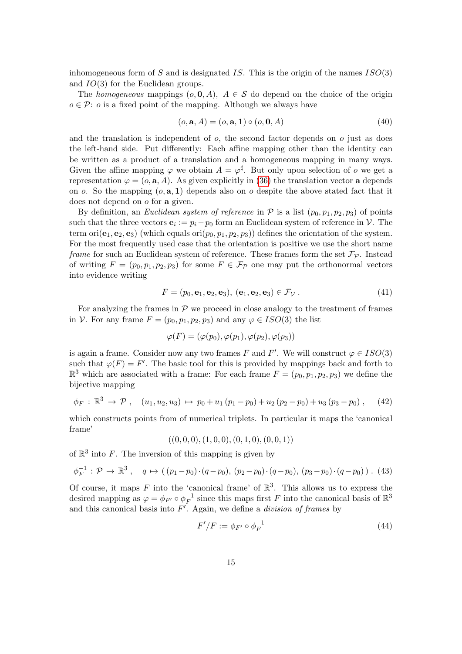inhomogeneous form of S and is designated IS. This is the origin of the names  $ISO(3)$ and IO(3) for the Euclidean groups.

The homogeneous mappings  $(o, 0, A)$ ,  $A \in S$  do depend on the choice of the origin  $o \in \mathcal{P}$ : o is a fixed point of the mapping. Although we always have

$$
(o, \mathbf{a}, A) = (o, \mathbf{a}, \mathbf{1}) \circ (o, \mathbf{0}, A) \tag{40}
$$

and the translation is independent of  $o$ , the second factor depends on  $o$  just as does the left-hand side. Put differently: Each affine mapping other than the identity can be written as a product of a translation and a homogeneous mapping in many ways. Given the affine mapping  $\varphi$  we obtain  $A = \varphi^{\sharp}$ . But only upon selection of  $\sigma$  we get a representation  $\varphi = (o, \mathbf{a}, A)$ . As given explicitly in [\(36\)](#page-13-1) the translation vector **a** depends on o. So the mapping  $(o, \mathbf{a}, 1)$  depends also on o despite the above stated fact that it does not depend on o for a given.

By definition, an *Euclidean system of reference* in  $P$  is a list  $(p_0, p_1, p_2, p_3)$  of points such that the three vectors  $\mathbf{e}_i := p_i - p_0$  form an Euclidean system of reference in  $\mathcal{V}$ . The term ori $(e_1, e_2, e_3)$  (which equals ori $(p_0, p_1, p_2, p_3)$ ) defines the orientation of the system. For the most frequently used case that the orientation is positive we use the short name frame for such an Euclidean system of reference. These frames form the set  $\mathcal{F}_{\mathcal{P}}$ . Instead of writing  $F = (p_0, p_1, p_2, p_3)$  for some  $F \in \mathcal{F}_p$  one may put the orthonormal vectors into evidence writing

<span id="page-14-0"></span>
$$
F = (p_0, \mathbf{e}_1, \mathbf{e}_2, \mathbf{e}_3), (\mathbf{e}_1, \mathbf{e}_2, \mathbf{e}_3) \in \mathcal{F}_\mathcal{V} . \tag{41}
$$

For analyzing the frames in  $P$  we proceed in close analogy to the treatment of frames in V. For any frame  $F = (p_0, p_1, p_2, p_3)$  and any  $\varphi \in ISO(3)$  the list

$$
\varphi(F) = (\varphi(p_0), \varphi(p_1), \varphi(p_2), \varphi(p_3))
$$

is again a frame. Consider now any two frames F and F'. We will construct  $\varphi \in ISO(3)$ such that  $\varphi(F) = F'$ . The basic tool for this is provided by mappings back and forth to  $\mathbb{R}^3$  which are associated with a frame: For each frame  $F = (p_0, p_1, p_2, p_3)$  we define the bijective mapping

$$
\phi_F: \mathbb{R}^3 \to \mathcal{P}, \quad (u_1, u_2, u_3) \mapsto p_0 + u_1 (p_1 - p_0) + u_2 (p_2 - p_0) + u_3 (p_3 - p_0), \quad (42)
$$

which constructs points from of numerical triplets. In particular it maps the 'canonical frame'

 $((0, 0, 0), (1, 0, 0), (0, 1, 0), (0, 0, 1))$ 

of  $\mathbb{R}^3$  into F. The inversion of this mapping is given by

$$
\phi_F^{-1} : \mathcal{P} \to \mathbb{R}^3 \,, \quad q \mapsto ((p_1 - p_0) \cdot (q - p_0), (p_2 - p_0) \cdot (q - p_0), (p_3 - p_0) \cdot (q - p_0)) \,.
$$
 (43)

Of course, it maps F into the 'canonical frame' of  $\mathbb{R}^3$ . This allows us to express the desired mapping as  $\varphi = \phi_{F'} \circ \phi_F^{-1}$  $\overline{F}^1$  since this maps first F into the canonical basis of  $\mathbb{R}^3$ and this canonical basis into  $F<sup>'</sup>$ . Again, we define a *division of frames* by

$$
F'/F := \phi_{F'} \circ \phi_F^{-1} \tag{44}
$$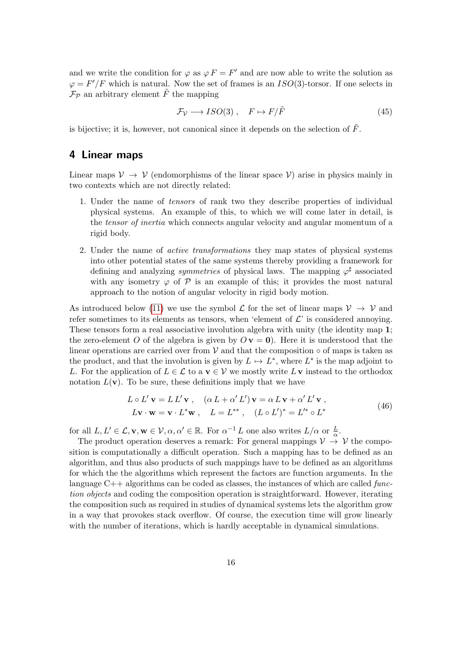and we write the condition for  $\varphi$  as  $\varphi F = F'$  and are now able to write the solution as  $\varphi = F'/F$  which is natural. Now the set of frames is an  $ISO(3)$ -torsor. If one selects in  $\mathcal{F}_{\mathcal{P}}$  an arbitrary element  $\tilde{F}$  the mapping

<span id="page-15-2"></span>
$$
\mathcal{F}_{\mathcal{V}} \longrightarrow ISO(3) \ , \quad F \mapsto F/\tilde{F} \tag{45}
$$

is bijective; it is, however, not canonical since it depends on the selection of  $\tilde{F}$ .

## <span id="page-15-0"></span>4 Linear maps

Linear maps  $\mathcal{V} \to \mathcal{V}$  (endomorphisms of the linear space  $\mathcal{V}$ ) arise in physics mainly in two contexts which are not directly related:

- 1. Under the name of tensors of rank two they describe properties of individual physical systems. An example of this, to which we will come later in detail, is the tensor of inertia which connects angular velocity and angular momentum of a rigid body.
- 2. Under the name of active transformations they map states of physical systems into other potential states of the same systems thereby providing a framework for defining and analyzing *symmetries* of physical laws. The mapping  $\varphi^{\sharp}$  associated with any isometry  $\varphi$  of  $\mathcal P$  is an example of this; it provides the most natural approach to the notion of angular velocity in rigid body motion.

As introduced below [\(11\)](#page-3-0) we use the symbol  $\mathcal L$  for the set of linear maps  $\mathcal V \to \mathcal V$  and refer sometimes to its elements as tensors, when 'element of  $\mathcal{L}'$  is considered annoying. These tensors form a real associative involution algebra with unity (the identity map 1; the zero-element O of the algebra is given by  $O \mathbf{v} = \mathbf{0}$ . Here it is understood that the linear operations are carried over from  $V$  and that the composition  $\circ$  of maps is taken as the product, and that the involution is given by  $L \mapsto L^*$ , where  $L^*$  is the map adjoint to L. For the application of  $L \in \mathcal{L}$  to a  $\mathbf{v} \in \mathcal{V}$  we mostly write  $L\mathbf{v}$  instead to the orthodox notation  $L(\mathbf{v})$ . To be sure, these definitions imply that we have

$$
L \circ L' \mathbf{v} = L L' \mathbf{v} , \quad (\alpha L + \alpha' L') \mathbf{v} = \alpha L \mathbf{v} + \alpha' L' \mathbf{v} ,
$$
  
\n
$$
L \mathbf{v} \cdot \mathbf{w} = \mathbf{v} \cdot L^* \mathbf{w} , \quad L = L^{**} , \quad (L \circ L')^* = L'^* \circ L^*
$$
 (46)

<span id="page-15-1"></span>for all  $L, L' \in \mathcal{L}, \mathbf{v}, \mathbf{w} \in \mathcal{V}, \alpha, \alpha' \in \mathbb{R}$ . For  $\alpha^{-1} L$  one also writes  $L/\alpha$  or  $\frac{L}{\alpha}$ .

The product operation deserves a remark: For general mappings  $\mathcal{V} \rightarrow \mathcal{V}$  the composition is computationally a difficult operation. Such a mapping has to be defined as an algorithm, and thus also products of such mappings have to be defined as an algorithms for which the the algorithms which represent the factors are function arguments. In the language  $C_{++}$  algorithms can be coded as classes, the instances of which are called function objects and coding the composition operation is straightforward. However, iterating the composition such as required in studies of dynamical systems lets the algorithm grow in a way that provokes stack overflow. Of course, the execution time will grow linearly with the number of iterations, which is hardly acceptable in dynamical simulations.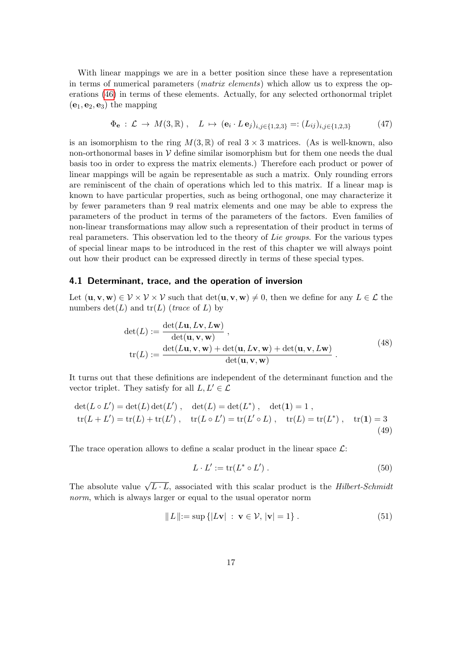With linear mappings we are in a better position since these have a representation in terms of numerical parameters (matrix elements) which allow us to express the operations [\(46\)](#page-15-1) in terms of these elements. Actually, for any selected orthonormal triplet  $(e_1, e_2, e_3)$  the mapping

<span id="page-16-1"></span>
$$
\Phi_{\mathbf{e}} : \mathcal{L} \to M(3, \mathbb{R}), \quad L \mapsto (\mathbf{e}_i \cdot L \mathbf{e}_j)_{i,j \in \{1,2,3\}} =: (L_{ij})_{i,j \in \{1,2,3\}} \tag{47}
$$

is an isomorphism to the ring  $M(3,\mathbb{R})$  of real  $3\times 3$  matrices. (As is well-known, also non-orthonormal bases in  $V$  define similar isomorphism but for them one needs the dual basis too in order to express the matrix elements.) Therefore each product or power of linear mappings will be again be representable as such a matrix. Only rounding errors are reminiscent of the chain of operations which led to this matrix. If a linear map is known to have particular properties, such as being orthogonal, one may characterize it by fewer parameters than 9 real matrix elements and one may be able to express the parameters of the product in terms of the parameters of the factors. Even families of non-linear transformations may allow such a representation of their product in terms of real parameters. This observation led to the theory of Lie groups. For the various types of special linear maps to be introduced in the rest of this chapter we will always point out how their product can be expressed directly in terms of these special types.

#### 4.1 Determinant, trace, and the operation of inversion

Let  $(\mathbf{u}, \mathbf{v}, \mathbf{w}) \in \mathcal{V} \times \mathcal{V} \times \mathcal{V}$  such that  $\det(\mathbf{u}, \mathbf{v}, \mathbf{w}) \neq 0$ , then we define for any  $L \in \mathcal{L}$  the numbers  $\det(L)$  and  $\operatorname{tr}(L)$  (*trace* of L) by

$$
\det(L) := \frac{\det(L\mathbf{u}, L\mathbf{v}, L\mathbf{w})}{\det(\mathbf{u}, \mathbf{v}, \mathbf{w})},
$$
  

$$
\text{tr}(L) := \frac{\det(L\mathbf{u}, \mathbf{v}, \mathbf{w}) + \det(\mathbf{u}, L\mathbf{v}, \mathbf{w}) + \det(\mathbf{u}, \mathbf{v}, L\mathbf{w})}{\det(\mathbf{u}, \mathbf{v}, \mathbf{w})}.
$$
(48)

<span id="page-16-0"></span>It turns out that these definitions are independent of the determinant function and the vector triplet. They satisfy for all  $L, L' \in \mathcal{L}$ 

$$
\det(L \circ L') = \det(L) \det(L'), \quad \det(L) = \det(L^*), \quad \det(\mathbf{1}) = 1,
$$
  
\n
$$
\text{tr}(L + L') = \text{tr}(L) + \text{tr}(L'), \quad \text{tr}(L \circ L') = \text{tr}(L' \circ L), \quad \text{tr}(L) = \text{tr}(L^*), \quad \text{tr}(\mathbf{1}) = 3
$$
\n(49)

The trace operation allows to define a scalar product in the linear space  $\mathcal{L}$ :

<span id="page-16-3"></span>
$$
L \cdot L' := \text{tr}(L^* \circ L'). \tag{50}
$$

The absolute value  $\sqrt{L \cdot L}$ , associated with this scalar product is the *Hilbert-Schmidt* norm, which is always larger or equal to the usual operator norm

<span id="page-16-2"></span>
$$
||L|| := \sup \{|Lv| : \mathbf{v} \in \mathcal{V}, |\mathbf{v}| = 1\}.
$$
\n(51)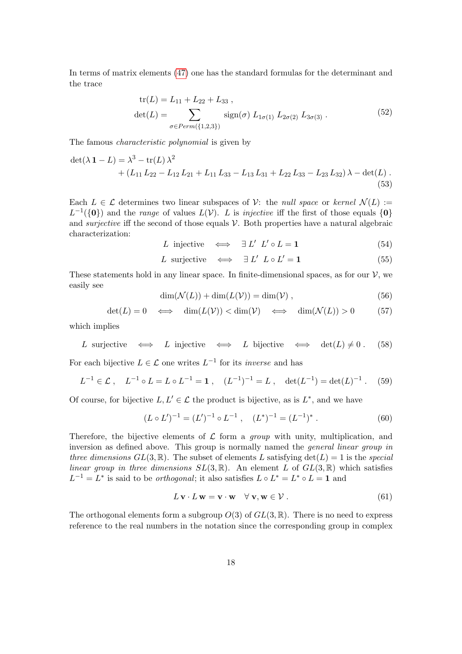In terms of matrix elements [\(47\)](#page-16-1) one has the standard formulas for the determinant and the trace

$$
tr(L) = L_{11} + L_{22} + L_{33} ,
$$
  
\n
$$
det(L) = \sum_{\sigma \in Perm(\{1,2,3\})} sign(\sigma) L_{1\sigma(1)} L_{2\sigma(2)} L_{3\sigma(3)} .
$$
\n(52)

The famous characteristic polynomial is given by

<span id="page-17-1"></span>
$$
\det(\lambda \mathbf{1} - L) = \lambda^3 - \text{tr}(L)\lambda^2
$$
  
+  $(L_{11}L_{22} - L_{12}L_{21} + L_{11}L_{33} - L_{13}L_{31} + L_{22}L_{33} - L_{23}L_{32})\lambda - \det(L)$ . (53)

Each  $L \in \mathcal{L}$  determines two linear subspaces of  $\mathcal{V}$ : the *null space* or kernel  $\mathcal{N}(L) :=$  $L^{-1}(\{0\})$  and the *range* of values  $L(\mathcal{V})$ . L is *injective* iff the first of those equals  $\{0\}$ and *surjective* iff the second of those equals  $V$ . Both properties have a natural algebraic characterization:

$$
L \text{ injective} \iff \exists L' \ L' \circ L = 1 \tag{54}
$$

$$
L \text{ surjective} \iff \exists L' \ L \circ L' = 1 \tag{55}
$$

These statements hold in any linear space. In finite-dimensional spaces, as for our  $\mathcal{V}$ , we easily see

$$
\dim(\mathcal{N}(L)) + \dim(L(\mathcal{V})) = \dim(\mathcal{V}),\tag{56}
$$

<span id="page-17-0"></span>
$$
\det(L) = 0 \iff \dim(L(\mathcal{V})) < \dim(\mathcal{V}) \iff \dim(\mathcal{N}(L)) > 0 \tag{57}
$$

which implies

*L* surjective 
$$
\iff
$$
 *L* injective  $\iff$  *L* bijective  $\iff$  det(*L*)  $\neq$  0. (58)

For each bijective  $L \in \mathcal{L}$  one writes  $L^{-1}$  for its *inverse* and has

$$
L^{-1} \in \mathcal{L} \ , \quad L^{-1} \circ L = L \circ L^{-1} = \mathbf{1} \ , \quad (L^{-1})^{-1} = L \ , \quad \det(L^{-1}) = \det(L)^{-1} \ . \tag{59}
$$

Of course, for bijective  $L, L' \in \mathcal{L}$  the product is bijective, as is  $L^*$ , and we have

<span id="page-17-3"></span>
$$
(L \circ L')^{-1} = (L')^{-1} \circ L^{-1} , \quad (L^*)^{-1} = (L^{-1})^* . \tag{60}
$$

Therefore, the bijective elements of  $\mathcal L$  form a group with unity, multiplication, and inversion as defined above. This group is normally named the general linear group in three dimensions  $GL(3,\mathbb{R})$ . The subset of elements L satisfying  $det(L) = 1$  is the special linear group in three dimensions  $SL(3,\mathbb{R})$ . An element L of  $GL(3,\mathbb{R})$  which satisfies  $L^{-1} = L^*$  is said to be *orthogonal*; it also satisfies  $L \circ L^* = L^* \circ L = 1$  and

<span id="page-17-2"></span>
$$
L\mathbf{v} \cdot L\mathbf{w} = \mathbf{v} \cdot \mathbf{w} \quad \forall \mathbf{v}, \mathbf{w} \in \mathcal{V} . \tag{61}
$$

The orthogonal elements form a subgroup  $O(3)$  of  $GL(3,\mathbb{R})$ . There is no need to express reference to the real numbers in the notation since the corresponding group in complex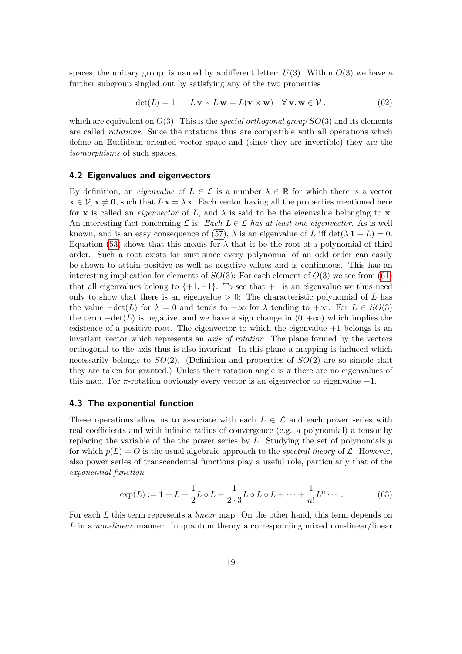spaces, the unitary group, is named by a different letter:  $U(3)$ . Within  $O(3)$  we have a further subgroup singled out by satisfying any of the two properties

$$
\det(L) = 1, \quad L \mathbf{v} \times L \mathbf{w} = L(\mathbf{v} \times \mathbf{w}) \quad \forall \mathbf{v}, \mathbf{w} \in \mathcal{V} . \tag{62}
$$

which are equivalent on  $O(3)$ . This is the *special orthogonal group*  $SO(3)$  and its elements are called rotations. Since the rotations thus are compatible with all operations which define an Euclidean oriented vector space and (since they are invertible) they are the isomorphisms of such spaces.

#### <span id="page-18-2"></span>4.2 Eigenvalues and eigenvectors

By definition, an *eigenvalue* of  $L \in \mathcal{L}$  is a number  $\lambda \in \mathbb{R}$  for which there is a vector  $\mathbf{x} \in \mathcal{V}, \mathbf{x} \neq \mathbf{0}$ , such that  $L\mathbf{x} = \lambda \mathbf{x}$ . Each vector having all the properties mentioned here for **x** is called an *eigenvector* of L, and  $\lambda$  is said to be the eigenvalue belonging to **x**. An interesting fact concerning  $\mathcal L$  is: Each  $L \in \mathcal L$  has at least one eigenvector. As is well known, and is an easy consequence of [\(57\)](#page-17-0),  $\lambda$  is an eigenvalue of L iff det( $\lambda$ 1 – L) = 0. Equation [\(53\)](#page-17-1) shows that this means for  $\lambda$  that it be the root of a polynomial of third order. Such a root exists for sure since every polynomial of an odd order can easily be shown to attain positive as well as negative values and is continuous. This has an interesting implication for elements of  $SO(3)$ : For each element of  $O(3)$  we see from [\(61\)](#page-17-2) that all eigenvalues belong to  $\{+1, -1\}$ . To see that  $+1$  is an eigenvalue we thus need only to show that there is an eigenvalue  $> 0$ : The characteristic polynomial of L has the value  $-\det(L)$  for  $\lambda = 0$  and tends to  $+\infty$  for  $\lambda$  tending to  $+\infty$ . For  $L \in SO(3)$ the term  $-\det(L)$  is negative, and we have a sign change in  $(0, +\infty)$  which implies the existence of a positive root. The eigenvector to which the eigenvalue  $+1$  belongs is an invariant vector which represents an axis of rotation. The plane formed by the vectors orthogonal to the axis thus is also invariant. In this plane a mapping is induced which necessarily belongs to  $SO(2)$ . (Definition and properties of  $SO(2)$  are so simple that they are taken for granted.) Unless their rotation angle is  $\pi$  there are no eigenvalues of this map. For  $\pi$ -rotation obviously every vector is an eigenvector to eigenvalue  $-1$ .

#### <span id="page-18-1"></span>4.3 The exponential function

These operations allow us to associate with each  $L \in \mathcal{L}$  and each power series with real coefficients and with infinite radius of convergence (e.g. a polynomial) a tensor by replacing the variable of the the power series by  $L$ . Studying the set of polynomials  $p$ for which  $p(L) = O$  is the usual algebraic approach to the *spectral theory* of L. However, also power series of transcendental functions play a useful role, particularly that of the exponential function

<span id="page-18-0"></span>
$$
\exp(L) := 1 + L + \frac{1}{2}L \circ L + \frac{1}{2 \cdot 3}L \circ L \circ L + \dots + \frac{1}{n!}L^n \dots \tag{63}
$$

For each L this term represents a *linear* map. On the other hand, this term depends on L in a non-linear manner. In quantum theory a corresponding mixed non-linear/linear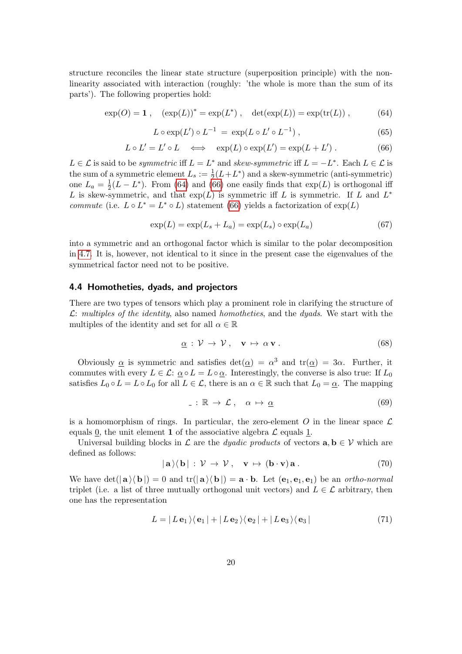structure reconciles the linear state structure (superposition principle) with the nonlinearity associated with interaction (roughly: 'the whole is more than the sum of its parts'). The following properties hold:

<span id="page-19-0"></span>
$$
\exp(O) = 1 , \quad (\exp(L))^* = \exp(L^* ) , \quad \det(\exp(L)) = \exp(\text{tr}(L)) , \tag{64}
$$

$$
L \circ \exp(L') \circ L^{-1} = \exp(L \circ L' \circ L^{-1}), \qquad (65)
$$

<span id="page-19-1"></span>
$$
L \circ L' = L' \circ L \quad \Longleftrightarrow \quad \exp(L) \circ \exp(L') = \exp(L + L'). \tag{66}
$$

 $L \in \mathcal{L}$  is said to be *symmetric* iff  $L = L^*$  and *skew-symmetric* iff  $L = -L^*$ . Each  $L \in \mathcal{L}$  is the sum of a symmetric element  $L_s := \frac{1}{2}(L + L^*)$  and a skew-symmetric (anti-symmetric) one  $L_a = \frac{1}{2}$  $\frac{1}{2}(L - L^*)$ . From [\(64\)](#page-19-0) and [\(66\)](#page-19-1) one easily finds that  $\exp(L)$  is orthogonal iff L is skew-symmetric, and that  $exp(L)$  is symmetric iff L is symmetric. If L and  $L^*$ commute (i.e.  $L \circ L^* = L^* \circ L$ ) statement [\(66\)](#page-19-1) yields a factorization of  $\exp(L)$ 

$$
\exp(L) = \exp(L_s + L_a) = \exp(L_s) \circ \exp(L_a)
$$
\n(67)

into a symmetric and an orthogonal factor which is similar to the polar decomposition in [4.7.](#page-23-0) It is, however, not identical to it since in the present case the eigenvalues of the symmetrical factor need not to be positive.

#### 4.4 Homotheties, dyads, and projectors

There are two types of tensors which play a prominent role in clarifying the structure of  $\mathcal{L}:$  multiples of the identity, also named homotheties, and the dyads. We start with the multiples of the identity and set for all  $\alpha \in \mathbb{R}$ 

$$
\underline{\alpha} : \mathcal{V} \to \mathcal{V}, \quad \mathbf{v} \mapsto \alpha \, \mathbf{v} \,. \tag{68}
$$

Obviously  $\alpha$  is symmetric and satisfies  $det(\alpha) = \alpha^3$  and  $tr(\alpha) = 3\alpha$ . Further, it commutes with every  $L \in \mathcal{L}: \underline{\alpha} \circ L = L \circ \underline{\alpha}$ . Interestingly, the converse is also true: If  $L_0$ satisfies  $L_0 \circ L = L \circ L_0$  for all  $L \in \mathcal{L}$ , there is an  $\alpha \in \mathbb{R}$  such that  $L_0 = \underline{\alpha}$ . The mapping

$$
\therefore \mathbb{R} \to \mathcal{L} \,, \quad \alpha \mapsto \underline{\alpha} \tag{69}
$$

is a homomorphism of rings. In particular, the zero-element O in the linear space  $\mathcal L$ equals 0, the unit element 1 of the associative algebra  $\mathcal L$  equals 1.

Universal building blocks in L are the *dyadic products* of vectors  $\mathbf{a}, \mathbf{b} \in \mathcal{V}$  which are defined as follows:

$$
|\mathbf{a}\rangle\langle\mathbf{b}|:\mathcal{V}\to\mathcal{V},\quad\mathbf{v}\mapsto(\mathbf{b}\cdot\mathbf{v})\mathbf{a}.
$$
 (70)

We have  $\det(|{\bf a}\rangle\langle {\bf b}|) = 0$  and  $\operatorname{tr}(|{\bf a}\rangle\langle {\bf b}|) = {\bf a} \cdot {\bf b}$ . Let  $({\bf e}_1, {\bf e}_1, {\bf e}_1)$  be an *ortho-normal* triplet (i.e. a list of three mutually orthogonal unit vectors) and  $L \in \mathcal{L}$  arbitrary, then one has the representation

$$
L = |L \mathbf{e}_1 \rangle \langle \mathbf{e}_1 | + |L \mathbf{e}_2 \rangle \langle \mathbf{e}_2 | + |L \mathbf{e}_3 \rangle \langle \mathbf{e}_3 | \tag{71}
$$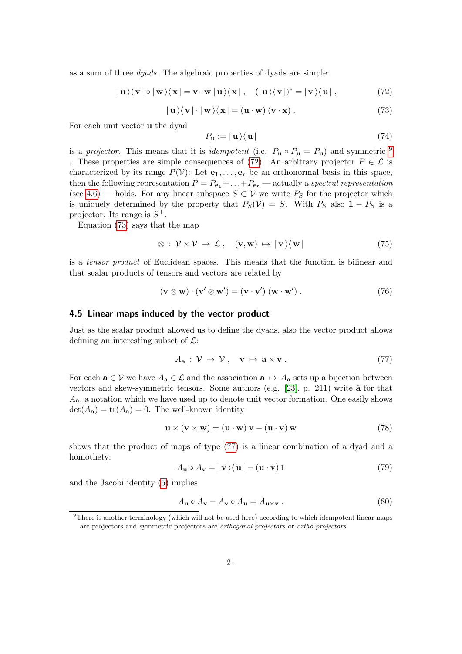as a sum of three dyads. The algebraic properties of dyads are simple:

<span id="page-20-1"></span> $|\mathbf{u}\rangle\langle\mathbf{v}|\circ|\mathbf{w}\rangle\langle\mathbf{x}| = \mathbf{v}\cdot\mathbf{w}|\mathbf{u}\rangle\langle\mathbf{x}|$ ,  $(|\mathbf{u}\rangle\langle\mathbf{v}|)^* = |\mathbf{v}\rangle\langle\mathbf{u}|$ , (72)

<span id="page-20-2"></span>
$$
|\mathbf{u}\rangle\langle\mathbf{v}|\cdot|\mathbf{w}\rangle\langle\mathbf{x}| = (\mathbf{u}\cdot\mathbf{w}) (\mathbf{v}\cdot\mathbf{x}) .
$$
 (73)

For each unit vector u the dyad

<span id="page-20-6"></span>
$$
P_{\mathbf{u}} := |\mathbf{u}\rangle\langle\mathbf{u}| \tag{74}
$$

is a projector. This means that it is *idempotent* (i.e.  $P_{\mathbf{u}} \circ P_{\mathbf{u}} = P_{\mathbf{u}}$ ) and symmetric <sup>[9](#page-20-0)</sup> . These properties are simple consequences of [\(72\)](#page-20-1). An arbitrary projector  $P \in \mathcal{L}$  is characterized by its range  $P(V)$ : Let  $e_1, \ldots, e_r$  be an orthonormal basis in this space, then the following representation  $P = P_{\mathbf{e}_1} + \ldots + P_{\mathbf{e}_r}$  — actually a spectral representation (see [4.6\)](#page-22-0) — holds. For any linear subspace  $S \subset V$  we write  $P_S$  for the projector which is uniquely determined by the property that  $P_S(V) = S$ . With  $P_S$  also  $1 - P_S$  is a projector. Its range is  $S^{\perp}$ .

Equation [\(73\)](#page-20-2) says that the map

$$
\otimes : \mathcal{V} \times \mathcal{V} \to \mathcal{L} \,, \quad (\mathbf{v}, \mathbf{w}) \mapsto |\mathbf{v}\rangle\langle \mathbf{w}| \tag{75}
$$

is a tensor product of Euclidean spaces. This means that the function is bilinear and that scalar products of tensors and vectors are related by

$$
(\mathbf{v} \otimes \mathbf{w}) \cdot (\mathbf{v}' \otimes \mathbf{w}') = (\mathbf{v} \cdot \mathbf{v}') (\mathbf{w} \cdot \mathbf{w}') . \tag{76}
$$

#### 4.5 Linear maps induced by the vector product

Just as the scalar product allowed us to define the dyads, also the vector product allows defining an interesting subset of  $\mathcal{L}$ :

<span id="page-20-3"></span>
$$
A_{\mathbf{a}}: \mathcal{V} \to \mathcal{V}, \quad \mathbf{v} \mapsto \mathbf{a} \times \mathbf{v}. \tag{77}
$$

For each  $\mathbf{a} \in \mathcal{V}$  we have  $A_{\mathbf{a}} \in \mathcal{L}$  and the association  $\mathbf{a} \mapsto A_{\mathbf{a}}$  sets up a bijection between vectors and skew-symmetric tensors. Some authors (e.g.  $[23]$ , p. 211) write  $\hat{a}$  for that  $A_{\mathbf{a}}$ , a notation which we have used up to denote unit vector formation. One easily shows  $\det(A_{\mathbf{a}}) = \text{tr}(A_{\mathbf{a}}) = 0$ . The well-known identity

$$
\mathbf{u} \times (\mathbf{v} \times \mathbf{w}) = (\mathbf{u} \cdot \mathbf{w}) \mathbf{v} - (\mathbf{u} \cdot \mathbf{v}) \mathbf{w}
$$
 (78)

shows that the product of maps of type [\(77\)](#page-20-3) is a linear combination of a dyad and a homothety:

<span id="page-20-5"></span>
$$
A_{\mathbf{u}} \circ A_{\mathbf{v}} = |\mathbf{v}\rangle \langle \mathbf{u}| - (\mathbf{u} \cdot \mathbf{v}) \mathbf{1}
$$
 (79)

and the Jacobi identity [\(5\)](#page-2-1) implies

<span id="page-20-4"></span>
$$
A_{\mathbf{u}} \circ A_{\mathbf{v}} - A_{\mathbf{v}} \circ A_{\mathbf{u}} = A_{\mathbf{u} \times \mathbf{v}} . \tag{80}
$$

<span id="page-20-0"></span><sup>&</sup>lt;sup>9</sup>There is another terminology (which will not be used here) according to which idempotent linear maps are projectors and symmetric projectors are orthogonal projectors or ortho-projectors.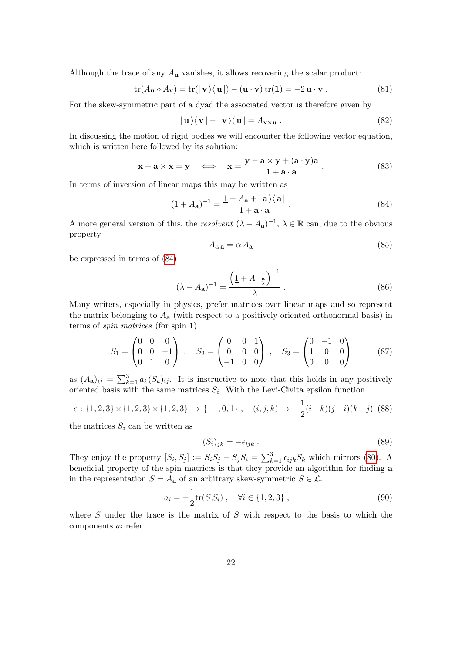Although the trace of any  $A_{\mathbf{u}}$  vanishes, it allows recovering the scalar product:

$$
\operatorname{tr}(A_{\mathbf{u}} \circ A_{\mathbf{v}}) = \operatorname{tr}(|\mathbf{v}\rangle \langle \mathbf{u}|) - (\mathbf{u} \cdot \mathbf{v}) \operatorname{tr}(\mathbf{1}) = -2 \mathbf{u} \cdot \mathbf{v} . \tag{81}
$$

For the skew-symmetric part of a dyad the associated vector is therefore given by

$$
|\mathbf{u}\rangle\langle\mathbf{v}| - |\mathbf{v}\rangle\langle\mathbf{u}| = A_{\mathbf{v}\times\mathbf{u}}.
$$
 (82)

In discussing the motion of rigid bodies we will encounter the following vector equation, which is written here followed by its solution:

$$
\mathbf{x} + \mathbf{a} \times \mathbf{x} = \mathbf{y} \iff \mathbf{x} = \frac{\mathbf{y} - \mathbf{a} \times \mathbf{y} + (\mathbf{a} \cdot \mathbf{y})\mathbf{a}}{1 + \mathbf{a} \cdot \mathbf{a}}.
$$
 (83)

In terms of inversion of linear maps this may be written as

<span id="page-21-0"></span>
$$
(\underline{1} + A_{\mathbf{a}})^{-1} = \frac{\underline{1} - A_{\mathbf{a}} + |\mathbf{a}\rangle\langle\mathbf{a}|}{1 + \mathbf{a} \cdot \mathbf{a}}.
$$
 (84)

A more general version of this, the resolvent  $(\underline{\lambda} - A_{\mathbf{a}})^{-1}$ ,  $\lambda \in \mathbb{R}$  can, due to the obvious property

<span id="page-21-1"></span>
$$
A_{\alpha \mathbf{a}} = \alpha A_{\mathbf{a}} \tag{85}
$$

be expressed in terms of [\(84\)](#page-21-0)

$$
(\underline{\lambda} - A_{\mathbf{a}})^{-1} = \frac{\left(\underline{1} + A_{-\frac{\mathbf{a}}{\lambda}}\right)^{-1}}{\lambda} \,. \tag{86}
$$

Many writers, especially in physics, prefer matrices over linear maps and so represent the matrix belonging to  $A_{\mathbf{a}}$  (with respect to a positively oriented orthonormal basis) in terms of spin matrices (for spin 1)

$$
S_1 = \begin{pmatrix} 0 & 0 & 0 \\ 0 & 0 & -1 \\ 0 & 1 & 0 \end{pmatrix} , S_2 = \begin{pmatrix} 0 & 0 & 1 \\ 0 & 0 & 0 \\ -1 & 0 & 0 \end{pmatrix} , S_3 = \begin{pmatrix} 0 & -1 & 0 \\ 1 & 0 & 0 \\ 0 & 0 & 0 \end{pmatrix}
$$
 (87)

as  $(A_{\mathbf{a}})_{ij} = \sum_{k=1}^{3} a_k (S_k)_{ij}$ . It is instructive to note that this holds in any positively oriented basis with the same matrices  $S_i$ . With the Levi-Civita epsilon function

$$
\epsilon : \{1,2,3\} \times \{1,2,3\} \times \{1,2,3\} \to \{-1,0,1\} \;, \quad (i,j,k) \mapsto -\frac{1}{2}(i-k)(j-i)(k-j) \tag{88}
$$

the matrices  $S_i$  can be written as

$$
(S_i)_{jk} = -\epsilon_{ijk} \tag{89}
$$

They enjoy the property  $[S_i, S_j] := S_i S_j - S_j S_i = \sum_{k=1}^3 \epsilon_{ijk} S_k$  which mirrors [\(80\)](#page-20-4). A beneficial property of the spin matrices is that they provide an algorithm for finding a in the representation  $S = A_{\mathbf{a}}$  of an arbitrary skew-symmetric  $S \in \mathcal{L}$ .

<span id="page-21-2"></span>
$$
a_i = -\frac{1}{2} \text{tr}(S S_i) , \quad \forall i \in \{1, 2, 3\} , \tag{90}
$$

where  $S$  under the trace is the matrix of  $S$  with respect to the basis to which the components  $a_i$  refer.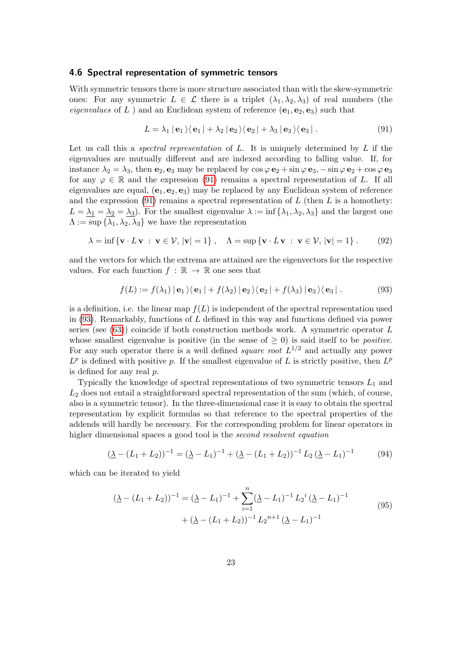#### <span id="page-22-0"></span>4.6 Spectral representation of symmetric tensors

With symmetric tensors there is more structure associated than with the skew-symmetric ones: For any symmetric  $L \in \mathcal{L}$  there is a triplet  $(\lambda_1, \lambda_2, \lambda_3)$  of real numbers (the eigenvalues of L ) and an Euclidean system of reference  $(e_1, e_2, e_3)$  such that

<span id="page-22-1"></span>
$$
L = \lambda_1 | \mathbf{e}_1 \rangle \langle \mathbf{e}_1 | + \lambda_2 | \mathbf{e}_2 \rangle \langle \mathbf{e}_2 | + \lambda_3 | \mathbf{e}_3 \rangle \langle \mathbf{e}_3 |.
$$
 (91)

Let us call this a *spectral representation* of  $L$ . It is uniquely determined by  $L$  if the eigenvalues are mutually different and are indexed according to falling value. If, for instance  $\lambda_2 = \lambda_3$ , then  $\mathbf{e}_2$ ,  $\mathbf{e}_3$  may be replaced by  $\cos \varphi \cdot \mathbf{e}_2 + \sin \varphi \cdot \mathbf{e}_3$ ,  $-\sin \varphi \cdot \mathbf{e}_2 + \cos \varphi \cdot \mathbf{e}_3$ for any  $\varphi \in \mathbb{R}$  and the expression [\(91\)](#page-22-1) remains a spectral representation of L. If all eigenvalues are equal,  $(e_1, e_2, e_3)$  may be replaced by any Euclidean system of reference and the expression  $(91)$  remains a spectral representation of L (then L is a homothety:  $L = \lambda_1 = \lambda_2 = \lambda_3$ . For the smallest eigenvalue  $\lambda := \inf \{\lambda_1, \lambda_2, \lambda_3\}$  and the largest one  $\Lambda := \sup \{ \lambda_1, \lambda_2, \lambda_3 \}$  we have the representation

$$
\lambda = \inf \{ \mathbf{v} \cdot L \mathbf{v} : \mathbf{v} \in \mathcal{V}, |\mathbf{v}| = 1 \}, \quad \Lambda = \sup \{ \mathbf{v} \cdot L \mathbf{v} : \mathbf{v} \in \mathcal{V}, |\mathbf{v}| = 1 \}. \tag{92}
$$

and the vectors for which the extrema are attained are the eigenvectors for the respective values. For each function  $f : \mathbb{R} \to \mathbb{R}$  one sees that

<span id="page-22-2"></span>
$$
f(L) := f(\lambda_1) | \mathbf{e}_1 \rangle \langle \mathbf{e}_1 | + f(\lambda_2) | \mathbf{e}_2 \rangle \langle \mathbf{e}_2 | + f(\lambda_3) | \mathbf{e}_3 \rangle \langle \mathbf{e}_3 |.
$$
 (93)

is a definition, i.e. the linear map  $f(L)$  is independent of the spectral representation used in  $(93)$ . Remarkably, functions of L defined in this way and functions defined via power series (see  $(63)$ ) coincide if both construction methods work. A symmetric operator L whose smallest eigenvalue is positive (in the sense of  $\geq 0$ ) is said itself to be *positive*. For any such operator there is a well defined *square root*  $L^{1/2}$  and actually any power  $L^p$  is defined with positive p. If the smallest eigenvalue of L is strictly positive, then  $L^p$ is defined for any real p.

Typically the knowledge of spectral representations of two symmetric tensors  $L_1$  and  $L<sub>2</sub>$  does not entail a straightforward spectral representation of the sum (which, of course, also is a symmetric tensor). In the three-dimensional case it is easy to obtain the spectral representation by explicit formulas so that reference to the spectral properties of the addends will hardly be necessary. For the corresponding problem for linear operators in higher dimensional spaces a good tool is the second resolvent equation

$$
(\underline{\lambda} - (L_1 + L_2))^{-1} = (\underline{\lambda} - L_1)^{-1} + (\underline{\lambda} - (L_1 + L_2))^{-1} L_2 (\underline{\lambda} - L_1)^{-1}
$$
(94)

which can be iterated to yield

$$
(\underline{\lambda} - (L_1 + L_2))^{-1} = (\underline{\lambda} - L_1)^{-1} + \sum_{i=1}^{n} (\underline{\lambda} - L_1)^{-1} L_2^{i} (\underline{\lambda} - L_1)^{-1}
$$
  
+ 
$$
(\underline{\lambda} - (L_1 + L_2))^{-1} L_2^{n+1} (\underline{\lambda} - L_1)^{-1}
$$
 (95)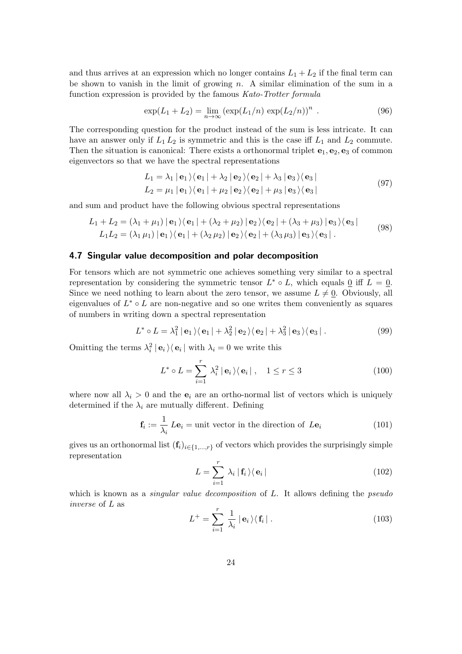and thus arrives at an expression which no longer contains  $L_1 + L_2$  if the final term can be shown to vanish in the limit of growing  $n$ . A similar elimination of the sum in a function expression is provided by the famous Kato-Trotter formula

$$
\exp(L_1 + L_2) = \lim_{n \to \infty} (\exp(L_1/n) \exp(L_2/n))^n . \tag{96}
$$

The corresponding question for the product instead of the sum is less intricate. It can have an answer only if  $L_1 L_2$  is symmetric and this is the case iff  $L_1$  and  $L_2$  commute. Then the situation is canonical: There exists a orthonormal triplet  $e_1, e_2, e_3$  of common eigenvectors so that we have the spectral representations

$$
L_1 = \lambda_1 | \mathbf{e}_1 \rangle \langle \mathbf{e}_1 | + \lambda_2 | \mathbf{e}_2 \rangle \langle \mathbf{e}_2 | + \lambda_3 | \mathbf{e}_3 \rangle \langle \mathbf{e}_3 |
$$
  
\n
$$
L_2 = \mu_1 | \mathbf{e}_1 \rangle \langle \mathbf{e}_1 | + \mu_2 | \mathbf{e}_2 \rangle \langle \mathbf{e}_2 | + \mu_3 | \mathbf{e}_3 \rangle \langle \mathbf{e}_3 |
$$
\n(97)

and sum and product have the following obvious spectral representations

$$
L_1 + L_2 = (\lambda_1 + \mu_1) | \mathbf{e}_1 \rangle \langle \mathbf{e}_1 | + (\lambda_2 + \mu_2) | \mathbf{e}_2 \rangle \langle \mathbf{e}_2 | + (\lambda_3 + \mu_3) | \mathbf{e}_3 \rangle \langle \mathbf{e}_3 |
$$
  
\n
$$
L_1 L_2 = (\lambda_1 \mu_1) | \mathbf{e}_1 \rangle \langle \mathbf{e}_1 | + (\lambda_2 \mu_2) | \mathbf{e}_2 \rangle \langle \mathbf{e}_2 | + (\lambda_3 \mu_3) | \mathbf{e}_3 \rangle \langle \mathbf{e}_3 |.
$$
\n(98)

#### <span id="page-23-0"></span>4.7 Singular value decomposition and polar decomposition

For tensors which are not symmetric one achieves something very similar to a spectral representation by considering the symmetric tensor  $L^* \circ L$ , which equals  $\underline{0}$  iff  $L = \underline{0}$ . Since we need nothing to learn about the zero tensor, we assume  $L \neq 0$ . Obviously, all eigenvalues of  $L^* \circ L$  are non-negative and so one writes them conveniently as squares of numbers in writing down a spectral representation

<span id="page-23-2"></span>
$$
L^* \circ L = \lambda_1^2 | \mathbf{e}_1 \rangle \langle \mathbf{e}_1 | + \lambda_2^2 | \mathbf{e}_2 \rangle \langle \mathbf{e}_2 | + \lambda_3^2 | \mathbf{e}_3 \rangle \langle \mathbf{e}_3 |.
$$
 (99)

Omitting the terms  $\lambda_i^2 | \mathbf{e}_i \rangle \langle \mathbf{e}_i |$  with  $\lambda_i = 0$  we write this

$$
L^* \circ L = \sum_{i=1}^r \lambda_i^2 \mid \mathbf{e}_i \rangle \langle \mathbf{e}_i \mid , \quad 1 \le r \le 3 \tag{100}
$$

where now all  $\lambda_i > 0$  and the  $e_i$  are an ortho-normal list of vectors which is uniquely determined if the  $\lambda_i$  are mutually different. Defining

$$
\mathbf{f}_i := \frac{1}{\lambda_i} \, L \mathbf{e}_i = \text{unit vector in the direction of } L \mathbf{e}_i \tag{101}
$$

gives us an orthonormal list  $(f_i)_{i\in\{1,\ldots,r\}}$  of vectors which provides the surprisingly simple representation

<span id="page-23-1"></span>
$$
L = \sum_{i=1}^{r} \lambda_i \left| \mathbf{f}_i \right\rangle \left\langle \mathbf{e}_i \right| \tag{102}
$$

which is known as a *singular value decomposition* of L. It allows defining the *pseudo* inverse of L as

$$
L^{+} = \sum_{i=1}^{r} \frac{1}{\lambda_i} | \mathbf{e}_i \rangle \langle \mathbf{f}_i |.
$$
 (103)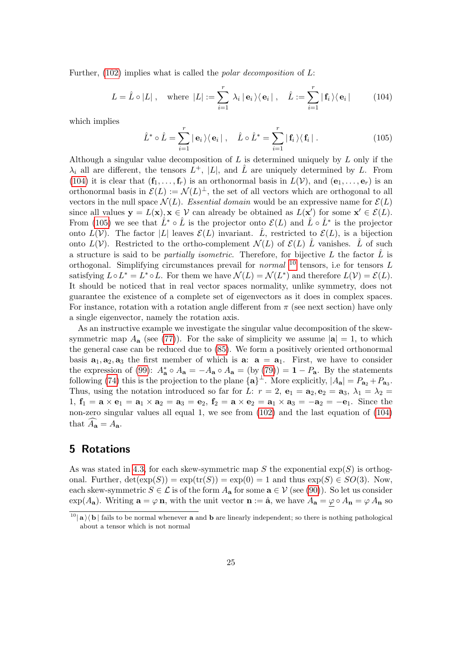Further,  $(102)$  implies what is called the *polar decomposition* of L:

<span id="page-24-1"></span>
$$
L = \hat{L} \circ |L|, \quad \text{where } |L| := \sum_{i=1}^{r} \lambda_i |e_i\rangle\langle e_i|, \quad \hat{L} := \sum_{i=1}^{r} |f_i\rangle\langle e_i| \quad (104)
$$

which implies

<span id="page-24-2"></span>
$$
\hat{L}^* \circ \hat{L} = \sum_{i=1}^r |\mathbf{e}_i\rangle\langle\mathbf{e}_i| \ , \quad \hat{L} \circ \hat{L}^* = \sum_{i=1}^r |\mathbf{f}_i\rangle\langle\mathbf{f}_i| \ . \tag{105}
$$

Although a singular value decomposition of  $L$  is determined uniquely by  $L$  only if the  $\lambda_i$  all are different, the tensors  $L^+$ ,  $|L|$ , and  $\hat{L}$  are uniquely determined by L. From [\(104\)](#page-24-1) it is clear that  $(\mathbf{f}_1, \ldots, \mathbf{f}_r)$  is an orthonormal basis in  $L(\mathcal{V})$ , and  $(\mathbf{e}_1, \ldots, \mathbf{e}_r)$  is an orthonormal basis in  $\mathcal{E}(L) := \mathcal{N}(L)^{\perp}$ , the set of all vectors which are orthogonal to all vectors in the null space  $\mathcal{N}(L)$ . Essential domain would be an expressive name for  $\mathcal{E}(L)$ since all values  $y = L(x), x \in V$  can already be obtained as  $L(x')$  for some  $x' \in \mathcal{E}(L)$ . From [\(105\)](#page-24-2) we see that  $\hat{L}^* \circ \hat{L}$  is the projector onto  $\mathcal{E}(L)$  and  $\hat{L} \circ \hat{L}^*$  is the projector onto  $L(V)$ . The factor |L| leaves  $\mathcal{E}(L)$  invariant.  $\hat{L}$ , restricted to  $\mathcal{E}(L)$ , is a bijection onto  $L(V)$ . Restricted to the ortho-complement  $\mathcal{N}(L)$  of  $\mathcal{E}(L)$  L<sup>†</sup> vanishes. L<sup>†</sup> of such a structure is said to be *partially isometric*. Therefore, for bijective L the factor  $\tilde{L}$  is orthogonal. Simplifying circumstances prevail for *normal*  $^{10}$  $^{10}$  $^{10}$  tensors, i.e for tensors L satisfying  $L \circ L^* = L^* \circ L$ . For them we have  $\mathcal{N}(L) = \mathcal{N}(L^*)$  and therefore  $L(\mathcal{V}) = \mathcal{E}(L)$ . It should be noticed that in real vector spaces normality, unlike symmetry, does not guarantee the existence of a complete set of eigenvectors as it does in complex spaces. For instance, rotation with a rotation angle different from  $\pi$  (see next section) have only a single eigenvector, namely the rotation axis.

As an instructive example we investigate the singular value decomposition of the skewsymmetric map  $A_{a}$  (see [\(77\)](#page-20-3)). For the sake of simplicity we assume  $|a| = 1$ , to which the general case can be reduced due to [\(85\)](#page-21-1). We form a positively oriented orthonormal basis  $\mathbf{a}_1, \mathbf{a}_2, \mathbf{a}_3$  the first member of which is  $\mathbf{a}: \mathbf{a} = \mathbf{a}_1$ . First, we have to consider the expression of [\(99\)](#page-23-2):  $A_{\mathbf{a}}^* \circ A_{\mathbf{a}} = -A_{\mathbf{a}} \circ A_{\mathbf{a}} = (\text{by (79)}) = \mathbf{1} - P_{\mathbf{a}}$  $A_{\mathbf{a}}^* \circ A_{\mathbf{a}} = -A_{\mathbf{a}} \circ A_{\mathbf{a}} = (\text{by (79)}) = \mathbf{1} - P_{\mathbf{a}}$  $A_{\mathbf{a}}^* \circ A_{\mathbf{a}} = -A_{\mathbf{a}} \circ A_{\mathbf{a}} = (\text{by (79)}) = \mathbf{1} - P_{\mathbf{a}}$ . By the statements following [\(74\)](#page-20-6) this is the projection to the plane  $\{a\}^{\perp}$ . More explicitly,  $|A_{a}| = P_{a_2} + P_{a_3}$ . Thus, using the notation introduced so far for L:  $r = 2$ ,  $\mathbf{e}_1 = \mathbf{a}_2$ ,  $\mathbf{e}_2 = \mathbf{a}_3$ ,  $\lambda_1 = \lambda_2 =$ 1,  $f_1 = \mathbf{a} \times \mathbf{e}_1 = \mathbf{a}_1 \times \mathbf{a}_2 = \mathbf{a}_3 = \mathbf{e}_2$ ,  $f_2 = \mathbf{a} \times \mathbf{e}_2 = \mathbf{a}_1 \times \mathbf{a}_3 = -\mathbf{a}_2 = -\mathbf{e}_1$ . Since the non-zero singular values all equal 1, we see from [\(102\)](#page-23-1) and the last equation of [\(104\)](#page-24-1) that  $\widehat{A}_{\mathbf{a}} = A_{\mathbf{a}}$ .

# <span id="page-24-0"></span>5 Rotations

As was stated in [4.3,](#page-18-1) for each skew-symmetric map S the exponential  $\exp(S)$  is orthogonal. Further,  $\det(\exp(S)) = \exp(\text{tr}(S)) = \exp(0) = 1$  and thus  $\exp(S) \in SO(3)$ . Now, each skew-symmetric  $S \in \mathcal{L}$  is of the form  $A_{\mathbf{a}}$  for some  $\mathbf{a} \in \mathcal{V}$  (see [\(90\)](#page-21-2)). So let us consider exp(A<sub>a</sub>). Writing  $\mathbf{a} = \varphi \mathbf{n}$ , with the unit vector  $\mathbf{n} := \hat{\mathbf{a}}$ , we have  $A_{\mathbf{a}} = \varphi \circ A_{\mathbf{n}} = \varphi A_{\mathbf{n}}$  so

<span id="page-24-3"></span><sup>&</sup>lt;sup>10</sup>| **a**  $\langle$  **b** | fails to be normal whenever **a** and **b** are linearly independent; so there is nothing pathological about a tensor which is not normal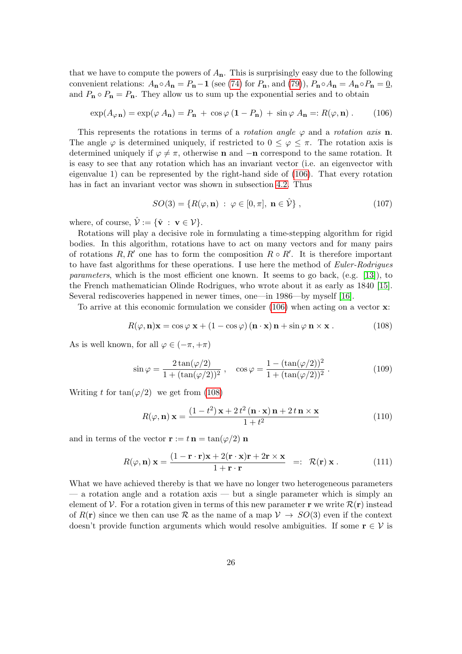that we have to compute the powers of  $A_n$ . This is surprisingly easy due to the following convenient relations:  $A_n \circ A_n = P_n - 1$  (see [\(74\)](#page-20-6) for  $P_n$ , and [\(79\)](#page-20-5)),  $P_n \circ A_n = A_n \circ P_n = 0$ , and  $P_n \circ P_n = P_n$ . They allow us to sum up the exponential series and to obtain

<span id="page-25-0"></span>
$$
\exp(A_{\varphi \mathbf{n}}) = \exp(\varphi A_{\mathbf{n}}) = P_{\mathbf{n}} + \cos \varphi (1 - P_{\mathbf{n}}) + \sin \varphi A_{\mathbf{n}} =: R(\varphi, \mathbf{n}) . \tag{106}
$$

This represents the rotations in terms of a *rotation angle*  $\varphi$  and a *rotation axis* **n**. The angle  $\varphi$  is determined uniquely, if restricted to  $0 \leq \varphi \leq \pi$ . The rotation axis is determined uniquely if  $\varphi \neq \pi$ , otherwise **n** and  $-\mathbf{n}$  correspond to the same rotation. It is easy to see that any rotation which has an invariant vector (i.e. an eigenvector with eigenvalue 1) can be represented by the right-hand side of [\(106\)](#page-25-0). That every rotation has in fact an invariant vector was shown in subsection [4.2.](#page-18-2) Thus

<span id="page-25-2"></span>
$$
SO(3) = \{ R(\varphi, \mathbf{n}) \; : \; \varphi \in [0, \pi], \; \mathbf{n} \in \hat{\mathcal{V}} \}, \tag{107}
$$

where, of course,  $\hat{\mathcal{V}} := {\hat{\mathbf{v}}} : \mathbf{v} \in \mathcal{V}$ .

Rotations will play a decisive role in formulating a time-stepping algorithm for rigid bodies. In this algorithm, rotations have to act on many vectors and for many pairs of rotations  $R, R'$  one has to form the composition  $R \circ R'$ . It is therefore important to have fast algorithms for these operations. I use here the method of Euler-Rodrigues parameters, which is the most efficient one known. It seems to go back, (e.g. [\[13\]](#page-47-9)), to the French mathematician Olinde Rodrigues, who wrote about it as early as 1840 [\[15\]](#page-48-3). Several rediscoveries happened in newer times, one—in 1986—by myself [\[16\]](#page-48-4).

To arrive at this economic formulation we consider [\(106\)](#page-25-0) when acting on a vector x:

<span id="page-25-1"></span>
$$
R(\varphi, \mathbf{n})\mathbf{x} = \cos\varphi \mathbf{x} + (1 - \cos\varphi) (\mathbf{n} \cdot \mathbf{x}) \mathbf{n} + \sin\varphi \mathbf{n} \times \mathbf{x} . \qquad (108)
$$

As is well known, for all  $\varphi \in (-\pi, +\pi)$ 

$$
\sin \varphi = \frac{2 \tan(\varphi/2)}{1 + (\tan(\varphi/2))^2} , \quad \cos \varphi = \frac{1 - (\tan(\varphi/2))^2}{1 + (\tan(\varphi/2))^2} .
$$
 (109)

Writing t for  $tan(\varphi/2)$  we get from [\(108\)](#page-25-1)

$$
R(\varphi, \mathbf{n}) \mathbf{x} = \frac{(1 - t^2) \mathbf{x} + 2 t^2 (\mathbf{n} \cdot \mathbf{x}) \mathbf{n} + 2 t \mathbf{n} \times \mathbf{x}}{1 + t^2}
$$
(110)

and in terms of the vector  $\mathbf{r} := t \mathbf{n} = \tan(\varphi/2) \mathbf{n}$ 

$$
R(\varphi, \mathbf{n}) \mathbf{x} = \frac{(1 - \mathbf{r} \cdot \mathbf{r})\mathbf{x} + 2(\mathbf{r} \cdot \mathbf{x})\mathbf{r} + 2\mathbf{r} \times \mathbf{x}}{1 + \mathbf{r} \cdot \mathbf{r}} =: \ \mathcal{R}(\mathbf{r}) \mathbf{x}. \tag{111}
$$

What we have achieved thereby is that we have no longer two heterogeneous parameters  $-$  a rotation angle and a rotation axis  $-$  but a single parameter which is simply an element of  $\mathcal V$ . For a rotation given in terms of this new parameter **r** we write  $\mathcal R(\mathbf r)$  instead of  $R(\mathbf{r})$  since we then can use R as the name of a map  $\mathcal{V} \to SO(3)$  even if the context doesn't provide function arguments which would resolve ambiguities. If some  $\mathbf{r} \in \mathcal{V}$  is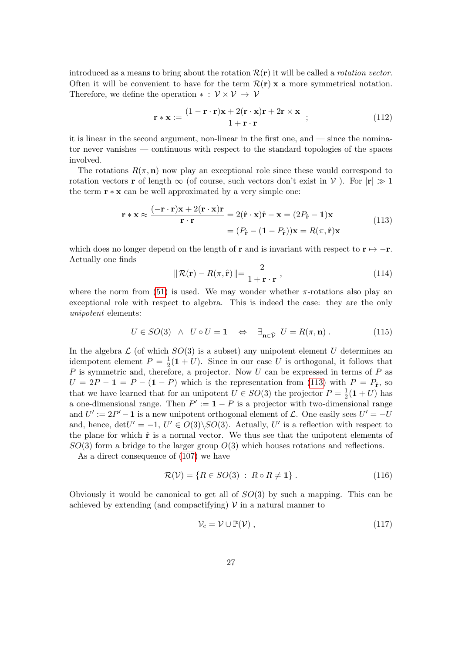introduced as a means to bring about the rotation  $\mathcal{R}(\mathbf{r})$  it will be called a *rotation vector*. Often it will be convenient to have for the term  $\mathcal{R}(\mathbf{r}) \times \mathbf{x}$  a more symmetrical notation. Therefore, we define the operation  $* : \mathcal{V} \times \mathcal{V} \rightarrow \mathcal{V}$ 

<span id="page-26-2"></span>
$$
\mathbf{r} * \mathbf{x} := \frac{(1 - \mathbf{r} \cdot \mathbf{r})\mathbf{x} + 2(\mathbf{r} \cdot \mathbf{x})\mathbf{r} + 2\mathbf{r} \times \mathbf{x}}{1 + \mathbf{r} \cdot \mathbf{r}} ;
$$
(112)

it is linear in the second argument, non-linear in the first one, and — since the nominator never vanishes — continuous with respect to the standard topologies of the spaces involved.

The rotations  $R(\pi, n)$  now play an exceptional role since these would correspond to rotation vectors **r** of length  $\infty$  (of course, such vectors don't exist in V). For  $|\mathbf{r}| \gg 1$ the term  $\mathbf{r} * \mathbf{x}$  can be well approximated by a very simple one:

$$
\mathbf{r} * \mathbf{x} \approx \frac{(-\mathbf{r} \cdot \mathbf{r})\mathbf{x} + 2(\mathbf{r} \cdot \mathbf{x})\mathbf{r}}{\mathbf{r} \cdot \mathbf{r}} = 2(\hat{\mathbf{r}} \cdot \mathbf{x})\hat{\mathbf{r}} - \mathbf{x} = (2P_{\hat{\mathbf{r}}} - \mathbf{1})\mathbf{x}
$$
  
=  $(P_{\hat{\mathbf{r}}} - (\mathbf{1} - P_{\hat{\mathbf{r}}}))\mathbf{x} = R(\pi, \hat{\mathbf{r}})\mathbf{x}$  (113)

<span id="page-26-0"></span>which does no longer depend on the length of **r** and is invariant with respect to **r**  $\mapsto$  -**r**. Actually one finds

<span id="page-26-1"></span>
$$
\|\mathcal{R}(\mathbf{r}) - R(\pi, \hat{\mathbf{r}})\| = \frac{2}{1 + \mathbf{r} \cdot \mathbf{r}},
$$
\n(114)

where the norm from [\(51\)](#page-16-2) is used. We may wonder whether  $\pi$ -rotations also play an exceptional role with respect to algebra. This is indeed the case: they are the only unipotent elements:

$$
U \in SO(3) \quad \wedge \quad U \circ U = 1 \quad \Leftrightarrow \quad \exists_{\mathbf{n} \in \hat{\mathcal{V}}} \quad U = R(\pi, \mathbf{n}) \; . \tag{115}
$$

In the algebra  $\mathcal L$  (of which  $SO(3)$  is a subset) any unipotent element U determines an idempotent element  $P = \frac{1}{2}$  $\frac{1}{2}(1+U)$ . Since in our case U is orthogonal, it follows that  $P$  is symmetric and, therefore, a projector. Now  $U$  can be expressed in terms of  $P$  as  $U = 2P - 1 = P - (1 - P)$  which is the representation from [\(113\)](#page-26-0) with  $P = P_{\hat{r}}$ , so that we have learned that for an unipotent  $U \in SO(3)$  the projector  $P = \frac{1}{2}$  $\frac{1}{2}(\mathbf{1}+U)$  has a one-dimensional range. Then  $P' := 1 - P$  is a projector with two-dimensional range and  $U' := 2P' - 1$  is a new unipotent orthogonal element of  $\mathcal{L}$ . One easily sees  $U' = -U$ and, hence,  $det U' = -1$ ,  $U' \in O(3) \setminus SO(3)$ . Actually, U' is a reflection with respect to the plane for which  $\hat{\mathbf{r}}$  is a normal vector. We thus see that the unipotent elements of  $SO(3)$  form a bridge to the larger group  $O(3)$  which houses rotations and reflections.

As a direct consequence of [\(107\)](#page-25-2) we have

$$
\mathcal{R}(\mathcal{V}) = \{ R \in SO(3) : R \circ R \neq \mathbf{1} \} . \tag{116}
$$

Obviously it would be canonical to get all of  $SO(3)$  by such a mapping. This can be achieved by extending (and compactifying)  $V$  in a natural manner to

$$
\mathcal{V}_c = \mathcal{V} \cup \mathbb{P}(\mathcal{V}) \tag{117}
$$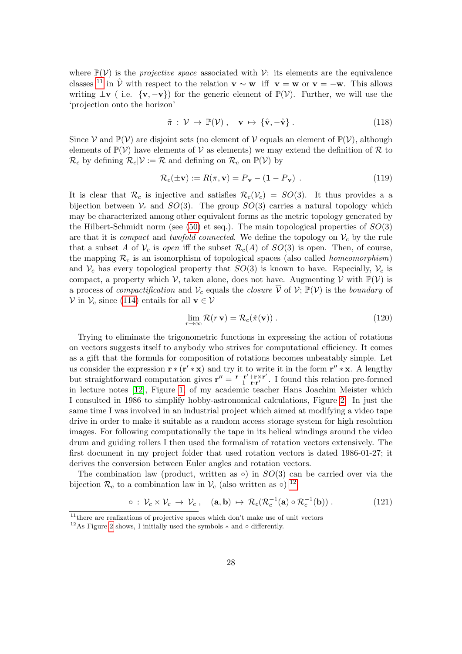where  $\mathbb{P}(\mathcal{V})$  is the *projective space* associated with  $\mathcal{V}$ : its elements are the equivalence classes <sup>[11](#page-27-0)</sup> in  $\hat{V}$  with respect to the relation  $\mathbf{v} \sim \mathbf{w}$  iff  $\mathbf{v} = \mathbf{w}$  or  $\mathbf{v} = -\mathbf{w}$ . This allows writing  $\pm \mathbf{v}$  (i.e.  $\{\mathbf{v}, -\mathbf{v}\}\)$  for the generic element of  $\mathbb{P}(\mathcal{V})$ . Further, we will use the 'projection onto the horizon'

$$
\tilde{\pi} : \mathcal{V} \to \mathbb{P}(\mathcal{V}), \quad \mathbf{v} \mapsto \{\hat{\mathbf{v}}, -\hat{\mathbf{v}}\}.
$$
\n(118)

Since  $V$  and  $\mathbb{P}(V)$  are disjoint sets (no element of  $V$  equals an element of  $\mathbb{P}(V)$ , although elements of  $\mathbb{P}(\mathcal{V})$  have elements of  $\mathcal{V}$  as elements) we may extend the definition of R to  $\mathcal{R}_c$  by defining  $\mathcal{R}_c|\mathcal{V} := \mathcal{R}$  and defining on  $\mathcal{R}_c$  on  $\mathbb{P}(\mathcal{V})$  by

$$
\mathcal{R}_c(\pm \mathbf{v}) := R(\pi, \mathbf{v}) = P_\mathbf{v} - (\mathbf{1} - P_\mathbf{v}) \tag{119}
$$

It is clear that  $\mathcal{R}_c$  is injective and satisfies  $\mathcal{R}_c(\mathcal{V}_c) = SO(3)$ . It thus provides a a bijection between  $V_c$  and  $SO(3)$ . The group  $SO(3)$  carries a natural topology which may be characterized among other equivalent forms as the metric topology generated by the Hilbert-Schmidt norm (see [\(50\)](#page-16-3) et seq.). The main topological properties of  $SO(3)$ are that it is *compact* and *twofold connected*. We define the topology on  $V_c$  by the rule that a subset A of  $V_c$  is open iff the subset  $\mathcal{R}_c(A)$  of  $SO(3)$  is open. Then, of course, the mapping  $\mathcal{R}_c$  is an isomorphism of topological spaces (also called *homeomorphism*) and  $V_c$  has every topological property that  $SO(3)$  is known to have. Especially,  $V_c$  is compact, a property which V, taken alone, does not have. Augmenting V with  $\mathbb{P}(\mathcal{V})$  is a process of *compactification* and  $V_c$  equals the *closure*  $\overline{V}$  of  $V$ ;  $\mathbb{P}(V)$  is the *boundary* of  $\mathcal V$  in  $\mathcal V_c$  since [\(114\)](#page-26-1) entails for all  $\mathbf v \in \mathcal V$ 

<span id="page-27-2"></span>
$$
\lim_{r \to \infty} \mathcal{R}(r \mathbf{v}) = \mathcal{R}_c(\tilde{\pi}(\mathbf{v})). \tag{120}
$$

Trying to eliminate the trigonometric functions in expressing the action of rotations on vectors suggests itself to anybody who strives for computational efficiency. It comes as a gift that the formula for composition of rotations becomes unbeatably simple. Let us consider the expression  $\mathbf{r} * (\mathbf{r}' * \mathbf{x})$  and try it to write it in the form  $\mathbf{r}'' * \mathbf{x}$ . A lengthy but straightforward computation gives  $\mathbf{r}'' = \frac{\mathbf{r} + \mathbf{r}' + \mathbf{r}' \times \mathbf{r}'}{1 - \mathbf{r} \cdot \mathbf{r}'}$  $\frac{\mathbf{r'} + \mathbf{r} \times \mathbf{r'}}{1 - \mathbf{r} \cdot \mathbf{r'}}$ . I found this relation pre-formed in lecture notes [\[12\]](#page-47-10), Figure [1,](#page-28-0) of my academic teacher Hans Joachim Meister which I consulted in 1986 to simplify hobby-astronomical calculations, Figure [2.](#page-28-1) In just the same time I was involved in an industrial project which aimed at modifying a video tape drive in order to make it suitable as a random access storage system for high resolution images. For following computationally the tape in its helical windings around the video drum and guiding rollers I then used the formalism of rotation vectors extensively. The first document in my project folder that used rotation vectors is dated 1986-01-27; it derives the conversion between Euler angles and rotation vectors.

The combination law (product, written as  $\circ$ ) in  $SO(3)$  can be carried over via the bijection  $\mathcal{R}_c$  to a combination law in  $\mathcal{V}_c$  (also written as  $\circ$ ) <sup>[12](#page-27-1)</sup>

$$
\circ : \mathcal{V}_c \times \mathcal{V}_c \to \mathcal{V}_c \,, \quad (\mathbf{a}, \mathbf{b}) \mapsto \mathcal{R}_c(\mathcal{R}_c^{-1}(\mathbf{a}) \circ \mathcal{R}_c^{-1}(\mathbf{b})) \,. \tag{121}
$$

<span id="page-27-0"></span> $11$ <sub>there</sub> are realizations of projective spaces which don't make use of unit vectors

<span id="page-27-1"></span><sup>&</sup>lt;sup>12</sup>As Figure [2](#page-28-1) shows, I initially used the symbols  $*$  and  $\circ$  differently.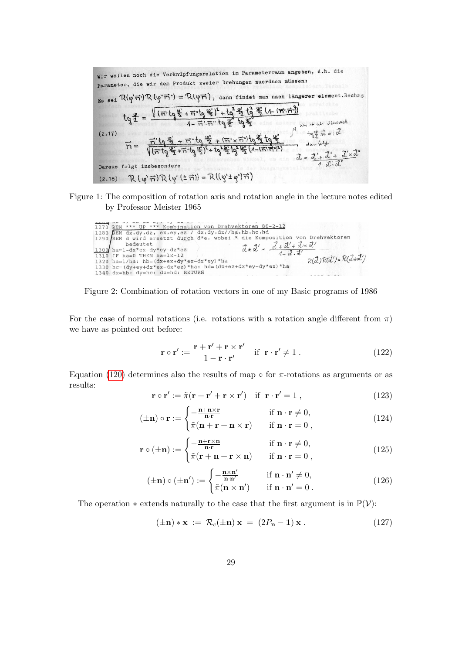\nWir wollen noch die Verknüpfungsrelation in Parameterraum angeben, d.h. die   
\nparameter, die wir dem Produkt zweier Drehungen zuordnen müssen:\n

\n\n
$$
Es
$$
 sei  $\mathcal{R}(\varphi' \vec{n}') \mathcal{R}(\varphi'' \vec{n}') = \mathcal{R}(\varphi \vec{n})$ , dann findet man nach längerer element. Reohres\n

\n\n $tg \frac{g}{f} = \frac{\sqrt{\left(\vec{n}'tg \frac{g}{f} + \vec{n}''tg \frac{g}{f}\right)^2 + tg^2 \frac{g^2}{f}} \frac{t \frac{g}{f}}{4 \frac{g^2}{f}} \frac{t \frac{g}{f}}{4 \frac{g^2}{f}} \frac{t \frac{g}{f}}{4 \frac{f}{f}} \frac{t \frac{g}{f}}{4 \frac{f}{f}} \frac{t \frac{f}{f}}{4 \frac{f}{f}} \frac{t \frac{f}{f}}{4 \frac{f}{f}} \frac{t \frac{f}{f}}{4 \frac{f}{f}} \frac{t \frac{f}{f}}{4 \frac{f}{f}} \frac{t \frac{f}{f}}{4 \frac{f}{f}} \frac{t \frac{f}{f}}{4 \frac{f}{f}} \frac{t \frac{f}{f}}{4 \frac{f}{f}} \frac{t \frac{f}{f}}{4 \frac{f}{f}} \frac{t \frac{f}{f}}{4 \frac{f}{f}} \frac{t \frac{f}{f}}{4 \frac{f}{f}} \frac{t \frac{f}{f}}{4 \frac{f}{f}} \frac{t \frac{f}{f}}{4 \frac{f}{f}} \frac{t \frac{f}{f}}{4 \frac{f}{f}} \frac{t \frac{f}{f}}{4 \frac{f}{f}} \frac{t \frac{f}{f}}{4 \frac{f}{f}} \frac{t \frac{f}{f}}{4 \frac{f}{f}} \frac{t \frac{f}{f}}{4 \frac{f}{f}} \frac{t \frac{f}{f}}{4 \frac{f}{f}} \frac{t \frac{f}{f}}{4 \frac{f}{f}} \frac{t \frac{f}{f}}{4 \frac{f}{f}} \frac{t \frac{f}{f}}{4 \frac{f}{f}} \frac{t \frac{f}{f}}{4 \frac{f}{f}} \frac{t \frac{f}{f}}{4 \frac{f}{f}} \frac{t \frac{f}{f}}{4 \frac{f}{f}} \frac{t \frac{f$ 

Figure 1: The composition of rotation axis and rotation angle in the lecture notes edited by Professor Meister 1965

<span id="page-28-0"></span>

| 1270 REM *** UP *** Kombination von Drehvektoren 86-2-12     |                                                                                                       |
|--------------------------------------------------------------|-------------------------------------------------------------------------------------------------------|
| 1280 REM dx, dy, dz, ex, ey, ez / dx, dy, dz//ha, hb, hc, hd |                                                                                                       |
|                                                              | 1290 REM d wird ersetzt durch d*e, wobei * die Komposition von Drehvektoren                           |
| bedeutet                                                     | $\vec{a} * \vec{a}' = \frac{\vec{a} + \vec{a}' + \vec{a} \times \vec{a}'}{4 - \vec{a} \cdot \vec{a}}$ |
| 1300 ha=1-dx*ex-dy*ey-dz*ez                                  |                                                                                                       |
| 1310 IF ha=0 THEN ha=1E-12                                   | $R(\vec{d})R(\vec{d}') = R(\vec{d}*\vec{d}')$                                                         |
| 1320 ha=1/ha: hb= $(dx+ex+dy*ez-dz*ey)*ha$                   |                                                                                                       |
| 1330 hc=(dy+ey+dz*ex-dx*ez)*ha: hd=(dz+ez+dx*ey-dy*ex)*ha    |                                                                                                       |
| 1340 dx=hb: dy=hc: dz=hd: RETURN                             |                                                                                                       |

<span id="page-28-1"></span>Figure 2: Combination of rotation vectors in one of my Basic programs of 1986

For the case of normal rotations (i.e. rotations with a rotation angle different from  $\pi$ ) we have as pointed out before:

<span id="page-28-6"></span>
$$
\mathbf{r} \circ \mathbf{r}' := \frac{\mathbf{r} + \mathbf{r}' + \mathbf{r} \times \mathbf{r}'}{1 - \mathbf{r} \cdot \mathbf{r}'} \quad \text{if } \mathbf{r} \cdot \mathbf{r}' \neq 1. \tag{122}
$$

Equation [\(120\)](#page-27-2) determines also the results of map  $\circ$  for  $\pi$ -rotations as arguments or as results:

<span id="page-28-2"></span>
$$
\mathbf{r} \circ \mathbf{r}' := \tilde{\pi}(\mathbf{r} + \mathbf{r}' + \mathbf{r} \times \mathbf{r}') \quad \text{if } \mathbf{r} \cdot \mathbf{r}' = 1 , \tag{123}
$$

<span id="page-28-3"></span>
$$
(\pm \mathbf{n}) \circ \mathbf{r} := \begin{cases} -\frac{\mathbf{n} + \mathbf{n} \times \mathbf{r}}{\mathbf{n} \cdot \mathbf{r}} & \text{if } \mathbf{n} \cdot \mathbf{r} \neq 0, \\ \tilde{\pi}(\mathbf{n} + \mathbf{r} + \mathbf{n} \times \mathbf{r}) & \text{if } \mathbf{n} \cdot \mathbf{r} = 0, \end{cases}
$$
(124)

<span id="page-28-4"></span>
$$
\mathbf{r} \circ (\pm \mathbf{n}) := \begin{cases} -\frac{\mathbf{n} + \mathbf{r} \times \mathbf{n}}{\mathbf{n} \cdot \mathbf{r}} & \text{if } \mathbf{n} \cdot \mathbf{r} \neq 0, \\ \tilde{\pi}(\mathbf{r} + \mathbf{n} + \mathbf{r} \times \mathbf{n}) & \text{if } \mathbf{n} \cdot \mathbf{r} = 0, \end{cases}
$$
(125)

<span id="page-28-5"></span>
$$
(\pm \mathbf{n}) \circ (\pm \mathbf{n}') := \begin{cases} -\frac{\mathbf{n} \times \mathbf{n}'}{\mathbf{n} \cdot \mathbf{n}'} & \text{if } \mathbf{n} \cdot \mathbf{n}' \neq 0, \\ \tilde{\pi}(\mathbf{n} \times \mathbf{n}') & \text{if } \mathbf{n} \cdot \mathbf{n}' = 0. \end{cases}
$$
(126)

The operation  $*$  extends naturally to the case that the first argument is in  $\mathbb{P}(\mathcal{V})$ :

$$
(\pm \mathbf{n}) \ast \mathbf{x} := \mathcal{R}_c(\pm \mathbf{n}) \mathbf{x} = (2P_{\mathbf{n}} - \mathbf{1}) \mathbf{x}.
$$
 (127)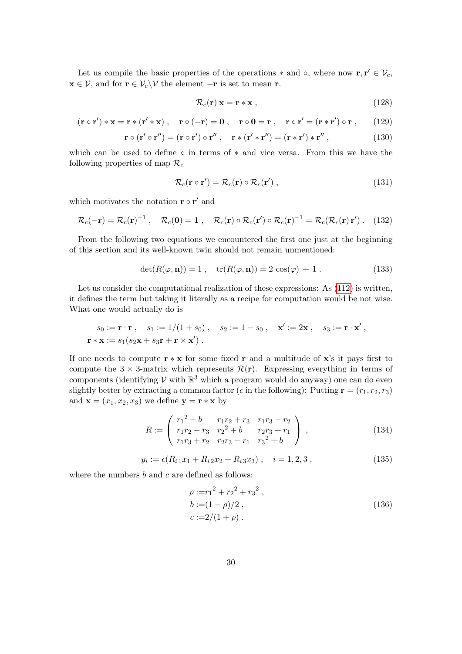Let us compile the basic properties of the operations  $*$  and  $\circ$ , where now  $\mathbf{r}, \mathbf{r}' \in \mathcal{V}_c$ ,  $\mathbf{x} \in \mathcal{V}$ , and for  $\mathbf{r} \in \mathcal{V}_c \backslash \mathcal{V}$  the element  $-\mathbf{r}$  is set to mean  $\mathbf{r}$ .

$$
\mathcal{R}_c(\mathbf{r}) \mathbf{x} = \mathbf{r} * \mathbf{x} \tag{128}
$$

<span id="page-29-0"></span>
$$
(\mathbf{r} \circ \mathbf{r}') * \mathbf{x} = \mathbf{r} * (\mathbf{r}' * \mathbf{x}), \quad \mathbf{r} \circ (-\mathbf{r}) = \mathbf{0}, \quad \mathbf{r} \circ \mathbf{0} = \mathbf{r}, \quad \mathbf{r} \circ \mathbf{r}' = (\mathbf{r} * \mathbf{r}') \circ \mathbf{r}, \qquad (129)
$$

$$
\mathbf{r} \circ (\mathbf{r}' \circ \mathbf{r}'') = (\mathbf{r} \circ \mathbf{r}') \circ \mathbf{r}'' , \quad \mathbf{r} * (\mathbf{r}' * \mathbf{r}'') = (\mathbf{r} * \mathbf{r}') * \mathbf{r}'' , \qquad (130)
$$

which can be used to define  $\circ$  in terms of  $*$  and vice versa. From this we have the following properties of map  $\mathcal{R}_c$ 

$$
\mathcal{R}_c(\mathbf{r} \circ \mathbf{r}') = \mathcal{R}_c(\mathbf{r}) \circ \mathcal{R}_c(\mathbf{r}'),\tag{131}
$$

which motivates the notation  $\mathbf{r} \circ \mathbf{r}'$  and

$$
\mathcal{R}_c(-\mathbf{r}) = \mathcal{R}_c(\mathbf{r})^{-1} , \quad \mathcal{R}_c(\mathbf{0}) = \mathbf{1} , \quad \mathcal{R}_c(\mathbf{r}) \circ \mathcal{R}_c(\mathbf{r}') \circ \mathcal{R}_c(\mathbf{r})^{-1} = \mathcal{R}_c(\mathcal{R}_c(\mathbf{r}) \mathbf{r}') . \quad (132)
$$

From the following two equations we encountered the first one just at the beginning of this section and its well-known twin should not remain unmentioned:

$$
\det(R(\varphi, \mathbf{n})) = 1, \quad \text{tr}(R(\varphi, \mathbf{n})) = 2\cos(\varphi) + 1. \tag{133}
$$

Let us consider the computational realization of these expressions: As  $(112)$  is written, it defines the term but taking it literally as a recipe for computation would be not wise. What one would actually do is

$$
s_0 := \mathbf{r} \cdot \mathbf{r}
$$
,  $s_1 := 1/(1 + s_0)$ ,  $s_2 := 1 - s_0$ ,  $\mathbf{x}' := 2\mathbf{x}$ ,  $s_3 := \mathbf{r} \cdot \mathbf{x}'$ ,  
\n $\mathbf{r} * \mathbf{x} := s_1(s_2 \mathbf{x} + s_3 \mathbf{r} + \mathbf{r} \times \mathbf{x}')$ .

If one needs to compute  $\mathbf{r} * \mathbf{x}$  for some fixed r and a multitude of x's it pays first to compute the  $3 \times 3$ -matrix which represents  $\mathcal{R}(\mathbf{r})$ . Expressing everything in terms of components (identifying  $V$  with  $\mathbb{R}^3$  which a program would do anyway) one can do even slightly better by extracting a common factor (c in the following): Putting  $\mathbf{r} = (r_1, r_2, r_3)$ and  $\mathbf{x} = (x_1, x_2, x_3)$  we define  $\mathbf{y} = \mathbf{r} * \mathbf{x}$  by

$$
R := \begin{pmatrix} r_1^2 + b & r_1r_2 + r_3 & r_1r_3 - r_2 \\ r_1r_2 - r_3 & r_2^2 + b & r_2r_3 + r_1 \\ r_1r_3 + r_2 & r_2r_3 - r_1 & r_3^2 + b \end{pmatrix},
$$
(134)

$$
y_i := c(R_{i1}x_1 + R_{i2}x_2 + R_{i3}x_3), \quad i = 1, 2, 3,
$$
 (135)

where the numbers  $b$  and  $c$  are defined as follows:

$$
\rho := r_1^2 + r_2^2 + r_3^2 ,
$$
  
\n
$$
b := (1 - \rho)/2 ,
$$
  
\n
$$
c := 2/(1 + \rho) .
$$
\n(136)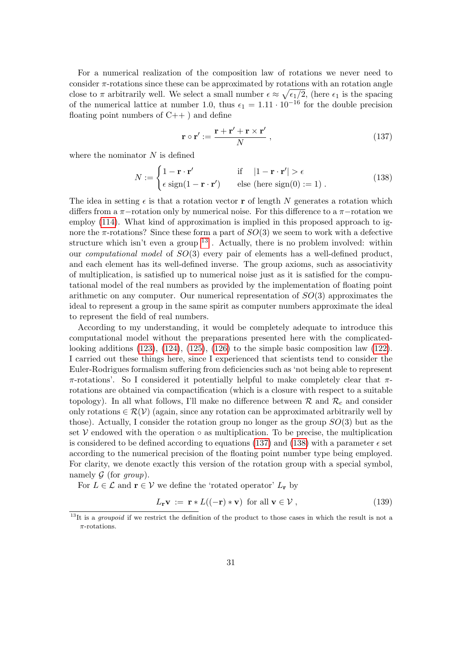For a numerical realization of the composition law of rotations we never need to consider  $\pi$ -rotations since these can be approximated by rotations with an rotation angle close to  $\pi$  arbitrarily well. We select a small number  $\epsilon \approx \sqrt{\epsilon_1/2}$ , (here  $\epsilon_1$  is the spacing of the numerical lattice at number 1.0, thus  $\epsilon_1 = 1.11 \cdot 10^{-16}$  for the double precision floating point numbers of  $C_{++}$ ) and define

<span id="page-30-1"></span>
$$
\mathbf{r} \circ \mathbf{r}' := \frac{\mathbf{r} + \mathbf{r}' + \mathbf{r} \times \mathbf{r}'}{N} , \qquad (137)
$$

where the nominator  $N$  is defined

<span id="page-30-2"></span>
$$
N := \begin{cases} 1 - \mathbf{r} \cdot \mathbf{r}' & \text{if } |1 - \mathbf{r} \cdot \mathbf{r}'| > \epsilon \\ \epsilon \operatorname{sign}(1 - \mathbf{r} \cdot \mathbf{r}') & \text{else (here sign(0) := 1)} \end{cases} . \tag{138}
$$

The idea in setting  $\epsilon$  is that a rotation vector **r** of length N generates a rotation which differs from a  $\pi$ −rotation only by numerical noise. For this difference to a  $\pi$ −rotation we employ [\(114\)](#page-26-1). What kind of approximation is implied in this proposed approach to ignore the  $\pi$ -rotations? Since these form a part of  $SO(3)$  we seem to work with a defective structure which isn't even a group  $13$ . Actually, there is no problem involved: within our computational model of SO(3) every pair of elements has a well-defined product, and each element has its well-defined inverse. The group axioms, such as associativity of multiplication, is satisfied up to numerical noise just as it is satisfied for the computational model of the real numbers as provided by the implementation of floating point arithmetic on any computer. Our numerical representation of  $SO(3)$  approximates the ideal to represent a group in the same spirit as computer numbers approximate the ideal to represent the field of real numbers.

According to my understanding, it would be completely adequate to introduce this computational model without the preparations presented here with the complicatedlooking additions  $(123)$ ,  $(124)$ ,  $(125)$ ,  $(126)$  to the simple basic composition law  $(122)$ . I carried out these things here, since I experienced that scientists tend to consider the Euler-Rodrigues formalism suffering from deficiencies such as 'not being able to represent  $\pi$ -rotations'. So I considered it potentially helpful to make completely clear that  $\pi$ rotations are obtained via compactification (which is a closure with respect to a suitable topology). In all what follows, I'll make no difference between  $\mathcal{R}$  and  $\mathcal{R}_c$  and consider only rotations  $\in \mathcal{R}(V)$  (again, since any rotation can be approximated arbitrarily well by those). Actually, I consider the rotation group no longer as the group  $SO(3)$  but as the set  $V$  endowed with the operation  $\circ$  as multiplication. To be precise, the multiplication is considered to be defined according to equations [\(137\)](#page-30-1) and [\(138\)](#page-30-2) with a parameter  $\epsilon$  set according to the numerical precision of the floating point number type being employed. For clarity, we denote exactly this version of the rotation group with a special symbol, namely  $G$  (for group).

For  $L \in \mathcal{L}$  and  $\mathbf{r} \in \mathcal{V}$  we define the 'rotated operator'  $L_{\mathbf{r}}$  by

$$
L_{\mathbf{r}}\mathbf{v} := \mathbf{r} * L((-\mathbf{r}) * \mathbf{v}) \text{ for all } \mathbf{v} \in \mathcal{V},
$$
\n(139)

<span id="page-30-0"></span> $13$ It is a *groupoid* if we restrict the definition of the product to those cases in which the result is not a  $\pi$ -rotations.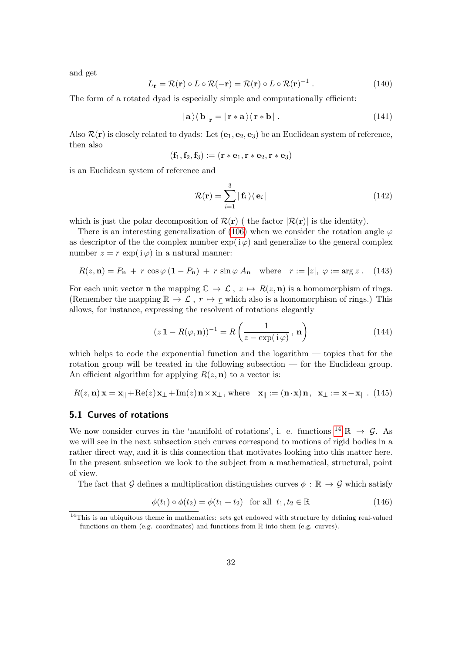and get

$$
L_{\mathbf{r}} = \mathcal{R}(\mathbf{r}) \circ L \circ \mathcal{R}(-\mathbf{r}) = \mathcal{R}(\mathbf{r}) \circ L \circ \mathcal{R}(\mathbf{r})^{-1} . \tag{140}
$$

The form of a rotated dyad is especially simple and computationally efficient:

<span id="page-31-2"></span>
$$
|\mathbf{a}\rangle\langle\mathbf{b}|_{\mathbf{r}} = |\mathbf{r} * \mathbf{a}\rangle\langle\mathbf{r} * \mathbf{b}|\,. \tag{141}
$$

Also  $\mathcal{R}(\mathbf{r})$  is closely related to dyads: Let  $(\mathbf{e}_1, \mathbf{e}_2, \mathbf{e}_3)$  be an Euclidean system of reference, then also

$$
(\mathbf{f}_1, \mathbf{f}_2, \mathbf{f}_3):=(\mathbf{r}*\mathbf{e}_1, \mathbf{r}*\mathbf{e}_2, \mathbf{r}*\mathbf{e}_3)
$$

is an Euclidean system of reference and

$$
\mathcal{R}(\mathbf{r}) = \sum_{i=1}^{3} |\mathbf{f}_i\rangle\langle\mathbf{e}_i|
$$
 (142)

which is just the polar decomposition of  $\mathcal{R}(\mathbf{r})$  (the factor  $|\mathcal{R}(\mathbf{r})|$  is the identity).

There is an interesting generalization of [\(106\)](#page-25-0) when we consider the rotation angle  $\varphi$ as descriptor of the the complex number  $\exp(i\varphi)$  and generalize to the general complex number  $z = r \exp(i \varphi)$  in a natural manner:

$$
R(z, \mathbf{n}) = P_{\mathbf{n}} + r \cos \varphi (1 - P_{\mathbf{n}}) + r \sin \varphi A_{\mathbf{n}} \quad \text{where} \quad r := |z|, \ \varphi := \arg z \ . \tag{143}
$$

For each unit vector **n** the mapping  $\mathbb{C} \to \mathcal{L}$ ,  $z \mapsto R(z, n)$  is a homomorphism of rings. (Remember the mapping  $\mathbb{R} \to \mathcal{L}$ ,  $r \mapsto r$  which also is a homomorphism of rings.) This allows, for instance, expressing the resolvent of rotations elegantly

$$
(z\,\mathbf{1} - R(\varphi, \mathbf{n}))^{-1} = R\left(\frac{1}{z - \exp(i\,\varphi)}, \mathbf{n}\right) \tag{144}
$$

which helps to code the exponential function and the logarithm — topics that for the rotation group will be treated in the following subsection — for the Euclidean group. An efficient algorithm for applying  $R(z, n)$  to a vector is:

$$
R(z, \mathbf{n})\mathbf{x} = \mathbf{x}_{\parallel} + \text{Re}(z)\mathbf{x}_{\perp} + \text{Im}(z)\mathbf{n} \times \mathbf{x}_{\perp}, \text{ where } \mathbf{x}_{\parallel} := (\mathbf{n} \cdot \mathbf{x})\mathbf{n}, \mathbf{x}_{\perp} := \mathbf{x} - \mathbf{x}_{\parallel}. (145)
$$

## <span id="page-31-1"></span>5.1 Curves of rotations

We now consider curves in the 'manifold of rotations', i. e. functions <sup>[14](#page-31-0)</sup>  $\mathbb{R} \to \mathcal{G}$ . As we will see in the next subsection such curves correspond to motions of rigid bodies in a rather direct way, and it is this connection that motivates looking into this matter here. In the present subsection we look to the subject from a mathematical, structural, point of view.

The fact that G defines a multiplication distinguishes curves  $\phi : \mathbb{R} \to \mathcal{G}$  which satisfy

$$
\phi(t_1) \circ \phi(t_2) = \phi(t_1 + t_2) \quad \text{for all} \quad t_1, t_2 \in \mathbb{R} \tag{146}
$$

<span id="page-31-0"></span> $14$ This is an ubiquitous theme in mathematics: sets get endowed with structure by defining real-valued functions on them (e.g. coordinates) and functions from  $\mathbb R$  into them (e.g. curves).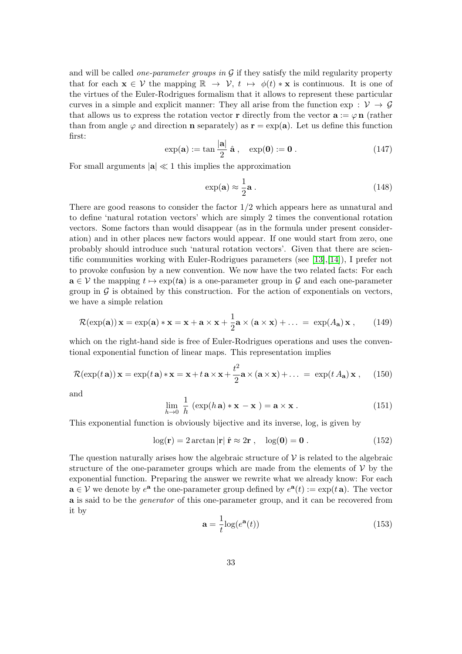and will be called *one-parameter groups in*  $G$  if they satisfy the mild regularity property that for each  $\mathbf{x} \in \mathcal{V}$  the mapping  $\mathbb{R} \to \mathcal{V}$ ,  $t \mapsto \phi(t) * \mathbf{x}$  is continuous. It is one of the virtues of the Euler-Rodrigues formalism that it allows to represent these particular curves in a simple and explicit manner: They all arise from the function exp :  $\mathcal{V} \rightarrow \mathcal{G}$ that allows us to express the rotation vector **r** directly from the vector  $\mathbf{a} := \varphi \mathbf{n}$  (rather than from angle  $\varphi$  and direction **n** separately) as  $\mathbf{r} = \exp(\mathbf{a})$ . Let us define this function first:

$$
\exp(\mathbf{a}) := \tan\frac{|\mathbf{a}|}{2} \hat{\mathbf{a}}, \quad \exp(\mathbf{0}) := \mathbf{0}.
$$
 (147)

For small arguments  $|\mathbf{a}| \ll 1$  this implies the approximation

<span id="page-32-1"></span>
$$
\exp(\mathbf{a}) \approx \frac{1}{2}\mathbf{a} \,. \tag{148}
$$

There are good reasons to consider the factor 1/2 which appears here as unnatural and to define 'natural rotation vectors' which are simply 2 times the conventional rotation vectors. Some factors than would disappear (as in the formula under present consideration) and in other places new factors would appear. If one would start from zero, one probably should introduce such 'natural rotation vectors'. Given that there are scientific communities working with Euler-Rodrigues parameters (see [\[13\]](#page-47-9),[\[14\]](#page-47-11)), I prefer not to provoke confusion by a new convention. We now have the two related facts: For each  $\mathbf{a} \in \mathcal{V}$  the mapping  $t \mapsto \exp(t\mathbf{a})$  is a one-parameter group in G and each one-parameter group in  $\mathcal G$  is obtained by this construction. For the action of exponentials on vectors, we have a simple relation

$$
\mathcal{R}(\exp(\mathbf{a}))\mathbf{x} = \exp(\mathbf{a}) * \mathbf{x} = \mathbf{x} + \mathbf{a} \times \mathbf{x} + \frac{1}{2}\mathbf{a} \times (\mathbf{a} \times \mathbf{x}) + \dots = \exp(A_{\mathbf{a}})\mathbf{x}, \qquad (149)
$$

which on the right-hand side is free of Euler-Rodrigues operations and uses the conventional exponential function of linear maps. This representation implies

$$
\mathcal{R}(\exp(t\,\mathbf{a}))\,\mathbf{x} = \exp(t\,\mathbf{a}) \cdot \mathbf{x} = \mathbf{x} + t\,\mathbf{a} \times \mathbf{x} + \frac{t^2}{2}\mathbf{a} \times (\mathbf{a} \times \mathbf{x}) + \dots = \exp(t\,A_{\mathbf{a}})\,\mathbf{x}\,,\tag{150}
$$

and

$$
\lim_{h \to 0} \frac{1}{h} (\exp(h \mathbf{a}) * \mathbf{x} - \mathbf{x}) = \mathbf{a} \times \mathbf{x} .
$$
\n(151)

This exponential function is obviously bijective and its inverse, log, is given by

<span id="page-32-2"></span>
$$
\log(\mathbf{r}) = 2 \arctan |\mathbf{r}| \hat{\mathbf{r}} \approx 2\mathbf{r} , \quad \log(\mathbf{0}) = \mathbf{0} . \tag{152}
$$

The question naturally arises how the algebraic structure of  $\mathcal V$  is related to the algebraic structure of the one-parameter groups which are made from the elements of  $V$  by the exponential function. Preparing the answer we rewrite what we already know: For each  $\mathbf{a} \in \mathcal{V}$  we denote by  $e^{\mathbf{a}}$  the one-parameter group defined by  $e^{\mathbf{a}}(t) := \exp(t \mathbf{a})$ . The vector a is said to be the generator of this one-parameter group, and it can be recovered from it by

<span id="page-32-0"></span>
$$
\mathbf{a} = \frac{1}{t} \log(e^{\mathbf{a}}(t))
$$
\n(153)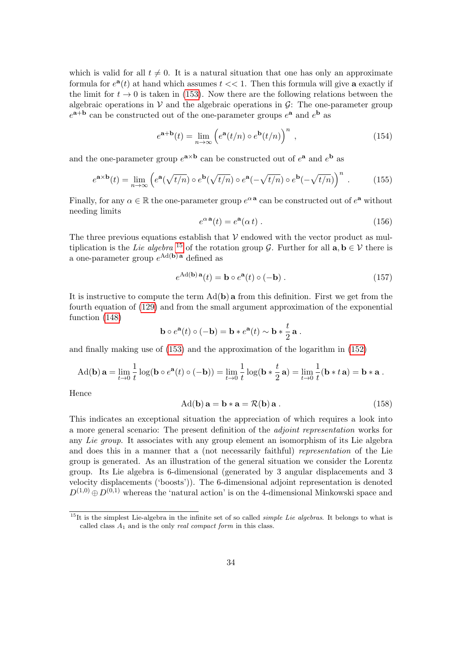which is valid for all  $t \neq 0$ . It is a natural situation that one has only an approximate formula for  $e^{\mathbf{a}}(t)$  at hand which assumes  $t \ll 1$ . Then this formula will give **a** exactly if the limit for  $t \to 0$  is taken in [\(153\)](#page-32-0). Now there are the following relations between the algebraic operations in  $\mathcal V$  and the algebraic operations in  $\mathcal G$ : The one-parameter group  $e^{a+b}$  can be constructed out of the one-parameter groups  $e^{a}$  and  $e^{b}$  as

$$
e^{\mathbf{a} + \mathbf{b}}(t) = \lim_{n \to \infty} \left( e^{\mathbf{a}}(t/n) \circ e^{\mathbf{b}}(t/n) \right)^n , \qquad (154)
$$

and the one-parameter group  $e^{a \times b}$  can be constructed out of  $e^a$  and  $e^b$  as

$$
e^{\mathbf{a} \times \mathbf{b}}(t) = \lim_{n \to \infty} \left( e^{\mathbf{a}}(\sqrt{t/n}) \circ e^{\mathbf{b}}(\sqrt{t/n}) \circ e^{\mathbf{a}}(-\sqrt{t/n}) \circ e^{\mathbf{b}}(-\sqrt{t/n}) \right)^n .
$$
 (155)

Finally, for any  $\alpha \in \mathbb{R}$  the one-parameter group  $e^{\alpha \mathbf{a}}$  can be constructed out of  $e^{\mathbf{a}}$  without needing limits

$$
e^{\alpha \mathbf{a}}(t) = e^{\mathbf{a}}(\alpha t) \tag{156}
$$

The three previous equations establish that  $\mathcal V$  endowed with the vector product as mul-tiplication is the Lie algebra <sup>[15](#page-33-0)</sup> of the rotation group G. Further for all  $\mathbf{a}, \mathbf{b} \in \mathcal{V}$  there is a one-parameter group  $e^{\text{Ad}(\mathbf{b})\mathbf{a}}$  defined as

$$
e^{\text{Ad}(\mathbf{b})\,\mathbf{a}}(t) = \mathbf{b} \circ e^{\mathbf{a}}(t) \circ (-\mathbf{b}) \,. \tag{157}
$$

It is instructive to compute the term  $Ad(b)$  a from this definition. First we get from the fourth equation of [\(129\)](#page-29-0) and from the small argument approximation of the exponential function [\(148\)](#page-32-1)

$$
\mathbf{b} \circ e^{\mathbf{a}}(t) \circ (-\mathbf{b}) = \mathbf{b} * e^{\mathbf{a}}(t) \sim \mathbf{b} * \frac{t}{2} \mathbf{a}.
$$

and finally making use of [\(153\)](#page-32-0) and the approximation of the logarithm in [\(152\)](#page-32-2)

$$
\mathrm{Ad}(\mathbf{b})\,\mathbf{a} = \lim_{t\to 0}\frac{1}{t}\log(\mathbf{b}\circ e^{\mathbf{a}}(t)\circ(-\mathbf{b})) = \lim_{t\to 0}\frac{1}{t}\log(\mathbf{b}*\frac{t}{2}\,\mathbf{a}) = \lim_{t\to 0}\frac{1}{t}(\mathbf{b}*t\,\mathbf{a}) = \mathbf{b}*\mathbf{a}.
$$

Hence

$$
Ad(b) \mathbf{a} = \mathbf{b} * \mathbf{a} = \mathcal{R}(b) \mathbf{a} .
$$
 (158)

This indicates an exceptional situation the appreciation of which requires a look into a more general scenario: The present definition of the adjoint representation works for any Lie group. It associates with any group element an isomorphism of its Lie algebra and does this in a manner that a (not necessarily faithful) representation of the Lie group is generated. As an illustration of the general situation we consider the Lorentz group. Its Lie algebra is 6-dimensional (generated by 3 angular displacements and 3 velocity displacements ('boosts')). The 6-dimensional adjoint representation is denoted  $D^{(1,0)} \oplus D^{(0,1)}$  whereas the 'natural action' is on the 4-dimensional Minkowski space and

<span id="page-33-0"></span> $15$ It is the simplest Lie-algebra in the infinite set of so called *simple Lie algebras*. It belongs to what is called class  $A_1$  and is the only *real compact form* in this class.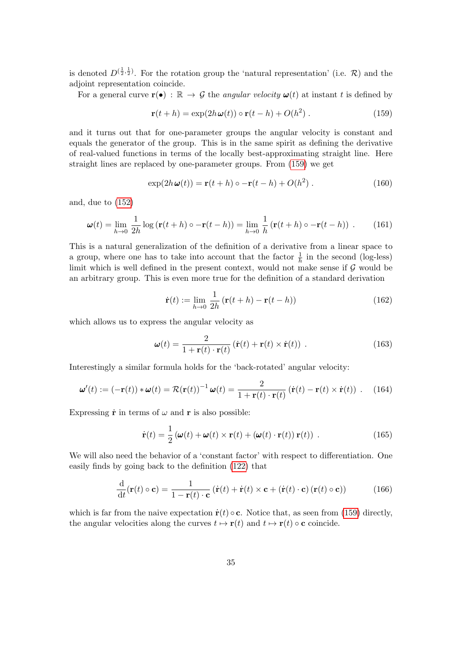is denoted  $D^{(\frac{1}{2},\frac{1}{2})}$ . For the rotation group the 'natural representation' (i.e. R) and the adjoint representation coincide.

For a general curve  $\mathbf{r}(\bullet) : \mathbb{R} \to \mathcal{G}$  the angular velocity  $\omega(t)$  at instant t is defined by

<span id="page-34-0"></span>
$$
\mathbf{r}(t+h) = \exp(2h\,\boldsymbol{\omega}(t)) \circ \mathbf{r}(t-h) + O(h^2) \,. \tag{159}
$$

and it turns out that for one-parameter groups the angular velocity is constant and equals the generator of the group. This is in the same spirit as defining the derivative of real-valued functions in terms of the locally best-approximating straight line. Here straight lines are replaced by one-parameter groups. From [\(159\)](#page-34-0) we get

$$
\exp(2h\,\boldsymbol{\omega}(t)) = \mathbf{r}(t+h) \circ -\mathbf{r}(t-h) + O(h^2) \,. \tag{160}
$$

and, due to [\(152\)](#page-32-2)

<span id="page-34-3"></span>
$$
\boldsymbol{\omega}(t) = \lim_{h \to 0} \frac{1}{2h} \log \left( \mathbf{r}(t+h) \circ -\mathbf{r}(t-h) \right) = \lim_{h \to 0} \frac{1}{h} \left( \mathbf{r}(t+h) \circ -\mathbf{r}(t-h) \right) . \tag{161}
$$

This is a natural generalization of the definition of a derivative from a linear space to a group, where one has to take into account that the factor  $\frac{1}{h}$  in the second (log-less) limit which is well defined in the present context, would not make sense if  $\mathcal G$  would be an arbitrary group. This is even more true for the definition of a standard derivation

$$
\dot{\mathbf{r}}(t) := \lim_{h \to 0} \frac{1}{2h} \left( \mathbf{r}(t+h) - \mathbf{r}(t-h) \right) \tag{162}
$$

which allows us to express the angular velocity as

$$
\boldsymbol{\omega}(t) = \frac{2}{1 + \mathbf{r}(t) \cdot \mathbf{r}(t)} \left( \dot{\mathbf{r}}(t) + \mathbf{r}(t) \times \dot{\mathbf{r}}(t) \right) . \tag{163}
$$

Interestingly a similar formula holds for the 'back-rotated' angular velocity:

<span id="page-34-1"></span>
$$
\boldsymbol{\omega}'(t) := (-\mathbf{r}(t)) * \boldsymbol{\omega}(t) = \mathcal{R}(\mathbf{r}(t))^{-1} \boldsymbol{\omega}(t) = \frac{2}{1 + \mathbf{r}(t) \cdot \mathbf{r}(t)} (\dot{\mathbf{r}}(t) - \mathbf{r}(t) \times \dot{\mathbf{r}}(t)) .
$$
 (164)

Expressing  $\dot{\mathbf{r}}$  in terms of  $\omega$  and  $\mathbf{r}$  is also possible:

$$
\dot{\mathbf{r}}(t) = \frac{1}{2} \left( \boldsymbol{\omega}(t) + \boldsymbol{\omega}(t) \times \mathbf{r}(t) + \left( \boldsymbol{\omega}(t) \cdot \mathbf{r}(t) \right) \mathbf{r}(t) \right) . \tag{165}
$$

We will also need the behavior of a 'constant factor' with respect to differentiation. One easily finds by going back to the definition [\(122\)](#page-28-6) that

<span id="page-34-2"></span>
$$
\frac{\mathrm{d}}{\mathrm{d}t}(\mathbf{r}(t)\circ\mathbf{c}) = \frac{1}{1-\mathbf{r}(t)\cdot\mathbf{c}}\left(\dot{\mathbf{r}}(t) + \dot{\mathbf{r}}(t)\times\mathbf{c} + (\dot{\mathbf{r}}(t)\cdot\mathbf{c})(\mathbf{r}(t)\circ\mathbf{c})\right) \tag{166}
$$

which is far from the naive expectation  $\dot{\mathbf{r}}(t) \circ \mathbf{c}$ . Notice that, as seen from [\(159\)](#page-34-0) directly, the angular velocities along the curves  $t \mapsto \mathbf{r}(t)$  and  $t \mapsto \mathbf{r}(t) \circ \mathbf{c}$  coincide.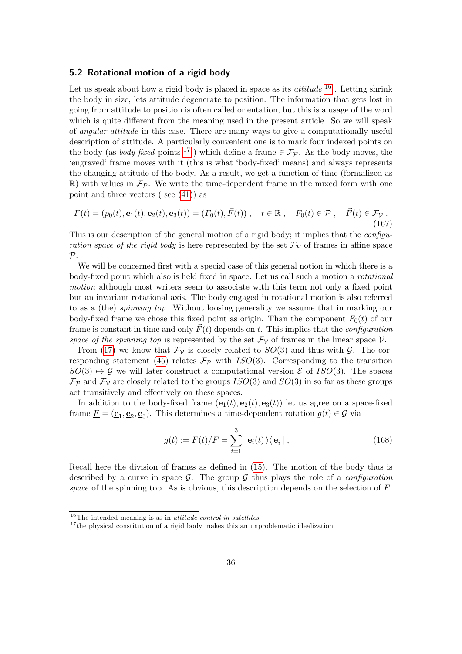#### <span id="page-35-2"></span>5.2 Rotational motion of a rigid body

Let us speak about how a rigid body is placed in space as its *attitude*  $16$ . Letting shrink the body in size, lets attitude degenerate to position. The information that gets lost in going from attitude to position is often called orientation, but this is a usage of the word which is quite different from the meaning used in the present article. So we will speak of angular attitude in this case. There are many ways to give a computationally useful description of attitude. A particularly convenient one is to mark four indexed points on the body (as *body-fixed* points <sup>[17](#page-35-1)</sup>) which define a frame  $\in \mathcal{F}_{\mathcal{P}}$ . As the body moves, the 'engraved' frame moves with it (this is what 'body-fixed' means) and always represents the changing attitude of the body. As a result, we get a function of time (formalized as  $\mathbb{R}$ ) with values in  $\mathcal{F}_{\mathcal{P}}$ . We write the time-dependent frame in the mixed form with one point and three vectors ( see [\(41\)](#page-14-0)) as

$$
F(t) = (p_0(t), \mathbf{e}_1(t), \mathbf{e}_2(t), \mathbf{e}_3(t)) = (F_0(t), \vec{F}(t)), \quad t \in \mathbb{R}, \quad F_0(t) \in \mathcal{P}, \quad \vec{F}(t) \in \mathcal{F}_{\mathcal{V}}.
$$
\n(167)

This is our description of the general motion of a rigid body; it implies that the *configu*ration space of the rigid body is here represented by the set  $\mathcal{F}_{\mathcal{P}}$  of frames in affine space  $\mathcal{P}$ .

We will be concerned first with a special case of this general notion in which there is a body-fixed point which also is held fixed in space. Let us call such a motion a rotational motion although most writers seem to associate with this term not only a fixed point but an invariant rotational axis. The body engaged in rotational motion is also referred to as a (the) spinning top. Without loosing generality we assume that in marking our body-fixed frame we chose this fixed point as origin. Than the component  $F_0(t)$  of our frame is constant in time and only  $\vec{F}(t)$  depends on t. This implies that the *configuration* space of the spinning top is represented by the set  $\mathcal{F}_{\mathcal{V}}$  of frames in the linear space  $\mathcal{V}$ .

From [\(17\)](#page-4-1) we know that  $\mathcal{F}_{\mathcal{V}}$  is closely related to  $SO(3)$  and thus with  $\mathcal{G}$ . The cor-responding statement [\(45\)](#page-15-2) relates  $\mathcal{F}_{\mathcal{P}}$  with ISO(3). Corresponding to the transition  $SO(3) \rightarrow \mathcal{G}$  we will later construct a computational version  $\mathcal{E}$  of ISO(3). The spaces  $\mathcal{F}_{\mathcal{P}}$  and  $\mathcal{F}_{\mathcal{V}}$  are closely related to the groups  $ISO(3)$  and  $SO(3)$  in so far as these groups act transitively and effectively on these spaces.

In addition to the body-fixed frame  $(e_1(t), e_2(t), e_3(t))$  let us agree on a space-fixed frame  $\underline{F} = (\underline{\mathbf{e}}_1, \underline{\mathbf{e}}_2, \underline{\mathbf{e}}_3)$ . This determines a time-dependent rotation  $g(t) \in \mathcal{G}$  via

$$
g(t) := F(t)/\underline{F} = \sum_{i=1}^{3} |\mathbf{e}_i(t)\rangle\langle \underline{\mathbf{e}}_i|,
$$
 (168)

Recall here the division of frames as defined in [\(15\)](#page-4-2). The motion of the body thus is described by a curve in space  $\mathcal{G}$ . The group  $\mathcal{G}$  thus plays the role of a *configuration* space of the spinning top. As is obvious, this description depends on the selection of  $\overline{F}$ .

<span id="page-35-0"></span> $16$ <sup>16</sup>The intended meaning is as in *attitude control in satellites* 

<span id="page-35-1"></span><sup>&</sup>lt;sup>17</sup>the physical constitution of a rigid body makes this an unproblematic idealization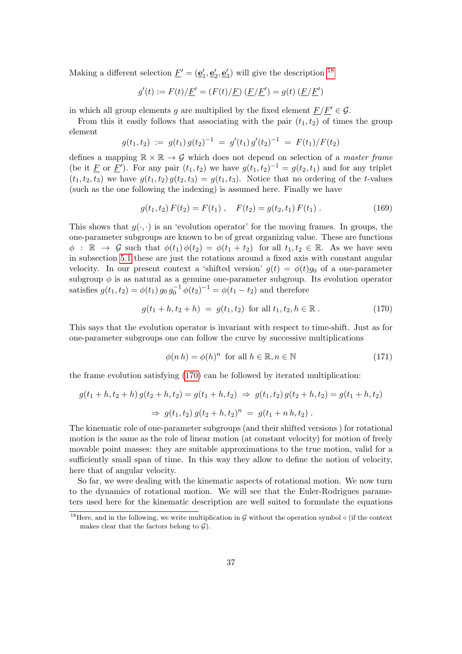Making a different selection  $\underline{F}' = (\underline{\mathbf{e}}'_1, \underline{\mathbf{e}}'_2, \underline{\mathbf{e}}'_3)$  will give the description <sup>[18](#page-36-0)</sup>

$$
g'(t) := F(t)/\underline{F}' = (F(t)/\underline{F}) \, (\underline{F}/\underline{F}') = g(t) \, (\underline{F}/\underline{F}')
$$

in which all group elements g are multiplied by the fixed element  $\underline{F}/\underline{F}' \in \mathcal{G}$ .

From this it easily follows that associating with the pair  $(t_1, t_2)$  of times the group element

$$
g(t_1, t_2) := g(t_1) g(t_2)^{-1} = g'(t_1) g'(t_2)^{-1} = F(t_1) / F(t_2)
$$

defines a mapping  $\mathbb{R} \times \mathbb{R} \to \mathcal{G}$  which does not depend on selection of a master frame (be it E or E'). For any pair  $(t_1, t_2)$  we have  $g(t_1, t_2)^{-1} = g(t_2, t_1)$  and for any triplet  $(t_1, t_2, t_3)$  we have  $g(t_1, t_2) g(t_2, t_3) = g(t_1, t_3)$ . Notice that no ordering of the t-values (such as the one following the indexing) is assumed here. Finally we have

$$
g(t_1, t_2) F(t_2) = F(t_1) , \quad F(t_2) = g(t_2, t_1) F(t_1) . \tag{169}
$$

This shows that  $q(\cdot, \cdot)$  is an 'evolution operator' for the moving frames. In groups, the one-parameter subgroups are known to be of great organizing value. These are functions  $\phi : \mathbb{R} \to \mathcal{G}$  such that  $\phi(t_1) \phi(t_2) = \phi(t_1 + t_2)$  for all  $t_1, t_2 \in \mathbb{R}$ . As we have seen in subsection [5.1](#page-31-1) these are just the rotations around a fixed axis with constant angular velocity. In our present context a 'shifted version'  $q(t) = \phi(t)q_0$  of a one-parameter subgroup  $\phi$  is as natural as a genuine one-parameter subgroup. Its evolution operator satisfies  $g(t_1, t_2) = \phi(t_1) g_0 g_0^{-1} \phi(t_2)^{-1} = \phi(t_1 - t_2)$  and therefore

<span id="page-36-1"></span>
$$
g(t_1 + h, t_2 + h) = g(t_1, t_2) \text{ for all } t_1, t_2, h \in \mathbb{R}.
$$
 (170)

This says that the evolution operator is invariant with respect to time-shift. Just as for one-parameter subgroups one can follow the curve by successive multiplications

$$
\phi(n h) = \phi(h)^n \text{ for all } h \in \mathbb{R}, n \in \mathbb{N}
$$
\n(171)

the frame evolution satisfying [\(170\)](#page-36-1) can be followed by iterated multiplication:

$$
g(t_1 + h, t_2 + h) g(t_2 + h, t_2) = g(t_1 + h, t_2) \Rightarrow g(t_1, t_2) g(t_2 + h, t_2) = g(t_1 + h, t_2)
$$
  

$$
\Rightarrow g(t_1, t_2) g(t_2 + h, t_2)^n = g(t_1 + n h, t_2).
$$

The kinematic role of one-parameter subgroups (and their shifted versions ) for rotational motion is the same as the role of linear motion (at constant velocity) for motion of freely movable point masses: they are suitable approximations to the true motion, valid for a sufficiently small span of time. In this way they allow to define the notion of velocity, here that of angular velocity.

So far, we were dealing with the kinematic aspects of rotational motion. We now turn to the dynamics of rotational motion. We will see that the Euler-Rodrigues parameters used here for the kinematic description are well suited to formulate the equations

<span id="page-36-0"></span><sup>&</sup>lt;sup>18</sup>Here, and in the following, we write multiplication in G without the operation symbol  $\circ$  (if the context makes clear that the factors belong to  $\mathcal{G}$ ).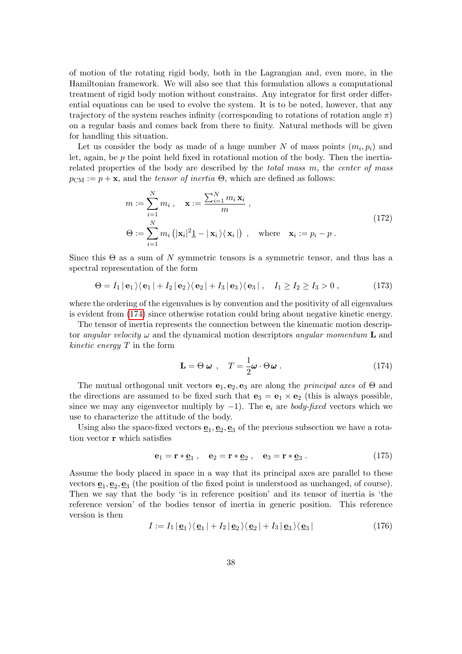of motion of the rotating rigid body, both in the Lagrangian and, even more, in the Hamiltonian framework. We will also see that this formulation allows a computational treatment of rigid body motion without constrains. Any integrator for first order differential equations can be used to evolve the system. It is to be noted, however, that any trajectory of the system reaches infinity (corresponding to rotations of rotation angle  $\pi$ ) on a regular basis and comes back from there to finity. Natural methods will be given for handling this situation.

Let us consider the body as made of a huge number N of mass points  $(m_i, p_i)$  and let, again, be p the point held fixed in rotational motion of the body. Then the inertiarelated properties of the body are described by the total mass  $m$ , the center of mass  $p_{\text{CM}} := p + \mathbf{x}$ , and the *tensor of inertia*  $\Theta$ , which are defined as follows:

$$
m := \sum_{i=1}^{N} m_i, \quad \mathbf{x} := \frac{\sum_{i=1}^{N} m_i \mathbf{x}_i}{m},
$$
  
\n
$$
\Theta := \sum_{i=1}^{N} m_i \left( |\mathbf{x}_i|^2 \mathbf{1} - |\mathbf{x}_i \rangle \langle \mathbf{x}_i| \right), \quad \text{where} \quad \mathbf{x}_i := p_i - p.
$$
\n(172)

<span id="page-37-2"></span>Since this  $\Theta$  as a sum of N symmetric tensors is a symmetric tensor, and thus has a spectral representation of the form

$$
\Theta = I_1 \mid \mathbf{e}_1 \rangle \langle \mathbf{e}_1 \mid + I_2 \mid \mathbf{e}_2 \rangle \langle \mathbf{e}_2 \mid + I_3 \mid \mathbf{e}_3 \rangle \langle \mathbf{e}_3 \mid, \quad I_1 \geq I_2 \geq I_3 > 0 , \tag{173}
$$

where the ordering of the eigenvalues is by convention and the positivity of all eigenvalues is evident from [\(174\)](#page-37-0) since otherwise rotation could bring about negative kinetic energy.

The tensor of inertia represents the connection between the kinematic motion descriptor angular velocity  $\omega$  and the dynamical motion descriptors angular momentum **L** and *kinetic energy*  $T$  in the form

<span id="page-37-0"></span>
$$
\mathbf{L} = \Theta \ \boldsymbol{\omega} \ , \quad T = \frac{1}{2} \boldsymbol{\omega} \cdot \Theta \boldsymbol{\omega} \ . \tag{174}
$$

The mutual orthogonal unit vectors  $e_1, e_2, e_3$  are along the *principal axes* of  $\Theta$  and the directions are assumed to be fixed such that  $\mathbf{e}_3 = \mathbf{e}_1 \times \mathbf{e}_2$  (this is always possible, since we may any eigenvector multiply by  $-1$ ). The  $e_i$  are *body-fixed* vectors which we use to characterize the attitude of the body.

Using also the space-fixed vectors  $\underline{\mathbf{e}}_1$ ,  $\underline{\mathbf{e}}_2$ ,  $\underline{\mathbf{e}}_3$  of the previous subsection we have a rotation vector r which satisfies

$$
\mathbf{e}_1 = \mathbf{r} * \underline{\mathbf{e}}_1 , \quad \mathbf{e}_2 = \mathbf{r} * \underline{\mathbf{e}}_2 , \quad \mathbf{e}_3 = \mathbf{r} * \underline{\mathbf{e}}_3 . \tag{175}
$$

Assume the body placed in space in a way that its principal axes are parallel to these vectors  $\mathbf{e}_1, \mathbf{e}_2, \mathbf{e}_3$  (the position of the fixed point is understood as unchanged, of course). Then we say that the body 'is in reference position' and its tensor of inertia is 'the reference version' of the bodies tensor of inertia in generic position. This reference version is then

<span id="page-37-1"></span>
$$
I := I_1 | \mathbf{e}_1 \rangle \langle \mathbf{e}_1 | + I_2 | \mathbf{e}_2 \rangle \langle \mathbf{e}_2 | + I_3 | \mathbf{e}_3 \rangle \langle \mathbf{e}_3 |
$$
 (176)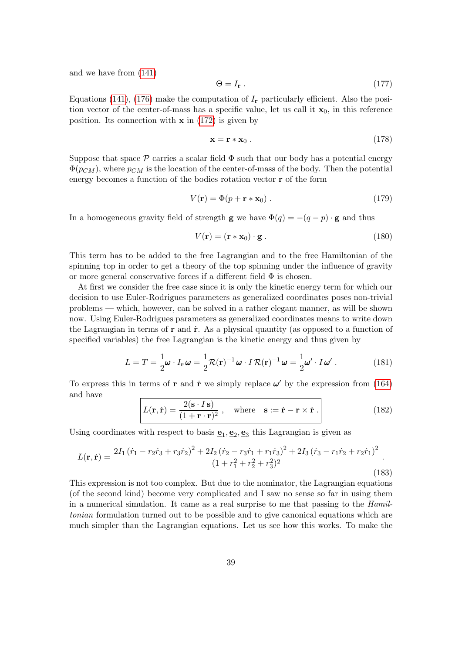and we have from [\(141\)](#page-31-2)

<span id="page-38-0"></span>
$$
\Theta = I_{\mathbf{r}} \tag{177}
$$

Equations [\(141\)](#page-31-2), [\(176\)](#page-37-1) make the computation of  $I_r$  particularly efficient. Also the position vector of the center-of-mass has a specific value, let us call it  $x_0$ , in this reference position. Its connection with  $x$  in [\(172\)](#page-37-2) is given by

<span id="page-38-2"></span>
$$
\mathbf{x} = \mathbf{r} * \mathbf{x}_0 \,. \tag{178}
$$

Suppose that space  $\mathcal P$  carries a scalar field  $\Phi$  such that our body has a potential energy  $\Phi(p_{CM})$ , where  $p_{CM}$  is the location of the center-of-mass of the body. Then the potential energy becomes a function of the bodies rotation vector r of the form

<span id="page-38-1"></span>
$$
V(\mathbf{r}) = \Phi(p + \mathbf{r} * \mathbf{x}_0) \tag{179}
$$

In a homogeneous gravity field of strength **g** we have  $\Phi(q) = -(q - p) \cdot \mathbf{g}$  and thus

$$
V(\mathbf{r}) = (\mathbf{r} * \mathbf{x}_0) \cdot \mathbf{g} \ . \tag{180}
$$

This term has to be added to the free Lagrangian and to the free Hamiltonian of the spinning top in order to get a theory of the top spinning under the influence of gravity or more general conservative forces if a different field  $\Phi$  is chosen.

At first we consider the free case since it is only the kinetic energy term for which our decision to use Euler-Rodrigues parameters as generalized coordinates poses non-trivial problems — which, however, can be solved in a rather elegant manner, as will be shown now. Using Euler-Rodrigues parameters as generalized coordinates means to write down the Lagrangian in terms of  $\bf{r}$  and  $\dot{\bf{r}}$ . As a physical quantity (as opposed to a function of specified variables) the free Lagrangian is the kinetic energy and thus given by

$$
L = T = \frac{1}{2}\boldsymbol{\omega} \cdot I_{\mathbf{r}} \,\boldsymbol{\omega} = \frac{1}{2} \mathcal{R}(\mathbf{r})^{-1} \,\boldsymbol{\omega} \cdot I \,\mathcal{R}(\mathbf{r})^{-1} \,\boldsymbol{\omega} = \frac{1}{2} \boldsymbol{\omega}' \cdot I \,\boldsymbol{\omega}' \,. \tag{181}
$$

To express this in terms of **r** and **r**<sup>i</sup> we simply replace  $\omega'$  by the expression from [\(164\)](#page-34-1) and have

$$
L(\mathbf{r}, \dot{\mathbf{r}}) = \frac{2(\mathbf{s} \cdot I \, \mathbf{s})}{(1 + \mathbf{r} \cdot \mathbf{r})^2} \,, \quad \text{where} \quad \mathbf{s} := \dot{\mathbf{r}} - \mathbf{r} \times \dot{\mathbf{r}} \,. \tag{182}
$$

Using coordinates with respect to basis  $\underline{\mathbf{e}}_1, \underline{\mathbf{e}}_2, \underline{\mathbf{e}}_3$  this Lagrangian is given as

$$
L(\mathbf{r}, \dot{\mathbf{r}}) = \frac{2I_1(\dot{r}_1 - r_2\dot{r}_3 + r_3\dot{r}_2)^2 + 2I_2(\dot{r}_2 - r_3\dot{r}_1 + r_1\dot{r}_3)^2 + 2I_3(\dot{r}_3 - r_1\dot{r}_2 + r_2\dot{r}_1)^2}{(1 + r_1^2 + r_2^2 + r_3^2)^2}.
$$
\n(183)

This expression is not too complex. But due to the nominator, the Lagrangian equations (of the second kind) become very complicated and I saw no sense so far in using them in a numerical simulation. It came as a real surprise to me that passing to the Hamiltonian formulation turned out to be possible and to give canonical equations which are much simpler than the Lagrangian equations. Let us see how this works. To make the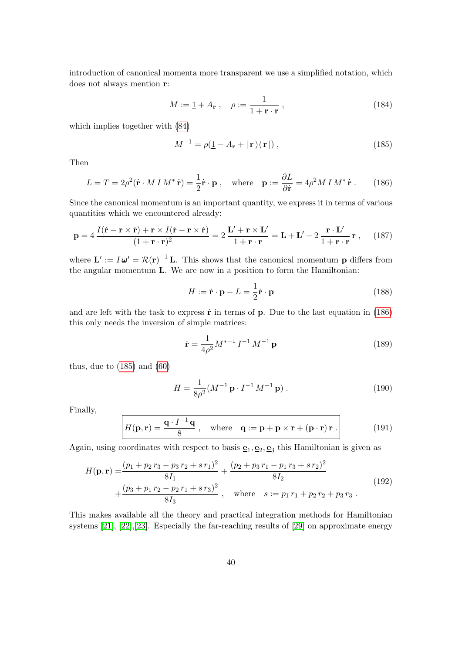introduction of canonical momenta more transparent we use a simplified notation, which does not always mention r:

$$
M := \mathbf{1} + A_{\mathbf{r}} , \quad \rho := \frac{1}{1 + \mathbf{r} \cdot \mathbf{r}} , \tag{184}
$$

which implies together with [\(84\)](#page-21-0)

<span id="page-39-1"></span>
$$
M^{-1} = \rho(\underline{1} - A_{\mathbf{r}} + |\mathbf{r}\rangle\langle\mathbf{r}|), \qquad (185)
$$

Then

<span id="page-39-0"></span>
$$
L = T = 2\rho^2(\dot{\mathbf{r}} \cdot M \, I \, M^* \, \dot{\mathbf{r}}) = \frac{1}{2} \dot{\mathbf{r}} \cdot \mathbf{p} \,, \quad \text{where} \quad \mathbf{p} := \frac{\partial L}{\partial \dot{\mathbf{r}}} = 4\rho^2 M \, I \, M^* \, \dot{\mathbf{r}} \,. \tag{186}
$$

Since the canonical momentum is an important quantity, we express it in terms of various quantities which we encountered already:

<span id="page-39-3"></span>
$$
\mathbf{p} = 4 \frac{I(\dot{\mathbf{r}} - \mathbf{r} \times \dot{\mathbf{r}}) + \mathbf{r} \times I(\dot{\mathbf{r}} - \mathbf{r} \times \dot{\mathbf{r}})}{(1 + \mathbf{r} \cdot \mathbf{r})^2} = 2 \frac{\mathbf{L}' + \mathbf{r} \times \mathbf{L}'}{1 + \mathbf{r} \cdot \mathbf{r}} = \mathbf{L} + \mathbf{L}' - 2 \frac{\mathbf{r} \cdot \mathbf{L}'}{1 + \mathbf{r} \cdot \mathbf{r}} \mathbf{r} , \quad (187)
$$

where  $\mathbf{L}' := I \boldsymbol{\omega}' = \mathcal{R}(\mathbf{r})^{-1} \mathbf{L}$ . This shows that the canonical momentum **p** differs from the angular momentum L. We are now in a position to form the Hamiltonian:

$$
H := \dot{\mathbf{r}} \cdot \mathbf{p} - L = \frac{1}{2} \dot{\mathbf{r}} \cdot \mathbf{p}
$$
 (188)

and are left with the task to express  $\dot{\mathbf{r}}$  in terms of  $\mathbf{p}$ . Due to the last equation in [\(186\)](#page-39-0) this only needs the inversion of simple matrices:

$$
\dot{\mathbf{r}} = \frac{1}{4\rho^2} M^{*-1} I^{-1} M^{-1} \mathbf{p}
$$
 (189)

thus, due to  $(185)$  and  $(60)$ 

$$
H = \frac{1}{8\rho^2} (M^{-1} \mathbf{p} \cdot I^{-1} M^{-1} \mathbf{p}) \,. \tag{190}
$$

Finally,

<span id="page-39-2"></span>
$$
H(\mathbf{p}, \mathbf{r}) = \frac{\mathbf{q} \cdot I^{-1} \mathbf{q}}{8}, \quad \text{where} \quad \mathbf{q} := \mathbf{p} + \mathbf{p} \times \mathbf{r} + (\mathbf{p} \cdot \mathbf{r}) \mathbf{r}. \tag{191}
$$

Again, using coordinates with respect to basis  $\mathbf{e}_1, \mathbf{e}_2, \mathbf{e}_3$  this Hamiltonian is given as

<span id="page-39-4"></span>
$$
H(\mathbf{p}, \mathbf{r}) = \frac{(p_1 + p_2 r_3 - p_3 r_2 + s r_1)^2}{8I_1} + \frac{(p_2 + p_3 r_1 - p_1 r_3 + s r_2)^2}{8I_2}
$$
  
+ 
$$
\frac{(p_3 + p_1 r_2 - p_2 r_1 + s r_3)^2}{8I_3}
$$
, where  $s := p_1 r_1 + p_2 r_2 + p_3 r_3$ . (192)

This makes available all the theory and practical integration methods for Hamiltonian systems [\[21\]](#page-48-5), [\[22\]](#page-48-6),[\[23\]](#page-48-2). Especially the far-reaching results of [\[29\]](#page-49-0) on approximate energy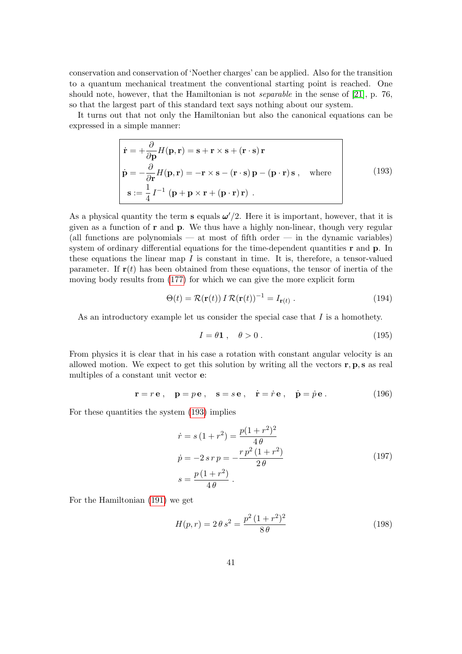conservation and conservation of 'Noether charges' can be applied. Also for the transition to a quantum mechanical treatment the conventional starting point is reached. One should note, however, that the Hamiltonian is not separable in the sense of [\[21\]](#page-48-5), p. 76, so that the largest part of this standard text says nothing about our system.

It turns out that not only the Hamiltonian but also the canonical equations can be expressed in a simple manner:

<span id="page-40-0"></span>
$$
\begin{vmatrix}\n\dot{\mathbf{r}} = +\frac{\partial}{\partial \mathbf{p}} H(\mathbf{p}, \mathbf{r}) = \mathbf{s} + \mathbf{r} \times \mathbf{s} + (\mathbf{r} \cdot \mathbf{s}) \mathbf{r} \\
\dot{\mathbf{p}} = -\frac{\partial}{\partial \mathbf{r}} H(\mathbf{p}, \mathbf{r}) = -\mathbf{r} \times \mathbf{s} - (\mathbf{r} \cdot \mathbf{s}) \mathbf{p} - (\mathbf{p} \cdot \mathbf{r}) \mathbf{s} \,, \quad \text{where} \\
\mathbf{s} := \frac{1}{4} I^{-1} (\mathbf{p} + \mathbf{p} \times \mathbf{r} + (\mathbf{p} \cdot \mathbf{r}) \mathbf{r}) \,.
$$
\n(193)

As a physical quantity the term s equals  $\omega'/2$ . Here it is important, however, that it is given as a function of  $\bf{r}$  and  $\bf{p}$ . We thus have a highly non-linear, though very regular (all functions are polynomials  $-$  at most of fifth order  $-$  in the dynamic variables) system of ordinary differential equations for the time-dependent quantities **r** and **p**. In these equations the linear map  $I$  is constant in time. It is, therefore, a tensor-valued parameter. If  $r(t)$  has been obtained from these equations, the tensor of inertia of the moving body results from [\(177\)](#page-38-0) for which we can give the more explicit form

$$
\Theta(t) = \mathcal{R}(\mathbf{r}(t)) I \mathcal{R}(\mathbf{r}(t))^{-1} = I_{\mathbf{r}(t)}.
$$
\n(194)

As an introductory example let us consider the special case that  $I$  is a homothety.

$$
I = \theta \mathbf{1} \,, \quad \theta > 0 \,. \tag{195}
$$

From physics it is clear that in his case a rotation with constant angular velocity is an allowed motion. We expect to get this solution by writing all the vectors  $\mathbf{r}, \mathbf{p}, \mathbf{s}$  as real multiples of a constant unit vector e:

$$
\mathbf{r} = r\mathbf{e} \,, \quad \mathbf{p} = p\mathbf{e} \,, \quad \mathbf{s} = s\mathbf{e} \,, \quad \dot{\mathbf{r}} = \dot{r}\mathbf{e} \,, \quad \dot{\mathbf{p}} = \dot{p}\mathbf{e} \,. \tag{196}
$$

<span id="page-40-1"></span>For these quantities the system [\(193\)](#page-40-0) implies

$$
\dot{r} = s(1+r^2) = \frac{p(1+r^2)^2}{4\theta}
$$
\n
$$
\dot{p} = -2 \, sr \, p = -\frac{r \, p^2 \, (1+r^2)}{2\theta}
$$
\n
$$
s = \frac{p(1+r^2)}{4\theta} \,. \tag{197}
$$

For the Hamiltonian [\(191\)](#page-39-2) we get

$$
H(p,r) = 2\theta s^2 = \frac{p^2 (1+r^2)^2}{8\theta}
$$
 (198)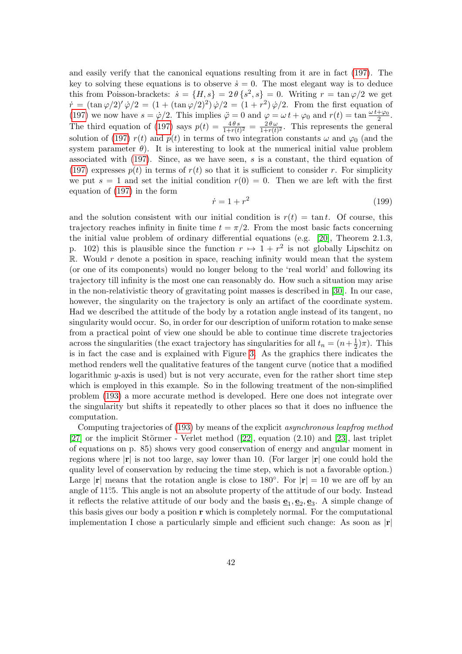and easily verify that the canonical equations resulting from it are in fact [\(197\)](#page-40-1). The key to solving these equations is to observe  $\dot{s} = 0$ . The most elegant way is to deduce this from Poisson-brackets:  $\dot{s} = \{H, s\} = 2\theta \{s^2, s\} = 0$ . Writing  $r = \tan \varphi/2$  we get  $\dot{r} = (\tan \varphi/2)^{7} \dot{\varphi}/2 = (1 + (\tan \varphi/2)^{2}) \dot{\varphi}/2 = (1 + r^{2}) \dot{\varphi}/2$ . From the first equation of [\(197\)](#page-40-1) we now have  $s = \dot{\varphi}/2$ . This implies  $\ddot{\varphi} = 0$  and  $\varphi = \omega t + \varphi_0$  and  $r(t) = \tan \frac{\omega t + \varphi_0}{2}$ . The third equation of [\(197\)](#page-40-1) says  $p(t) = \frac{4\theta s}{1+r(t)^2} = \frac{2\theta \omega}{1+r(t)}$  $\frac{2\theta\omega}{1+r(t)^2}$ . This represents the general solution of [\(197\)](#page-40-1)  $r(t)$  and  $p(t)$  in terms of two integration constants  $\omega$  and  $\varphi_0$  (and the system parameter  $\theta$ ). It is interesting to look at the numerical initial value problem associated with [\(197\)](#page-40-1). Since, as we have seen, s is a constant, the third equation of [\(197\)](#page-40-1) expresses  $p(t)$  in terms of  $r(t)$  so that it is sufficient to consider r. For simplicity we put  $s = 1$  and set the initial condition  $r(0) = 0$ . Then we are left with the first equation of [\(197\)](#page-40-1) in the form

<span id="page-41-0"></span>
$$
\dot{r} = 1 + r^2 \tag{199}
$$

and the solution consistent with our initial condition is  $r(t) = \tan t$ . Of course, this trajectory reaches infinity in finite time  $t = \pi/2$ . From the most basic facts concerning the initial value problem of ordinary differential equations (e.g. [\[20\]](#page-48-7), Theorem 2.1.3, p. 102) this is plausible since the function  $r \mapsto 1 + r^2$  is not globally Lipschitz on  $\mathbb R$ . Would r denote a position in space, reaching infinity would mean that the system (or one of its components) would no longer belong to the 'real world' and following its trajectory till infinity is the most one can reasonably do. How such a situation may arise in the non-relativistic theory of gravitating point masses is described in [\[30\]](#page-49-1). In our case, however, the singularity on the trajectory is only an artifact of the coordinate system. Had we described the attitude of the body by a rotation angle instead of its tangent, no singularity would occur. So, in order for our description of uniform rotation to make sense from a practical point of view one should be able to continue time discrete trajectories across the singularities (the exact trajectory has singularities for all  $t_n = (n + \frac{1}{2})$  $(\frac{1}{2})\pi$ ). This is in fact the case and is explained with Figure [3.](#page-42-0) As the graphics there indicates the method renders well the qualitative features of the tangent curve (notice that a modified logarithmic y-axis is used) but is not very accurate, even for the rather short time step which is employed in this example. So in the following treatment of the non-simplified problem [\(193\)](#page-40-0) a more accurate method is developed. Here one does not integrate over the singularity but shifts it repeatedly to other places so that it does no influence the computation.

Computing trajectories of [\(193\)](#page-40-0) by means of the explicit asynchronous leapfrog method [\[27\]](#page-48-8) or the implicit Störmer - Verlet method  $(22)$ , equation  $(2.10)$  and [\[23\]](#page-48-2), last triplet of equations on p. 85) shows very good conservation of energy and angular moment in regions where  $|\mathbf{r}|$  is not too large, say lower than 10. (For larger  $|\mathbf{r}|$  one could hold the quality level of conservation by reducing the time step, which is not a favorable option.) Large |r| means that the rotation angle is close to 180<sup>°</sup>. For  $|\mathbf{r}| = 10$  we are off by an angle of 11°.5. This angle is not an absolute property of the attitude of our body. Instead it reflects the relative attitude of our body and the basis  $\underline{\mathbf{e}}_1, \underline{\mathbf{e}}_2, \underline{\mathbf{e}}_3$ . A simple change of this basis gives our body a position  $\bf{r}$  which is completely normal. For the computational implementation I chose a particularly simple and efficient such change: As soon as  $|\mathbf{r}|$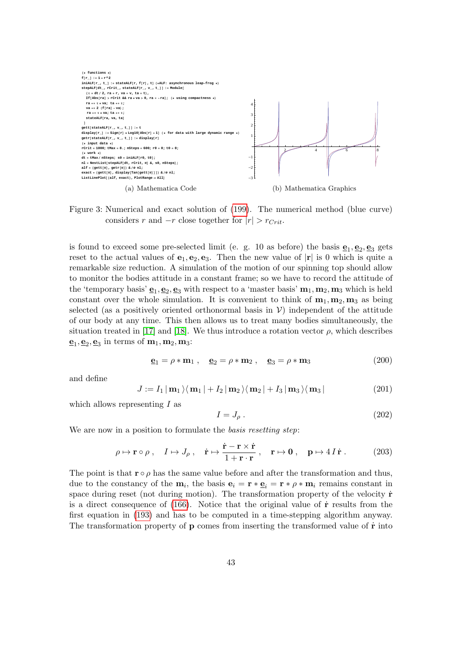

<span id="page-42-0"></span>Figure 3: Numerical and exact solution of [\(199\)](#page-41-0). The numerical method (blue curve) considers r and  $-r$  close together for  $|r| > r_{Crit}$ .

is found to exceed some pre-selected limit (e. g. 10 as before) the basis  $\mathbf{e}_1, \mathbf{e}_2, \mathbf{e}_3$  gets reset to the actual values of  $e_1, e_2, e_3$ . Then the new value of  $|r|$  is 0 which is quite a remarkable size reduction. A simulation of the motion of our spinning top should allow to monitor the bodies attitude in a constant frame; so we have to record the attitude of the 'temporary basis'  $\underline{\mathbf{e}}_1, \underline{\mathbf{e}}_2, \underline{\mathbf{e}}_3$  with respect to a 'master basis'  $\mathbf{m}_1, \mathbf{m}_2, \mathbf{m}_3$  which is held constant over the whole simulation. It is convenient to think of  $m_1, m_2, m_3$  as being selected (as a positively oriented orthonormal basis in  $\mathcal{V}$ ) independent of the attitude of our body at any time. This then allows us to treat many bodies simultaneously, the situation treated in [\[17\]](#page-48-0) and [\[18\]](#page-48-9). We thus introduce a rotation vector  $\rho$ , which describes  $\underline{\mathbf{e}}_1, \underline{\mathbf{e}}_2, \underline{\mathbf{e}}_3$  in terms of  $\mathbf{m}_1, \mathbf{m}_2, \mathbf{m}_3$ :

$$
\underline{\mathbf{e}}_1 = \rho * \mathbf{m}_1 , \quad \underline{\mathbf{e}}_2 = \rho * \mathbf{m}_2 , \quad \underline{\mathbf{e}}_3 = \rho * \mathbf{m}_3
$$
 (200)

and define

<span id="page-42-2"></span>
$$
J := I_1 | \mathbf{m}_1 \rangle \langle \mathbf{m}_1 | + I_2 | \mathbf{m}_2 \rangle \langle \mathbf{m}_2 | + I_3 | \mathbf{m}_3 \rangle \langle \mathbf{m}_3 |
$$
 (201)

which allows representing  $I$  as

<span id="page-42-3"></span>
$$
I = J_{\rho} \tag{202}
$$

We are now in a position to formulate the *basis resetting step*:

<span id="page-42-1"></span>
$$
\rho \mapsto \mathbf{r} \circ \rho \,, \quad I \mapsto J_{\rho} \,, \quad \dot{\mathbf{r}} \mapsto \frac{\dot{\mathbf{r}} - \mathbf{r} \times \dot{\mathbf{r}}}{1 + \mathbf{r} \cdot \mathbf{r}} \,, \quad \mathbf{r} \mapsto \mathbf{0} \,, \quad \mathbf{p} \mapsto 4 \, I \, \dot{\mathbf{r}} \,. \tag{203}
$$

The point is that  $\mathbf{r} \circ \rho$  has the same value before and after the transformation and thus, due to the constancy of the  $m_i$ , the basis  $e_i = r * e_i = r * \rho * m_i$  remains constant in space during reset (not during motion). The transformation property of the velocity  $\dot{\mathbf{r}}$ is a direct consequence of  $(166)$ . Notice that the original value of  $\dot{\mathbf{r}}$  results from the first equation in [\(193\)](#page-40-0) and has to be computed in a time-stepping algorithm anyway. The transformation property of  $\bf{p}$  comes from inserting the transformed value of  $\dot{\bf{r}}$  into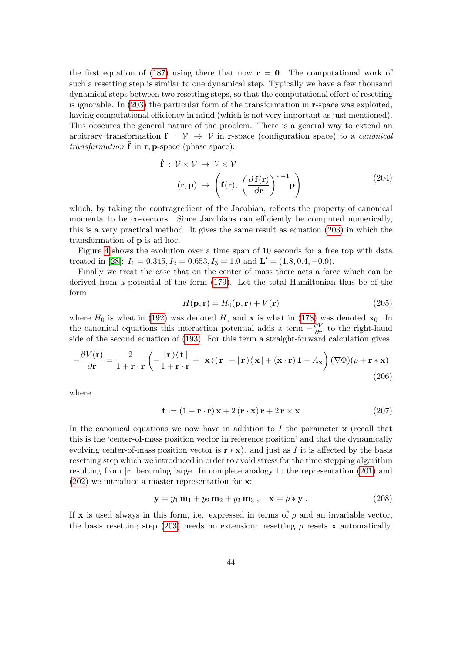the first equation of [\(187\)](#page-39-3) using there that now  $\mathbf{r} = \mathbf{0}$ . The computational work of such a resetting step is similar to one dynamical step. Typically we have a few thousand dynamical steps between two resetting steps, so that the computational effort of resetting is ignorable. In [\(203\)](#page-42-1) the particular form of the transformation in r-space was exploited, having computational efficiency in mind (which is not very important as just mentioned). This obscures the general nature of the problem. There is a general way to extend an arbitrary transformation  $f : V \rightarrow V$  in r-space (configuration space) to a *canonical transformation*  $\bf{f}$  in  $\bf{r}$ ,  $\bf{p}$ -space (phase space):

$$
\tilde{\mathbf{f}} : \mathcal{V} \times \mathcal{V} \to \mathcal{V} \times \mathcal{V}
$$
\n
$$
(\mathbf{r}, \mathbf{p}) \mapsto \left(\mathbf{f}(\mathbf{r}), \left(\frac{\partial \mathbf{f}(\mathbf{r})}{\partial \mathbf{r}}\right)^{*-1} \mathbf{p}\right)
$$
\n(204)

which, by taking the contragredient of the Jacobian, reflects the property of canonical momenta to be co-vectors. Since Jacobians can efficiently be computed numerically, this is a very practical method. It gives the same result as equation [\(203\)](#page-42-1) in which the transformation of p is ad hoc.

Figure [4](#page-44-0) shows the evolution over a time span of 10 seconds for a free top with data treated in [\[28\]](#page-49-2):  $I_1 = 0.345, I_2 = 0.653, I_3 = 1.0$  and  $\mathbf{L}' = (1.8, 0.4, -0.9)$ .

Finally we treat the case that on the center of mass there acts a force which can be derived from a potential of the form [\(179\)](#page-38-1). Let the total Hamiltonian thus be of the form

$$
H(\mathbf{p}, \mathbf{r}) = H_0(\mathbf{p}, \mathbf{r}) + V(\mathbf{r})
$$
\n(205)

where  $H_0$  is what in [\(192\)](#page-39-4) was denoted H, and **x** is what in [\(178\)](#page-38-2) was denoted  $\mathbf{x}_0$ . In the canonical equations this interaction potential adds a term  $-\frac{\partial V}{\partial r}$  $\frac{\partial V}{\partial \mathbf{r}}$  to the right-hand side of the second equation of [\(193\)](#page-40-0). For this term a straight-forward calculation gives

$$
-\frac{\partial V(\mathbf{r})}{\partial \mathbf{r}} = \frac{2}{1+\mathbf{r}\cdot\mathbf{r}} \left( -\frac{|\mathbf{r}\rangle\langle\mathbf{t}|}{1+\mathbf{r}\cdot\mathbf{r}} + |\mathbf{x}\rangle\langle\mathbf{r}| - |\mathbf{r}\rangle\langle\mathbf{x}| + (\mathbf{x}\cdot\mathbf{r})\mathbf{1} - A_{\mathbf{x}} \right) (\nabla\Phi)(p + \mathbf{r} * \mathbf{x})
$$
\n(206)

where

$$
\mathbf{t} := (1 - \mathbf{r} \cdot \mathbf{r}) \mathbf{x} + 2(\mathbf{r} \cdot \mathbf{x}) \mathbf{r} + 2\mathbf{r} \times \mathbf{x}
$$
 (207)

In the canonical equations we now have in addition to  $I$  the parameter  $x$  (recall that this is the 'center-of-mass position vector in reference position' and that the dynamically evolving center-of-mass position vector is  $\mathbf{r} * \mathbf{x}$ ). and just as I it is affected by the basis resetting step which we introduced in order to avoid stress for the time stepping algorithm resulting from  $|r|$  becoming large. In complete analogy to the representation [\(201\)](#page-42-2) and [\(202\)](#page-42-3) we introduce a master representation for x:

$$
y = y_1 m_1 + y_2 m_2 + y_3 m_3 , \quad x = \rho * y . \tag{208}
$$

If x is used always in this form, i.e. expressed in terms of  $\rho$  and an invariable vector, the basis resetting step [\(203\)](#page-42-1) needs no extension: resetting  $\rho$  resets x automatically.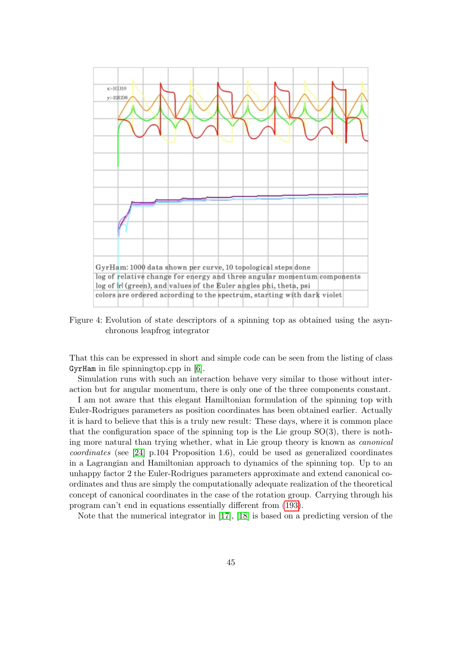

<span id="page-44-0"></span>Figure 4: Evolution of state descriptors of a spinning top as obtained using the asynchronous leapfrog integrator

That this can be expressed in short and simple code can be seen from the listing of class GyrHam in file spinningtop.cpp in [\[6\]](#page-47-12).

Simulation runs with such an interaction behave very similar to those without interaction but for angular momentum, there is only one of the three components constant.

I am not aware that this elegant Hamiltonian formulation of the spinning top with Euler-Rodrigues parameters as position coordinates has been obtained earlier. Actually it is hard to believe that this is a truly new result: These days, where it is common place that the configuration space of the spinning top is the Lie group  $SO(3)$ , there is nothing more natural than trying whether, what in Lie group theory is known as canonical coordinates (see [\[24\]](#page-48-10) p.104 Proposition 1.6), could be used as generalized coordinates in a Lagrangian and Hamiltonian approach to dynamics of the spinning top. Up to an unhappy factor 2 the Euler-Rodrigues parameters approximate and extend canonical coordinates and thus are simply the computationally adequate realization of the theoretical concept of canonical coordinates in the case of the rotation group. Carrying through his program can't end in equations essentially different from [\(193\)](#page-40-0).

Note that the numerical integrator in [\[17\]](#page-48-0), [\[18\]](#page-48-9) is based on a predicting version of the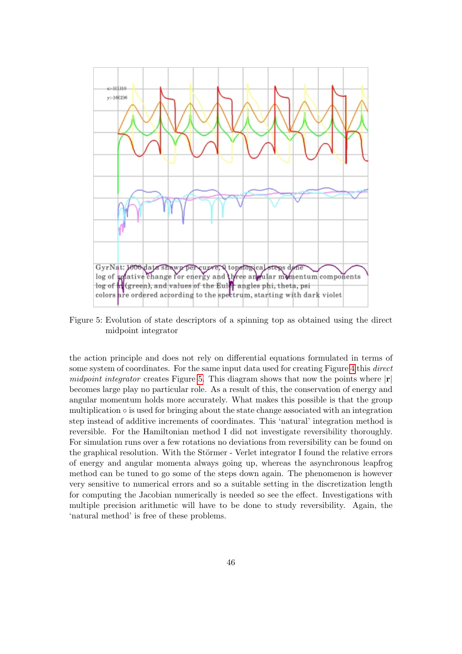

<span id="page-45-0"></span>Figure 5: Evolution of state descriptors of a spinning top as obtained using the direct midpoint integrator

the action principle and does not rely on differential equations formulated in terms of some system of coordinates. For the same input data used for creating Figure [4](#page-44-0) this *direct* midpoint integrator creates Figure [5.](#page-45-0) This diagram shows that now the points where  $|r|$ becomes large play no particular role. As a result of this, the conservation of energy and angular momentum holds more accurately. What makes this possible is that the group multiplication  $\circ$  is used for bringing about the state change associated with an integration step instead of additive increments of coordinates. This 'natural' integration method is reversible. For the Hamiltonian method I did not investigate reversibility thoroughly. For simulation runs over a few rotations no deviations from reversibility can be found on the graphical resolution. With the Störmer - Verlet integrator I found the relative errors of energy and angular momenta always going up, whereas the asynchronous leapfrog method can be tuned to go some of the steps down again. The phenomenon is however very sensitive to numerical errors and so a suitable setting in the discretization length for computing the Jacobian numerically is needed so see the effect. Investigations with multiple precision arithmetic will have to be done to study reversibility. Again, the 'natural method' is free of these problems.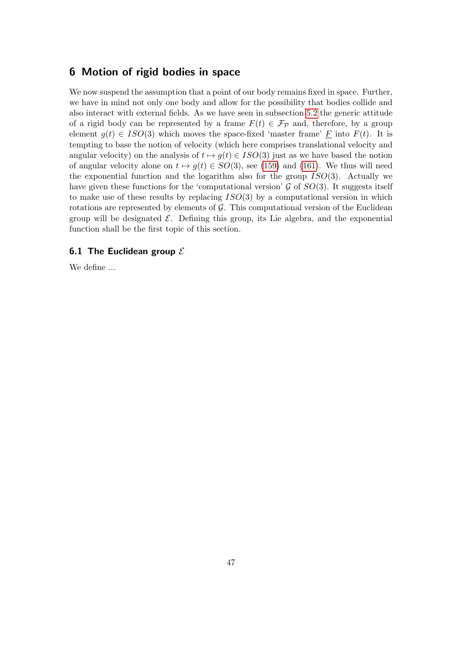# 6 Motion of rigid bodies in space

We now suspend the assumption that a point of our body remains fixed in space. Further, we have in mind not only one body and allow for the possibility that bodies collide and also interact with external fields. As we have seen in subsection [5.2](#page-35-2) the generic attitude of a rigid body can be represented by a frame  $F(t) \in \mathcal{F}_{\mathcal{P}}$  and, therefore, by a group element  $g(t) \in ISO(3)$  which moves the space-fixed 'master frame' F into  $F(t)$ . It is tempting to base the notion of velocity (which here comprises translational velocity and angular velocity) on the analysis of  $t \mapsto g(t) \in ISO(3)$  just as we have based the notion of angular velocity alone on  $t \mapsto q(t) \in SO(3)$ , see [\(159\)](#page-34-0) and [\(161\)](#page-34-3). We thus will need the exponential function and the logarithm also for the group  $ISO(3)$ . Actually we have given these functions for the 'computational version'  $\mathcal G$  of  $SO(3)$ . It suggests itself to make use of these results by replacing  $ISO(3)$  by a computational version in which rotations are represented by elements of  $G$ . This computational version of the Euclidean group will be designated  $\mathcal E$ . Defining this group, its Lie algebra, and the exponential function shall be the first topic of this section.

## 6.1 The Euclidean group  $\mathcal E$

We define ...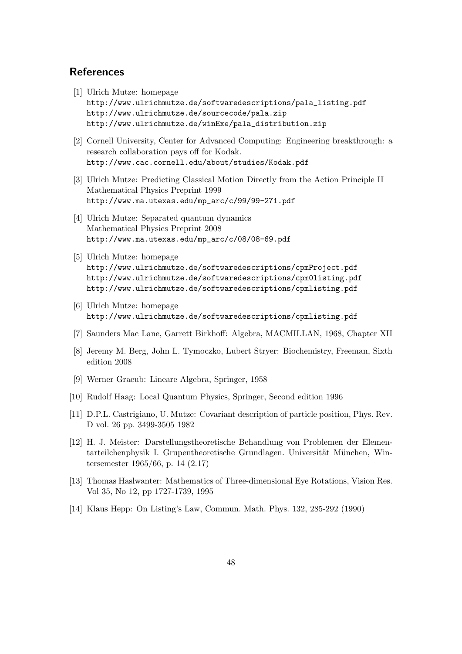# References

- <span id="page-47-0"></span>[1] Ulrich Mutze: homepage http://www.ulrichmutze.de/softwaredescriptions/pala\_listing.pdf http://www.ulrichmutze.de/sourcecode/pala.zip http://www.ulrichmutze.de/winExe/pala\_distribution.zip
- <span id="page-47-1"></span>[2] Cornell University, Center for Advanced Computing: Engineering breakthrough: a research collaboration pays off for Kodak. http://www.cac.cornell.edu/about/studies/Kodak.pdf
- <span id="page-47-2"></span>[3] Ulrich Mutze: Predicting Classical Motion Directly from the Action Principle II Mathematical Physics Preprint 1999 http://www.ma.utexas.edu/mp\_arc/c/99/99-271.pdf
- <span id="page-47-3"></span>[4] Ulrich Mutze: Separated quantum dynamics Mathematical Physics Preprint 2008 http://www.ma.utexas.edu/mp\_arc/c/08/08-69.pdf
- <span id="page-47-4"></span>[5] Ulrich Mutze: homepage http://www.ulrichmutze.de/softwaredescriptions/cpmProject.pdf http://www.ulrichmutze.de/softwaredescriptions/cpm0listing.pdf http://www.ulrichmutze.de/softwaredescriptions/cpmlisting.pdf
- <span id="page-47-12"></span>[6] Ulrich Mutze: homepage http://www.ulrichmutze.de/softwaredescriptions/cpmlisting.pdf
- <span id="page-47-5"></span>[7] Saunders Mac Lane, Garrett Birkhoff: Algebra, MACMILLAN, 1968, Chapter XII
- <span id="page-47-6"></span>[8] Jeremy M. Berg, John L. Tymoczko, Lubert Stryer: Biochemistry, Freeman, Sixth edition 2008
- <span id="page-47-8"></span>[9] Werner Graeub: Lineare Algebra, Springer, 1958
- [10] Rudolf Haag: Local Quantum Physics, Springer, Second edition 1996
- <span id="page-47-7"></span>[11] D.P.L. Castrigiano, U. Mutze: Covariant description of particle position, Phys. Rev. D vol. 26 pp. 3499-3505 1982
- <span id="page-47-10"></span>[12] H. J. Meister: Darstellungstheoretische Behandlung von Problemen der Elementarteilchenphysik I. Grupentheoretische Grundlagen. Universität München, Wintersemester 1965/66, p. 14 (2.17)
- <span id="page-47-9"></span>[13] Thomas Haslwanter: Mathematics of Three-dimensional Eye Rotations, Vision Res. Vol 35, No 12, pp 1727-1739, 1995
- <span id="page-47-11"></span>[14] Klaus Hepp: On Listing's Law, Commun. Math. Phys. 132, 285-292 (1990)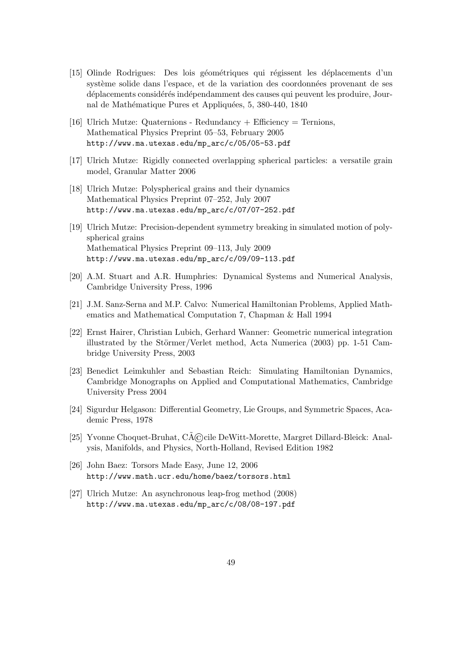- <span id="page-48-3"></span>[15] Olinde Rodrigues: Des lois géométriques qui régissent les déplacements d'un système solide dans l'espace, et de la variation des coordonnées provenant de ses déplacements considérés indépendamment des causes qui peuvent les produire, Journal de Mathématique Pures et Appliquées, 5, 380-440, 1840
- <span id="page-48-4"></span>[16] Ulrich Mutze: Quaternions - Redundancy + Efficiency = Ternions, Mathematical Physics Preprint 05–53, February 2005 http://www.ma.utexas.edu/mp\_arc/c/05/05-53.pdf
- <span id="page-48-0"></span>[17] Ulrich Mutze: Rigidly connected overlapping spherical particles: a versatile grain model, Granular Matter 2006
- <span id="page-48-9"></span>[18] Ulrich Mutze: Polyspherical grains and their dynamics Mathematical Physics Preprint 07–252, July 2007 http://www.ma.utexas.edu/mp\_arc/c/07/07-252.pdf
- [19] Ulrich Mutze: Precision-dependent symmetry breaking in simulated motion of polyspherical grains Mathematical Physics Preprint 09–113, July 2009 http://www.ma.utexas.edu/mp\_arc/c/09/09-113.pdf
- <span id="page-48-7"></span>[20] A.M. Stuart and A.R. Humphries: Dynamical Systems and Numerical Analysis, Cambridge University Press, 1996
- <span id="page-48-5"></span>[21] J.M. Sanz-Serna and M.P. Calvo: Numerical Hamiltonian Problems, Applied Mathematics and Mathematical Computation 7, Chapman & Hall 1994
- <span id="page-48-6"></span>[22] Ernst Hairer, Christian Lubich, Gerhard Wanner: Geometric numerical integration illustrated by the Störmer/Verlet method, Acta Numerica  $(2003)$  pp. 1-51 Cambridge University Press, 2003
- <span id="page-48-2"></span>[23] Benedict Leimkuhler and Sebastian Reich: Simulating Hamiltonian Dynamics, Cambridge Monographs on Applied and Computational Mathematics, Cambridge University Press 2004
- <span id="page-48-10"></span>[24] Sigurdur Helgason: Differential Geometry, Lie Groups, and Symmetric Spaces, Academic Press, 1978
- [25] Yvonne Choquet-Bruhat, C $\tilde{A}$ ©cile DeWitt-Morette, Margret Dillard-Bleick: Analysis, Manifolds, and Physics, North-Holland, Revised Edition 1982
- <span id="page-48-1"></span>[26] John Baez: Torsors Made Easy, June 12, 2006 http://www.math.ucr.edu/home/baez/torsors.html
- <span id="page-48-8"></span>[27] Ulrich Mutze: An asynchronous leap-frog method (2008) http://www.ma.utexas.edu/mp\_arc/c/08/08-197.pdf